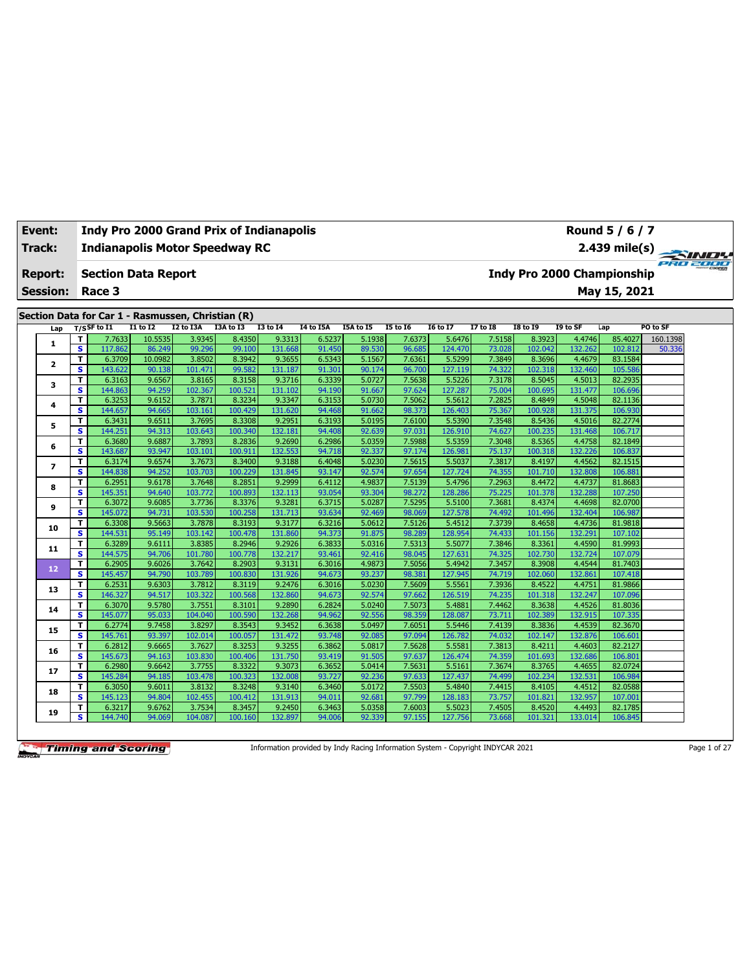| Event:<br>Track: |                              | <b>Indy Pro 2000 Grand Prix of Indianapolis</b><br><b>Indianapolis Motor Speedway RC</b> |                  |                   |                   |                   |                  |                  |                  |                   |                  |                   |                   | Round 5 / 6 / 7<br>2.439 mile(s)  |          |  |
|------------------|------------------------------|------------------------------------------------------------------------------------------|------------------|-------------------|-------------------|-------------------|------------------|------------------|------------------|-------------------|------------------|-------------------|-------------------|-----------------------------------|----------|--|
| <b>Report:</b>   |                              | <b>Section Data Report</b>                                                               |                  |                   |                   |                   |                  |                  |                  |                   |                  |                   |                   | <b>Indy Pro 2000 Championship</b> | PRO 2000 |  |
| <b>Session:</b>  |                              | Race 3                                                                                   |                  |                   |                   |                   |                  |                  |                  |                   |                  |                   |                   | May 15, 2021                      |          |  |
|                  |                              |                                                                                          |                  |                   |                   |                   |                  |                  |                  |                   |                  |                   |                   |                                   |          |  |
|                  |                              | Section Data for Car 1 - Rasmussen, Christian (R)<br>$T/S$ SF to I1                      | I1 to I2         | I2 to I3A         | I3A to I3         | <b>I3 to 14</b>   | I4 to I5A        | I5A to I5        | <b>I5 to 16</b>  | <b>I6 to I7</b>   | <b>I7 to I8</b>  | <b>I8 to 19</b>   | I9 to SF          | Lap                               | PO to SF |  |
| Lap              | т                            | 7.7633                                                                                   | 10.5535          | 3.9345            | 8.4350            | 9.3313            | 6.5237           | 5.1938           | 7.6373           | 5.6476            | 7.5158           | 8.3923            | 4.4746            | 85.4027                           | 160.1398 |  |
| 1                | $\overline{\mathbf{s}}$      | 117.862                                                                                  | 86.249           | 99.296            | 99.100            | 131.668           | 91.450           | 89.530           | 96.685           | 124.470           | 73.028           | 102.042           | 132.262           | 102.812                           | 50.336   |  |
|                  | т                            | 6.3709                                                                                   | 10.0982          | 3.8502            | 8.3942            | 9.3655            | 6.5343           | 5.1567           | 7.6361           | 5.5299            | 7.3849           | 8.3696            | 4.4679            | 83.1584                           |          |  |
| $\mathbf{2}$     | s                            | 143.622                                                                                  | 90.138           | 101.471           | 99.582            | 131.187           | 91.301           | 90.174           | 96.700           | 127.119           | 74.322           | 102.318           | 132.460           | 105.586                           |          |  |
|                  | т                            | 6.3163                                                                                   | 9.6567           | 3.8165            | 8.3158            | 9.3716            | 6.3339           | 5.0727           | 7.5638           | 5.5226            | 7.3178           | 8.5045            | 4.5013            | 82.2935                           |          |  |
| 3                | s                            | 144.863                                                                                  | 94.259           | 102.367           | 100.521           | 131.102           | 94.190           | 91.667           | 97.624           | 127.287           | 75.004           | 100.695           | 131.477           | 106.696                           |          |  |
|                  | т                            | 6.3253                                                                                   | 9.6152           | 3.7871            | 8.3234            | 9.3347            | 6.3153           | 5.0730           | 7.5062           | 5.5612            | 7.2825           | 8.4849            | 4.5048            | 82.1136                           |          |  |
| 4                | s                            | 144.657                                                                                  | 94.665           | 103.161           | 100.429           | 131.620           | 94.468           | 91.662           | 98.373           | 126.403           | 75.367           | 100.928           | 131.375           | 106.930                           |          |  |
|                  | т                            | 6.3431                                                                                   | 9.6511           | 3.7695            | 8.3308            | 9.2951            | 6.3193           | 5.0195           | 7.6100           | 5.5390            | 7.3548           | 8.5436            | 4.5016            | 82.2774                           |          |  |
| 5                | s                            | 144.251                                                                                  | 94.313           | 103.643           | 100.340           | 132.181           | 94.408           | 92.639           | 97.031           | 126.910           | 74.627           | 100.235           | 131.468           | 106.717                           |          |  |
| 6                | т                            | 6.3680                                                                                   | 9.6887           | 3.7893            | 8.2836            | 9.2690            | 6.2986           | 5.0359           | 7.5988           | 5.5359            | 7.3048           | 8.5365            | 4.4758            | 82.1849                           |          |  |
|                  | s                            | 143.687                                                                                  | 93.947           | 103.101           | 100.911           | 132.553           | 94.718           | 92.337           | 97.174           | 126.981           | 75.137           | 100.318           | 132.226           | 106.837                           |          |  |
| $\overline{ }$   | т                            | 6.3174                                                                                   | 9.6574           | 3.7673            | 8.3400            | 9.3188            | 6.4048           | 5.0230           | 7.5615           | 5.5037            | 7.3817           | 8.4197            | 4.4562            | 82.1515                           |          |  |
|                  | s                            | 144.838                                                                                  | 94.252           | 103.703           | 100.229           | 131.845           | 93.147           | 92.574           | 97.654           | 127.724           | 74.355           | 101.710           | 132.808           | 106.881                           |          |  |
| 8                | т                            | 6.2951                                                                                   | 9.6178           | 3.7648            | 8.2851            | 9.2999            | 6.4112           | 4.9837           | 7.5139           | 5.4796            | 7.2963           | 8.4472            | 4.4737            | 81.8683                           |          |  |
|                  | s                            | 145.351                                                                                  | 94.640           | 103.772           | 100.893           | 132.113           | 93.054           | 93.304           | 98.272           | 128.286           | 75.225           | 101.378           | 132.288           | 107.250                           |          |  |
| 9                | т                            | 6.3072                                                                                   | 9.6085           | 3.7736            | 8.3376            | 9.3281            | 6.3715           | 5.0287           | 7.5295           | 5.5100            | 7.3681           | 8.4374            | 4.4698            | 82.0700                           |          |  |
|                  | $\overline{\mathbf{s}}$      | 145.072                                                                                  | 94.731           | 103.530           | 100.258           | 131.713           | 93.634           | 92.469           | 98.069           | 127.578           | 74.492           | 101.496           | 132.404           | 106.987                           |          |  |
| 10               | T                            | 6.3308                                                                                   | 9.5663           | 3.7878            | 8.3193            | 9.3177            | 6.3216           | 5.0612           | 7.5126           | 5.4512            | 7.3739           | 8.4658            | 4.4736            | 81.9818                           |          |  |
|                  | s                            | 144.531                                                                                  | 95.149           | 103.142           | 100.478           | 131.860           | 94.373           | 91.875           | 98.289           | 128.954           | 74.433           | 101.156           | 132.291           | 107.102                           |          |  |
| 11               | т                            | 6.3289                                                                                   | 9.6111           | 3.8385            | 8.2946            | 9.2926            | 6.3833           | 5.0316           | 7.5313           | 5.5077            | 7.3846           | 8.3361            | 4.4590            | 81.9993                           |          |  |
|                  | s                            | 144.575                                                                                  | 94.706           | 101.780           | 100.778           | 132.217           | 93.461           | 92.416           | 98.045           | 127.631           | 74.325           | 102.730           | 132.724           | 107.079                           |          |  |
| 12               | т                            | 6.2905                                                                                   | 9.6026           | 3.7642            | 8.2903            | 9.3131            | 6.3016           | 4.9873           | 7.5056           | 5.4942            | 7.3457           | 8.3908            | 4.4544            | 81.7403                           |          |  |
|                  | s                            | 145.457                                                                                  | 94.790           | 103.789           | 100.830           | 131.926           | 94.673           | 93.237<br>5.0230 | 98.381           | 127.945           | 74.719           | 102.060           | 132.861           | 107.418                           |          |  |
| 13               | т<br>$\overline{\mathbf{s}}$ | 6.2531<br>146.327                                                                        | 9.6303<br>94.517 | 3.7812<br>103.322 | 8.3119<br>100.568 | 9.2476<br>132.860 | 6.3016<br>94.673 | 92.574           | 7.5609<br>97.662 | 5.5561<br>126.519 | 7.3936<br>74.235 | 8.4522<br>101.318 | 4.4751<br>132.247 | 81.9866<br>107.096                |          |  |
|                  | т                            | 6.3070                                                                                   | 9.5780           | 3.7551            | 8.3101            | 9.2890            | 6.2824           | 5.0240           | 7.5073           | 5.4881            | 7.4462           | 8.3638            | 4.4526            | 81.8036                           |          |  |
| 14               | s                            | 145.077                                                                                  | 95.033           | 104.040           | 100.590           | 132.268           | 94.962           | 92.556           | 98.359           | 128.087           | 73.711           | 102.389           | 132.915           | 107.335                           |          |  |
|                  | т                            | 6.2774                                                                                   | 9.7458           | 3.8297            | 8.3543            | 9.3452            | 6.3638           | 5.0497           | 7.6051           | 5.5446            | 7.4139           | 8.3836            | 4.4539            | 82.3670                           |          |  |
| 15               | s                            | 145.761                                                                                  | 93.397           | 102.014           | 100.057           | 131.472           | 93.748           | 92.085           | 97.094           | 126.782           | 74.032           | 102.147           | 132.876           | 106.601                           |          |  |
|                  | т                            | 6.2812                                                                                   | 9.6665           | 3.7627            | 8.3253            | 9.3255            | 6.3862           | 5.0817           | 7.5628           | 5.5581            | 7.3813           | 8.4211            | 4.4603            | 82.2127                           |          |  |
| 16               | s                            | 145.673                                                                                  | 94.163           | 103.830           | 100.406           | 131.750           | 93.419           | 91.505           | 97.637           | 126.474           | 74.359           | 101.693           | 132.686           | 106.801                           |          |  |
|                  | т                            | 6.2980                                                                                   | 9.6642           | 3.7755            | 8.3322            | 9.3073            | 6.3652           | 5.0414           | 7.5631           | 5.5161            | 7.3674           | 8.3765            | 4.4655            | 82.0724                           |          |  |
| 17               | s                            | 145.284                                                                                  | 94.185           | 103.478           | 100.323           | 132.008           | 93.727           | 92.236           | 97.633           | 127.437           | 74.499           | 102.234           | 132.531           | 106.984                           |          |  |
|                  | т                            | 6.3050                                                                                   | 9.6011           | 3.8132            | 8.3248            | 9.3140            | 6.3460           | 5.0172           | 7.5503           | 5.4840            | 7.4415           | 8.4105            | 4.4512            | 82.0588                           |          |  |
| 18               | s                            | 145.123                                                                                  | 94.804           | 102.455           | 100.412           | 131.913           | 94.011           | 92.681           | 97.799           | 128.183           | 73.757           | 101.821           | 132.957           | 107.001                           |          |  |
| 19               | т                            | 6.3217                                                                                   | 9.6762           | 3.7534            | 8.3457            | 9.2450            | 6.3463           | 5.0358           | 7.6003           | 5.5023            | 7.4505           | 8.4520            | 4.4493            | 82.1785                           |          |  |
|                  | s                            | 144.740                                                                                  | 94.069           | 104.087           | 100.160           | 132.897           | 94.006           | 92.339           | 97.155           | 127.756           | 73.668           | 101.321           | 133.014           | 106.845                           |          |  |

Information provided by Indy Racing Information System - Copyright INDYCAR 2021 Page 1 of 27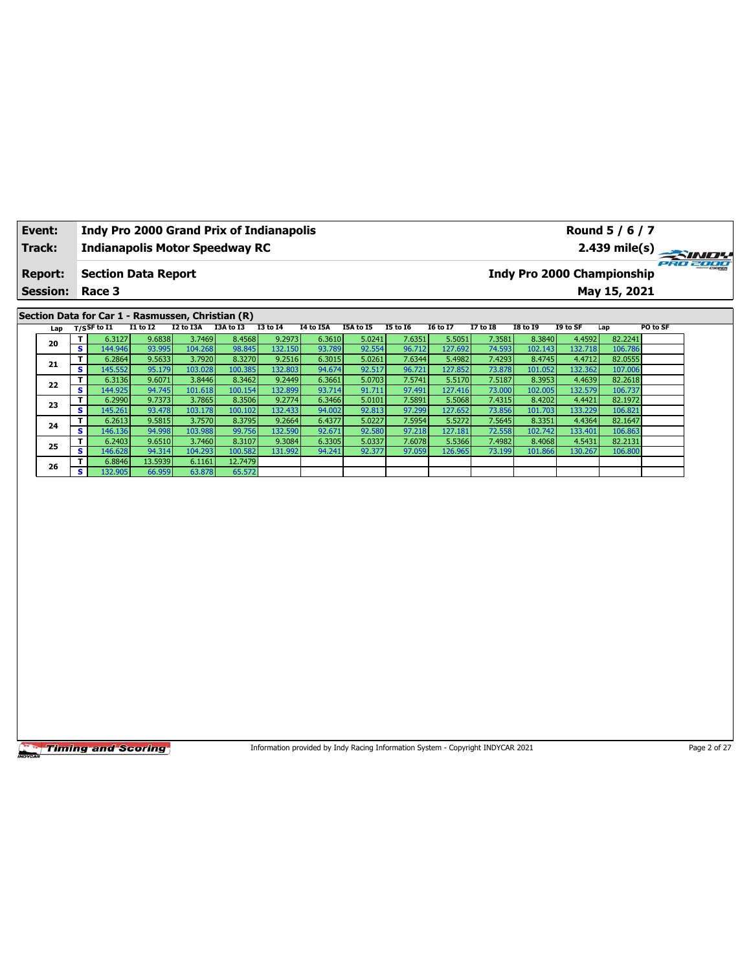| Event:<br>Track: |                         | <b>Indy Pro 2000 Grand Prix of Indianapolis</b><br><b>Indianapolis Motor Speedway RC</b> |                   |                   |                    |                   |                  |                                                                                 |                  |                   |                  |                   |                   | Round 5 / 6 / 7<br>2.439 mile(s)  | PRO 2000     |
|------------------|-------------------------|------------------------------------------------------------------------------------------|-------------------|-------------------|--------------------|-------------------|------------------|---------------------------------------------------------------------------------|------------------|-------------------|------------------|-------------------|-------------------|-----------------------------------|--------------|
| <b>Report:</b>   |                         | <b>Section Data Report</b>                                                               |                   |                   |                    |                   |                  |                                                                                 |                  |                   |                  |                   |                   | <b>Indy Pro 2000 Championship</b> |              |
| <b>Session:</b>  |                         | Race 3                                                                                   |                   |                   |                    |                   |                  |                                                                                 |                  |                   |                  |                   |                   | May 15, 2021                      |              |
|                  |                         | Section Data for Car 1 - Rasmussen, Christian (R)                                        |                   |                   |                    |                   |                  |                                                                                 |                  |                   |                  |                   |                   |                                   |              |
| Lap              |                         | $T/S$ SF to $I1$                                                                         | $I1$ to $I2$      | I2 to I3A         | I3A to I3          | $I3$ to $I4$      | <b>I4 to I5A</b> | I5A to I5                                                                       | <b>I5 to 16</b>  | <b>I6 to I7</b>   | <b>I7 to I8</b>  | <b>I8 to 19</b>   | I9 to SF          | Lap                               | PO to SF     |
|                  | T                       | 6.3127                                                                                   | 9.6838            | 3.7469            | 8.4568             | 9.2973            | 6.3610           | 5.0241                                                                          | 7.6351           | 5.5051            | 7.3581           | 8.3840            | 4.4592            | 82.2241                           |              |
| 20               | $\overline{\mathbf{s}}$ | 144.946                                                                                  | 93.995            | 104.268           | 98.845             | 132.150           | 93.789           | 92.554                                                                          | 96.712           | 127.692           | 74.593           | 102.143           | 132.718           | 106.786                           |              |
| 21               | T                       | 6.2864                                                                                   | 9.5633            | 3.7920            | 8.3270             | 9.2516            | 6.3015           | 5.0261                                                                          | 7.6344           | 5.4982            | 7.4293           | 8.4745            | 4.4712            | 82.0555                           |              |
|                  | s<br>T                  | 145.552                                                                                  | 95.179            | 103.028           | 100.385            | 132.803           | 94.674           | 92.517                                                                          | 96.721<br>7.5741 | 127.852           | 73.878<br>7.5187 | 101.052           | 132.362           | 107.006<br>82.2618                |              |
| 22               | $\overline{\mathbf{s}}$ | 6.3136<br>144.925                                                                        | 9.6071<br>94.745  | 3.8446<br>101.618 | 8.3462<br>100.154  | 9.2449<br>132.899 | 6.3661<br>93.714 | 5.0703<br>91.711                                                                | 97.491           | 5.5170<br>127.416 | 73.000           | 8.3953<br>102.005 | 4.4639<br>132.579 | 106.737                           |              |
|                  | T                       | 6.2990                                                                                   | 9.7373            | 3.7865            | 8.3506             | 9.2774            | 6.3466           | 5.0101                                                                          | 7.5891           | 5.5068            | 7.4315           | 8.4202            | 4.4421            | 82.1972                           |              |
| 23               | s                       | 145.261                                                                                  | 93.478            | 103.178           | 100.102            | 132.433           | 94.002           | 92.813                                                                          | 97.299           | 127.652           | 73.856           | 101.703           | 133.229           | 106.821                           |              |
| 24               | T                       | 6.2613                                                                                   | 9.5815            | 3.7570            | 8.3795             | 9.2664            | 6.4377           | 5.0227                                                                          | 7.5954           | 5.5272            | 7.5645           | 8.3351            | 4.4364            | 82.1647                           |              |
|                  | s                       | 146.136                                                                                  | 94.998            | 103.988           | 99.756             | 132.590           | 92.671           | 92.580                                                                          | 97.218           | 127.181           | 72.558           | 102.742           | 133.401           | 106.863                           |              |
| 25               | T                       | 6.2403                                                                                   | 9.6510            | 3.7460            | 8.3107             | 9.3084            | 6.3305           | 5.0337                                                                          | 7.6078           | 5.5366            | 7.4982           | 8.4068            | 4.5431            | 82.2131                           |              |
|                  | s<br>T                  | 146.628<br>6.8846                                                                        | 94.314<br>13.5939 | 104.293<br>6.1161 | 100.582<br>12.7479 | 131.992           | 94.241           | 92.377                                                                          | 97.059           | 126.965           | 73.199           | 101.866           | 130.267           | 106.800                           |              |
| 26               | S.                      | 132.905                                                                                  | 66.959            | 63.878            | 65.572             |                   |                  |                                                                                 |                  |                   |                  |                   |                   |                                   |              |
|                  |                         |                                                                                          |                   |                   |                    |                   |                  |                                                                                 |                  |                   |                  |                   |                   |                                   |              |
|                  |                         | <b>Timing and Scoring</b>                                                                |                   |                   |                    |                   |                  | Information provided by Indy Racing Information System - Copyright INDYCAR 2021 |                  |                   |                  |                   |                   |                                   | Page 2 of 27 |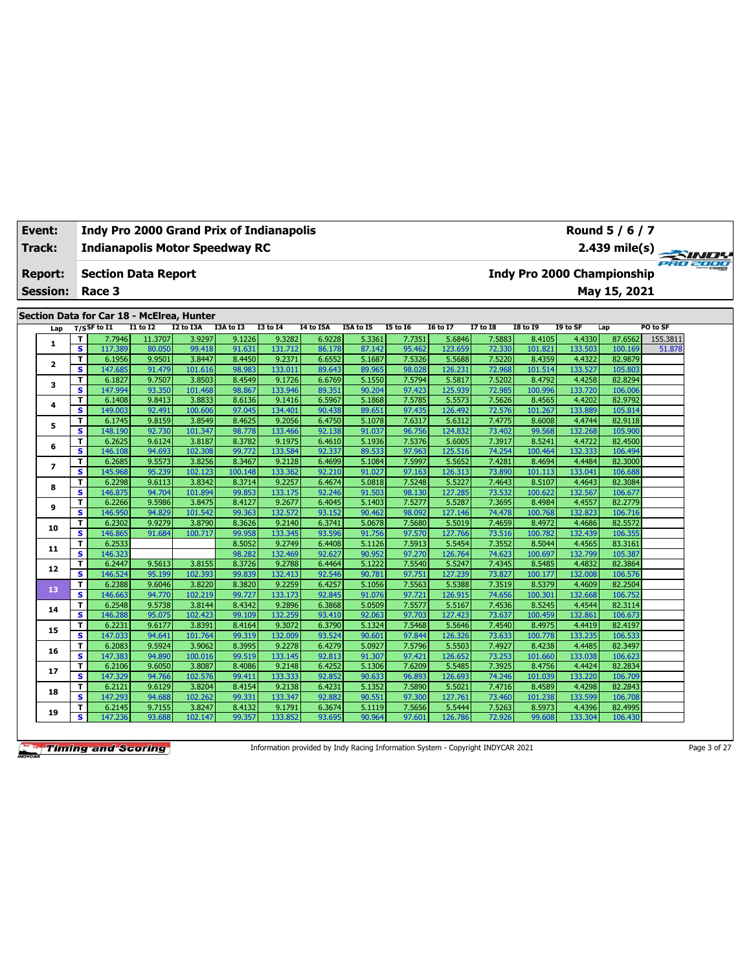| <b>Event:</b>   |                         | <b>Indy Pro 2000 Grand Prix of Indianapolis</b>             |                  |                   |                  |                   |                  |                  |                  |                   |                  |                   |                   | Round 5 / 6 / 7                   |                 |
|-----------------|-------------------------|-------------------------------------------------------------|------------------|-------------------|------------------|-------------------|------------------|------------------|------------------|-------------------|------------------|-------------------|-------------------|-----------------------------------|-----------------|
| Track:          |                         | <b>Indianapolis Motor Speedway RC</b>                       |                  |                   |                  |                   |                  |                  |                  |                   |                  |                   |                   | 2.439 mile(s)                     | <b>PRO 2000</b> |
| <b>Report:</b>  |                         | <b>Section Data Report</b>                                  |                  |                   |                  |                   |                  |                  |                  |                   |                  |                   |                   | <b>Indy Pro 2000 Championship</b> |                 |
| <b>Session:</b> |                         | Race 3                                                      |                  |                   |                  |                   |                  |                  |                  |                   |                  |                   |                   | May 15, 2021                      |                 |
|                 |                         |                                                             |                  |                   |                  |                   |                  |                  |                  |                   |                  |                   |                   |                                   |                 |
| Lap             |                         | Section Data for Car 18 - McElrea, Hunter<br>$T/S$ SF to I1 | $I1$ to $I2$     | I2 to I3A         | I3A to I3        | <b>I3 to 14</b>   | <b>I4 to I5A</b> | I5A to I5        | <b>I5 to 16</b>  | <b>I6 to I7</b>   | <b>I7 to I8</b>  | <b>I8 to 19</b>   | I9 to SF          | Lap                               | PO to SF        |
|                 | T                       | 7.7946                                                      | 11.3707          | 3.9297            | 9.1226           | 9.3282            | 6.9228           | 5.3361           | 7.7351           | 5.6846            | 7.5883           | 8.4105            | 4.4330            | 87.6562                           | 155.3811        |
| $\mathbf{1}$    | s                       | 117.389                                                     | 80.050           | 99.418            | 91.631           | 131.712           | 86.178           | 87.142           | 95.462           | 123.659           | 72.330           | 101.821           | 133.503           | 100.169                           | 51.878          |
|                 | т                       | 6.1956                                                      | 9.9501           | 3.8447            | 8.4450           | 9.2371            | 6.6552           | 5.1687           | 7.5326           | 5.5688            | 7.5220           | 8.4359            | 4.4322            | 82.9879                           |                 |
| 2               | s                       | 147.685                                                     | 91.479           | 101.616           | 98.983           | 133.011           | 89.643           | 89.965           | 98.028           | 126.231           | 72.968           | 101.514           | 133.527           | 105.803                           |                 |
|                 | т                       | 6.1827                                                      | 9.7507           | 3.8503            | 8.4549           | 9.1726            | 6.6769           | 5.1550           | 7.5794           | 5.5817            | 7.5202           | 8.4792            | 4.4258            | 82.8294                           |                 |
| 3               | s                       | 147.994                                                     | 93.350           | 101.468           | 98.867           | 133.946           | 89.351           | 90.204           | 97.423           | 125.939           | 72.985           | 100.996           | 133.720           | 106.006                           |                 |
|                 | т                       | 6.1408                                                      | 9.8413           | 3.8833            | 8.6136           | 9.1416            | 6.5967           | 5.1868           | 7.5785           | 5.5573            | 7.5626           | 8.4565            | 4.4202            | 82.9792                           |                 |
| 4               | $\overline{\mathbf{s}}$ | 149.003                                                     | 92.491           | 100.606           | 97.045           | 134.401           | 90.438           | 89.651           | 97.435           | 126.492           | 72.576           | 101.267           | 133.889           | 105.814                           |                 |
|                 | т                       | 6.1745                                                      | 9.8159           | 3.8549            | 8.4625           | 9.2056            | 6.4750           | 5.1078           | 7.6317           | 5.6312            | 7.4775           | 8.6008            | 4.4744            | 82.9118                           |                 |
| 5               | s                       | 148.190                                                     | 92.730           | 101.347           | 98.778           | 133.466           | 92.138           | 91.037           | 96.756           | 124.832           | 73.402           | 99.568            | 132.268           | 105.900                           |                 |
| 6               | т                       | 6.2625                                                      | 9.6124           | 3.8187            | 8.3782           | 9.1975            | 6.4610           | 5.1936           | 7.5376           | 5.6005            | 7.3917           | 8.5241            | 4.4722            | 82.4500                           |                 |
|                 | $\overline{\mathbf{s}}$ | 146.108                                                     | 94.693           | 102.308           | 99.772           | 133.584           | 92.337           | 89.533           | 97.963           | 125.516           | 74.254           | 100.464           | 132.333           | 106.494                           |                 |
| $\overline{ }$  | т                       | 6.2685                                                      | 9.5573           | 3.8256            | 8.3467           | 9.2128            | 6.4699           | 5.1084           | 7.5997           | 5.5652            | 7.4281           | 8.4694            | 4.4484            | 82.3000                           |                 |
|                 | s                       | 145.968                                                     | 95.239           | 102.123           | 100.148          | 133.362           | 92.210           | 91.027           | 97.163           | 126.313           | 73.890           | 101.113           | 133.041           | 106.688                           |                 |
| 8               | т                       | 6.2298                                                      | 9.6113           | 3.8342            | 8.3714           | 9.2257            | 6.4674           | 5.0818           | 7.5248           | 5.5227            | 7.4643           | 8.5107            | 4.4643            | 82.3084                           |                 |
|                 | s                       | 146.875                                                     | 94.704           | 101.894           | 99.853           | 133.175           | 92.246           | 91.503           | 98.130           | 127.285           | 73.532           | 100.622           | 132.567           | 106.677                           |                 |
| 9               | т                       | 6.2266                                                      | 9.5986           | 3.8475            | 8.4127           | 9.2677            | 6.4045           | 5.1403           | 7.5277           | 5.5287            | 7.3695           | 8.4984            | 4.4557            | 82.2779                           |                 |
|                 | s                       | 146.950                                                     | 94.829           | 101.542           | 99.363           | 132.572           | 93.152           | 90.462           | 98.092           | 127.146           | 74.478           | 100.768           | 132.823           | 106.716                           |                 |
| 10              | т                       | 6.2302                                                      | 9.9279           | 3.8790            | 8.3626           | 9.2140            | 6.3741           | 5.0678           | 7.5680           | 5.5019            | 7.4659           | 8.4972            | 4.4686            | 82.5572                           |                 |
|                 | s                       | 146.865                                                     | 91.684           | 100.717           | 99.958           | 133.345           | 93.596           | 91.756           | 97.570           | 127.766           | 73.516           | 100.782           | 132.439           | 106.355                           |                 |
| 11              | T                       | 6.2533                                                      |                  |                   | 8.5052           | 9.2749            | 6.4408           | 5.1126           | 7.5913           | 5.5454            | 7.3552           | 8.5044            | 4.4565            | 83.3161                           |                 |
|                 | s                       | 146.323                                                     |                  |                   | 98.282           | 132.469           | 92.627           | 90.952           | 97.270           | 126.764           | 74.623           | 100.697           | 132.799           | 105.387                           |                 |
| 12              | т                       | 6.2447                                                      | 9.5613           | 3.8155            | 8.3726           | 9.2788            | 6.4464           | 5.1222           | 7.5540           | 5.5247            | 7.4345           | 8.5485            | 4.4832            | 82.3864                           |                 |
|                 | s                       | 146.524                                                     | 95.199           | 102.393           | 99.839           | 132.413           | 92.546           | 90.781           | 97.751           | 127.239           | 73.827           | 100.177           | 132.008           | 106.576                           |                 |
| 13              | T                       | 6.2388                                                      | 9.6046           | 3.8220            | 8.3820           | 9.2259            | 6.4257           | 5.1056           | 7.5563           | 5.5388            | 7.3519           | 8.5379            | 4.4609            | 82.2504                           |                 |
|                 | $\overline{\mathbf{s}}$ | 146.663                                                     | 94.770           | 102.219           | 99.727           | 133.173           | 92.845           | 91.076           | 97.721           | 126.915           | 74.656           | 100.301           | 132.668           | 106.752                           |                 |
| 14              | т                       | 6.2548                                                      | 9.5738           | 3.8144            | 8.4342           | 9.2896            | 6.3868           | 5.0509           | 7.5577           | 5.5167            | 7.4536           | 8.5245            | 4.4544            | 82.3114                           |                 |
|                 | s                       | 146.288                                                     | 95.075           | 102.423           | 99.109           | 132.259           | 93.410           | 92.063           | 97.703           | 127.423           | 73.637           | 100.459           | 132.861           | 106.673                           |                 |
| 15              | T                       | 6.2231                                                      | 9.6177           | 3.8391            | 8.4164           | 9.3072            | 6.3790           | 5.1324           | 7.5468           | 5.5646            | 7.4540           | 8.4975            | 4.4419            | 82.4197                           |                 |
|                 | $\overline{\mathbf{s}}$ | 147.033                                                     | 94.641           | 101.764           | 99.319           | 132.009           | 93.524           | 90.601           | 97.844           | 126.326           | 73.633           | 100.778           | 133.235           | 106.533                           |                 |
| 16              | т<br>s                  | 6.2083                                                      | 9.5924           | 3.9062            | 8.3995           | 9.2278            | 6.4279           | 5.0927           | 7.5796           | 5.5503            | 7.4927           | 8.4238            | 4.4485            | 82.3497                           |                 |
|                 | T                       | 147.383                                                     | 94.890           | 100.016           | 99.519           | 133.145           | 92.813           | 91.307           | 97.421           | 126.652           | 73.253           | 101.660           | 133.038           | 106.623                           |                 |
| 17              | $\overline{\mathbf{s}}$ | 6.2106<br>147.329                                           | 9.6050<br>94.766 | 3.8087<br>102.576 | 8.4086<br>99.411 | 9.2148<br>133.333 | 6.4252<br>92.852 | 5.1306<br>90.633 | 7.6209<br>96.893 | 5.5485<br>126.693 | 7.3925<br>74.246 | 8.4756<br>101.039 | 4.4424<br>133.220 | 82.2834<br>106.709                |                 |
|                 | т                       | 6.2121                                                      | 9.6129           | 3.8204            | 8.4154           | 9.2138            | 6.4231           | 5.1352           | 7.5890           | 5.5021            | 7.4716           | 8.4589            | 4.4298            | 82.2843                           |                 |
| 18              | s                       | 147.293                                                     | 94.688           | 102.262           | 99.331           | 133.347           | 92.882           | 90.551           | 97.300           | 127.761           | 73.460           | 101.238           | 133.599           | 106.708                           |                 |
|                 | T                       | 6.2145                                                      | 9.7155           | 3.8247            | 8.4132           | 9.1791            | 6.3674           | 5.1119           | 7.5656           | 5.5444            | 7.5263           | 8.5973            | 4.4396            | 82.4995                           |                 |
| 19              | s                       | 147.236                                                     | 93.688           | 102.147           | 99.357           | 133.852           | 93.695           | 90.964           | 97.601           | 126.786           | 72.926           | 99.608            | 133.304           | 106.430                           |                 |
|                 |                         |                                                             |                  |                   |                  |                   |                  |                  |                  |                   |                  |                   |                   |                                   |                 |

Information provided by Indy Racing Information System - Copyright INDYCAR 2021 Page 3 of 27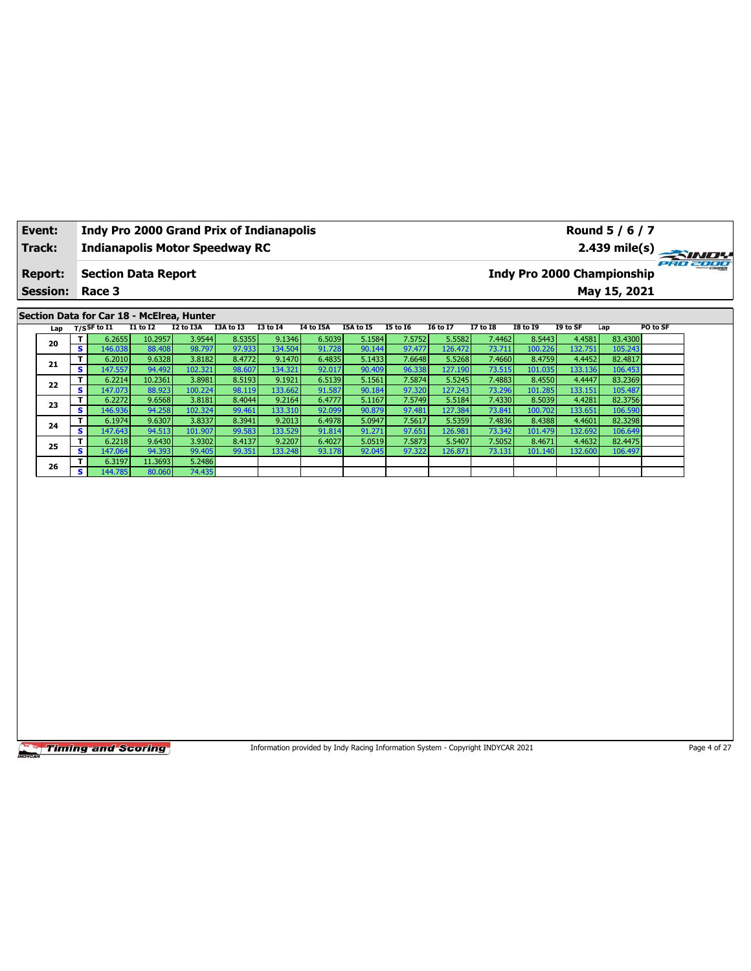| Event:          |                         | <b>Indy Pro 2000 Grand Prix of Indianapolis</b>             |                  |                   |                  |                   |                  |                  |                  |                   |                  |                                   |                   | Round 5 / 6 / 7    |          |
|-----------------|-------------------------|-------------------------------------------------------------|------------------|-------------------|------------------|-------------------|------------------|------------------|------------------|-------------------|------------------|-----------------------------------|-------------------|--------------------|----------|
| Track:          |                         | <b>Indianapolis Motor Speedway RC</b>                       |                  |                   |                  |                   |                  |                  |                  |                   |                  |                                   |                   | $2.439$ mile(s)    |          |
| <b>Report:</b>  |                         | <b>Section Data Report</b>                                  |                  |                   |                  |                   |                  |                  |                  |                   |                  | <b>Indy Pro 2000 Championship</b> |                   |                    | PRO 2000 |
| <b>Session:</b> |                         | Race 3                                                      |                  |                   |                  |                   |                  |                  |                  |                   |                  |                                   |                   | May 15, 2021       |          |
|                 |                         |                                                             |                  |                   |                  |                   |                  |                  |                  |                   |                  |                                   |                   |                    |          |
| Lap             |                         | Section Data for Car 18 - McElrea, Hunter<br>$T/S$ SF to I1 | $I1$ to $I2$     | I2 to I3A         | I3A to I3        | <b>I3 to 14</b>   | <b>I4 to I5A</b> | I5A to I5        | <b>I5 to 16</b>  | <b>I6 to I7</b>   | <b>I7 to 18</b>  | <b>I8 to 19</b>                   | I9 to SF          | Lap                | PO to SF |
|                 | T.                      | 6.2655                                                      | 10.2957          | 3.9544            | 8.5355           | 9.1346            | 6.5039           | 5.1584           | 7.5752           | 5.5582            | 7.4462           | 8.5443                            | 4.4581            | 83.4300            |          |
| 20              | s.                      | 146.038                                                     | 88.408           | 98.797            | 97.933           | 134.504           | 91.728           | 90.144           | 97.477           | 126.472           | 73.711           | 100.226                           | 132.751           | 105.243            |          |
|                 | T                       | 6.2010                                                      | 9.6328           | 3.8182            | 8.4772           | 9.1470            | 6.4835           | 5.1433           | 7.6648           | 5.5268            | 7.4660           | 8.4759                            | 4.4452            | 82.4817            |          |
| 21              | s                       | 147.557                                                     | 94.492           | 102.321           | 98.607           | 134.321           | 92.017           | 90.409           | 96.338           | 127.190           | 73.515           | 101.035                           | 133.136           | 106.453            |          |
| 22              | T                       | 6.2214                                                      | 10.2361          | 3.8981            | 8.5193           | 9.1921            | 6.5139           | 5.1561           | 7.5874           | 5.5245            | 7.4883           | 8.4550                            | 4.4447            | 83.2369            |          |
|                 | $\overline{\mathbf{s}}$ | 147.073                                                     | 88.923           | 100.224           | 98.119           | 133.662           | 91.587           | 90.184           | 97.320           | 127.243           | 73.296           | 101.285                           | 133.151           | 105.487            |          |
| 23              | T                       | 6.2272                                                      | 9.6568           | 3.8181            | 8.4044           | 9.2164            | 6.4777           | 5.1167           | 7.5749           | 5.5184            | 7.4330           | 8.5039                            | 4.4281            | 82.3756            |          |
|                 | $\overline{\mathbf{s}}$ | 146.936<br>6.1974                                           | 94.258           | 102.324<br>3.8337 | 99.461           | 133.310<br>9.2013 | 92.099           | 90.879<br>5.0947 | 97.481<br>7.5617 | 127.384<br>5.5359 | 73.841<br>7.4836 | 100.702                           | 133.651<br>4.4601 | 106.590<br>82.3298 |          |
| 24              | T.<br>s.                | 147.643                                                     | 9.6307<br>94.513 | 101.907           | 8.3941<br>99.583 | 133.529           | 6.4978<br>91.814 | 91.271           | 97.651           | 126.981           | 73.342           | 8.4388<br>101.479                 | 132.692           | 106.649            |          |
|                 | T.                      | 6.2218                                                      | 9.6430           | 3.9302            | 8.4137           | 9.2207            | 6.4027           | 5.0519           | 7.5873           | 5.5407            | 7.5052           | 8.4671                            | 4.4632            | 82.4475            |          |
| 25              | s.                      | 147.064                                                     | 94.393           | 99.405            | 99.351           | 133.248           | 93.178           | 92.045           | 97.322           | 126.871           | 73.131           | 101.140                           | 132.600           | 106.497            |          |
|                 | T                       | 6.3197                                                      | 11.3693          | 5.2486            |                  |                   |                  |                  |                  |                   |                  |                                   |                   |                    |          |
| 26              | s.                      | 144.785                                                     | 80.060           | 74.435            |                  |                   |                  |                  |                  |                   |                  |                                   |                   |                    |          |
|                 |                         |                                                             |                  |                   |                  |                   |                  |                  |                  |                   |                  |                                   |                   |                    |          |
|                 |                         |                                                             |                  |                   |                  |                   |                  |                  |                  |                   |                  |                                   |                   |                    |          |

Information provided by Indy Racing Information System - Copyright INDYCAR 2021 Page 4 of 27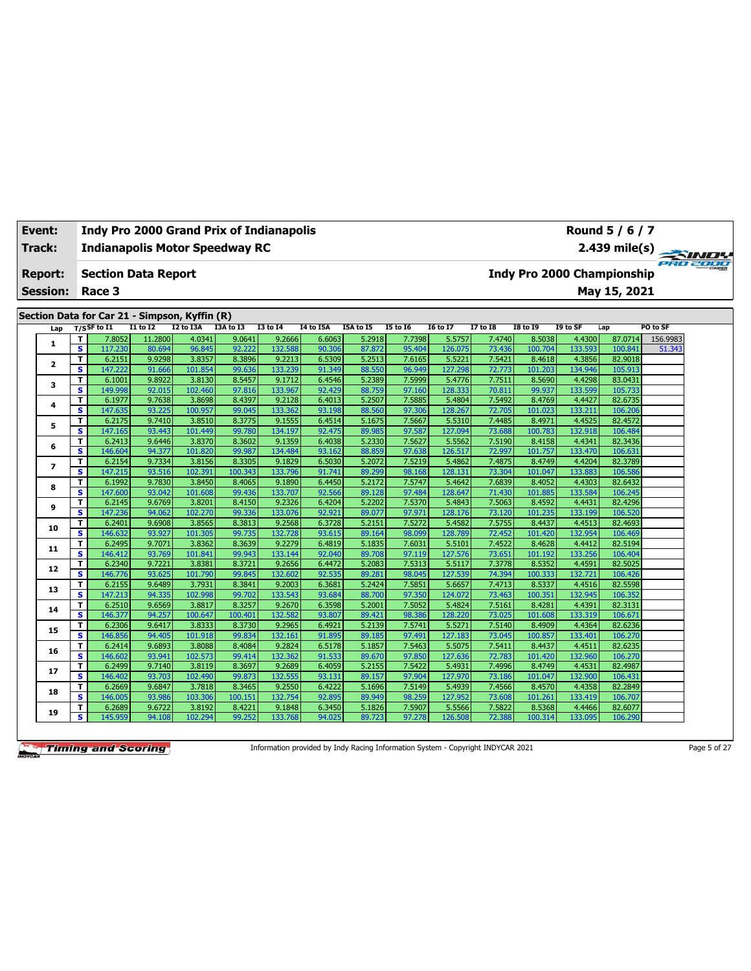| <b>Event:</b>   |                              | <b>Indy Pro 2000 Grand Prix of Indianapolis</b> |                  |                   |                  |                   |                  |                  |                  |                   |                  |                   |                   | Round 5 / 6 / 7                   |          |
|-----------------|------------------------------|-------------------------------------------------|------------------|-------------------|------------------|-------------------|------------------|------------------|------------------|-------------------|------------------|-------------------|-------------------|-----------------------------------|----------|
| Track:          |                              | <b>Indianapolis Motor Speedway RC</b>           |                  |                   |                  |                   |                  |                  |                  |                   |                  |                   |                   | 2.439 mile(s)                     | PRO 2000 |
| <b>Report:</b>  |                              | <b>Section Data Report</b>                      |                  |                   |                  |                   |                  |                  |                  |                   |                  |                   |                   | <b>Indy Pro 2000 Championship</b> |          |
| <b>Session:</b> |                              | Race 3                                          |                  |                   |                  |                   |                  |                  |                  |                   |                  |                   |                   | May 15, 2021                      |          |
|                 |                              |                                                 |                  |                   |                  |                   |                  |                  |                  |                   |                  |                   |                   |                                   |          |
|                 |                              | Section Data for Car 21 - Simpson, Kyffin (R)   |                  |                   |                  |                   |                  |                  |                  |                   |                  |                   |                   |                                   |          |
| Lap             |                              | $T/S$ SF to I1                                  | <b>I1 to I2</b>  | I2 to I3A         | I3A to I3        | <b>I3 to 14</b>   | I4 to I5A        | I5A to I5        | <b>I5 to 16</b>  | <b>16 to 17</b>   | <b>I7 to I8</b>  | <b>18 to 19</b>   | I9 to SF          | Lap                               | PO to SF |
| 1               | т                            | 7.8052                                          | 11.2800          | 4.0341            | 9.0641           | 9.2666            | 6.6063           | 5.2918           | 7.7398           | 5.5757            | 7.4740           | 8.5038            | 4.4300            | 87.0714                           | 156.9983 |
|                 | $\overline{\mathbf{s}}$<br>T | 117.230<br>6.2151                               | 80.694           | 96.845<br>3.8357  | 92.222           | 132.588<br>9.2213 | 90.306           | 87.872           | 95.404           | 126.075           | 73.436           | 100.704           | 133.593           | 100.841                           | 51.343   |
| 2               | s                            | 147.222                                         | 9.9298<br>91.666 | 101.854           | 8.3896<br>99.636 | 133.239           | 6.5309<br>91.349 | 5.2513<br>88.550 | 7.6165<br>96.949 | 5.5221<br>127.298 | 7.5421<br>72.773 | 8.4618<br>101.203 | 4.3856<br>134.946 | 82.9018<br>105.913                |          |
|                 | т                            | 6.1001                                          | 9.8922           | 3.8130            | 8.5457           | 9.1712            | 6.4546           | 5.2389           | 7.5999           | 5.4776            | 7.7511           | 8.5690            | 4.4298            | 83.0431                           |          |
| з               | s                            | 149.998                                         | 92.015           | 102.460           | 97.816           | 133.967           | 92.429           | 88.759           | 97.160           | 128.333           | 70.811           | 99.937            | 133.599           | 105.733                           |          |
|                 | т                            | 6.1977                                          | 9.7638           | 3.8698            | 8.4397           | 9.2128            | 6.4013           | 5.2507           | 7.5885           | 5.4804            | 7.5492           | 8.4769            | 4.4427            | 82.6735                           |          |
| 4               | $\overline{\mathbf{s}}$      | 147.635                                         | 93.225           | 100.957           | 99.045           | 133.362           | 93.198           | 88.560           | 97.306           | 128.267           | 72.705           | 101.023           | 133.211           | 106.206                           |          |
|                 | T                            | 6.2175                                          | 9.7410           | 3.8510            | 8.3775           | 9.1555            | 6.4514           | 5.1675           | 7.5667           | 5.5310            | 7.4485           | 8.4971            | 4.4525            | 82.4572                           |          |
| 5               | s                            | 147.165                                         | 93.443           | 101.449           | 99.780           | 134.197           | 92.475           | 89.985           | 97.587           | 127.094           | 73.688           | 100.783           | 132.918           | 106.484                           |          |
|                 | т                            | 6.2413                                          | 9.6446           | 3.8370            | 8.3602           | 9.1359            | 6.4038           | 5.2330           | 7.5627           | 5.5562            | 7.5190           | 8.4158            | 4.4341            | 82.3436                           |          |
| 6               | $\overline{\mathbf{s}}$      | 146.604                                         | 94.377           | 101.820           | 99.987           | 134.484           | 93.162           | 88.859           | 97.638           | 126.517           | 72.997           | 101.757           | 133.470           | 106.631                           |          |
|                 | T                            | 6.2154                                          | 9.7334           | 3.8156            | 8.3305           | 9.1829            | 6.5030           | 5.2072           | 7.5219           | 5.4862            | 7.4875           | 8.4749            | 4.4204            | 82.3789                           |          |
| $\overline{ }$  | s                            | 147.215                                         | 93.516           | 102.391           | 100.343          | 133.796           | 91.741           | 89.299           | 98.168           | 128.131           | 73.304           | 101.047           | 133.883           | 106.586                           |          |
|                 | T                            | 6.1992                                          | 9.7830           | 3.8450            | 8.4065           | 9.1890            | 6.4450           | 5.2172           | 7.5747           | 5.4642            | 7.6839           | 8.4052            | 4.4303            | 82.6432                           |          |
| 8               | s                            | 147.600                                         | 93.042           | 101.608           | 99.436           | 133.707           | 92.566           | 89.128           | 97.484           | 128.647           | 71.430           | 101.885           | 133.584           | 106.245                           |          |
| 9               | т                            | 6.2145                                          | 9.6769           | 3.8201            | 8.4150           | 9.2326            | 6.4204           | 5.2202           | 7.5370           | 5.4843            | 7.5063           | 8.4592            | 4.4431            | 82.4296                           |          |
|                 | $\overline{\mathbf{s}}$      | 147.236                                         | 94.062           | 102.270           | 99.336           | 133.076           | 92.921           | 89.077           | 97.971           | 128.176           | 73.120           | 101.235           | 133.199           | 106.520                           |          |
| 10              | T                            | 6.2401                                          | 9.6908           | 3.8565            | 8.3813           | 9.2568            | 6.3728           | 5.2151           | 7.5272           | 5.4582            | 7.5755           | 8.4437            | 4.4513            | 82.4693                           |          |
|                 | s                            | 146.632                                         | 93.927           | 101.305           | 99.735           | 132.728           | 93.615           | 89.164           | 98.099           | 128,789           | 72.452           | 101.420           | 132.954           | 106.469                           |          |
| 11              | т                            | 6.2495                                          | 9.7071           | 3.8362            | 8.3639           | 9.2279            | 6.4819           | 5.1835           | 7.6031           | 5.5101            | 7.4522           | 8.4628            | 4.4412            | 82.5194                           |          |
|                 | s                            | 146.412                                         | 93.769           | 101.841           | 99.943           | 133.144           | 92.040           | 89.708           | 97.119           | 127.576           | 73.651           | 101.192           | 133.256           | 106.404                           |          |
| 12              | т                            | 6.2340                                          | 9.7221           | 3.8381            | 8.3721           | 9.2656            | 6.4472           | 5.2083           | 7.5313           | 5.5117            | 7.3778           | 8.5352            | 4.4591            | 82.5025                           |          |
|                 | s                            | 146.776                                         | 93.625           | 101.790           | 99.845           | 132.602           | 92.535           | 89.281           | 98.045           | 127.539           | 74.394           | 100.333           | 132.721           | 106.426                           |          |
| 13              | т                            | 6.2155                                          | 9.6489           | 3.7931            | 8.3841           | 9.2003            | 6.3681           | 5.2424           | 7.5851           | 5.6657            | 7.4713           | 8.5337            | 4.4516            | 82.5598                           |          |
|                 | s                            | 147.213                                         | 94.335           | 102.998           | 99.702           | 133.543           | 93.684           | 88.700           | 97.350           | 124.072           | 73.463           | 100.351           | 132.945           | 106.352                           |          |
| 14              | т                            | 6.2510                                          | 9.6569           | 3.8817            | 8.3257           | 9.2670            | 6.3598           | 5.2001           | 7.5052           | 5.4824            | 7.5161           | 8.4281            | 4.4391            | 82.3131                           |          |
|                 | $\overline{\mathbf{s}}$      | 146.377                                         | 94.257           | 100.647           | 100.401          | 132.582           | 93.807           | 89.421           | 98.386           | 128.220           | 73.025           | 101.608           | 133.319           | 106.671                           |          |
| 15              | T                            | 6.2306                                          | 9.6417           | 3.8333            | 8.3730           | 9.2965            | 6.4921           | 5.2139           | 7.5741           | 5.5271            | 7.5140           | 8.4909            | 4.4364            | 82.6236                           |          |
|                 | s                            | 146.856                                         | 94.405           | 101.918           | 99.834           | 132.161           | 91.895           | 89.185           | 97.491           | 127.183           | 73.045           | 100.857           | 133.401           | 106.270                           |          |
| 16              | т<br>$\overline{\mathbf{s}}$ | 6.2414<br>146.602                               | 9.6893<br>93.941 | 3.8088<br>102.573 | 8.4084<br>99.414 | 9.2824<br>132.362 | 6.5178<br>91.533 | 5.1857<br>89.670 | 7.5463<br>97.850 | 5.5075<br>127.636 | 7.5411<br>72.783 | 8.4437<br>101.420 | 4.4511<br>132.960 | 82.6235<br>106.270                |          |
|                 | T                            | 6.2499                                          | 9.7140           | 3.8119            | 8.3697           | 9.2689            | 6.4059           | 5.2155           | 7.5422           | 5.4931            | 7.4996           | 8.4749            | 4.4531            | 82.4987                           |          |
| 17              | $\overline{\mathbf{s}}$      | 146.402                                         | 93.703           | 102.490           | 99.873           | 132.555           | 93.131           | 89.157           | 97.904           | 127.970           | 73.186           | 101.047           | 132.900           | 106.431                           |          |
|                 | T                            | 6.2669                                          | 9.6847           | 3.7818            | 8.3465           | 9.2550            | 6.4222           | 5.1696           | 7.5149           | 5.4939            | 7.4566           | 8.4570            | 4.4358            | 82.2849                           |          |
| 18              | s                            | 146.005                                         | 93.986           | 103.306           | 100.151          | 132.754           | 92.895           | 89.949           | 98.259           | 127.952           | 73.608           | 101.261           | 133.419           | 106.707                           |          |
|                 | т                            | 6.2689                                          | 9.6722           | 3.8192            | 8.4221           | 9.1848            | 6.3450           | 5.1826           | 7.5907           | 5.5566            | 7.5822           | 8.5368            | 4.4466            | 82.6077                           |          |
| 19              | s                            | 145.959                                         | 94.108           | 102.294           | 99.252           | 133.768           | 94.025           | 89.723           | 97.278           | 126.508           | 72.388           | 100.314           | 133.095           | 106.290                           |          |
|                 |                              |                                                 |                  |                   |                  |                   |                  |                  |                  |                   |                  |                   |                   |                                   |          |

Information provided by Indy Racing Information System - Copyright INDYCAR 2021 Page 5 of 27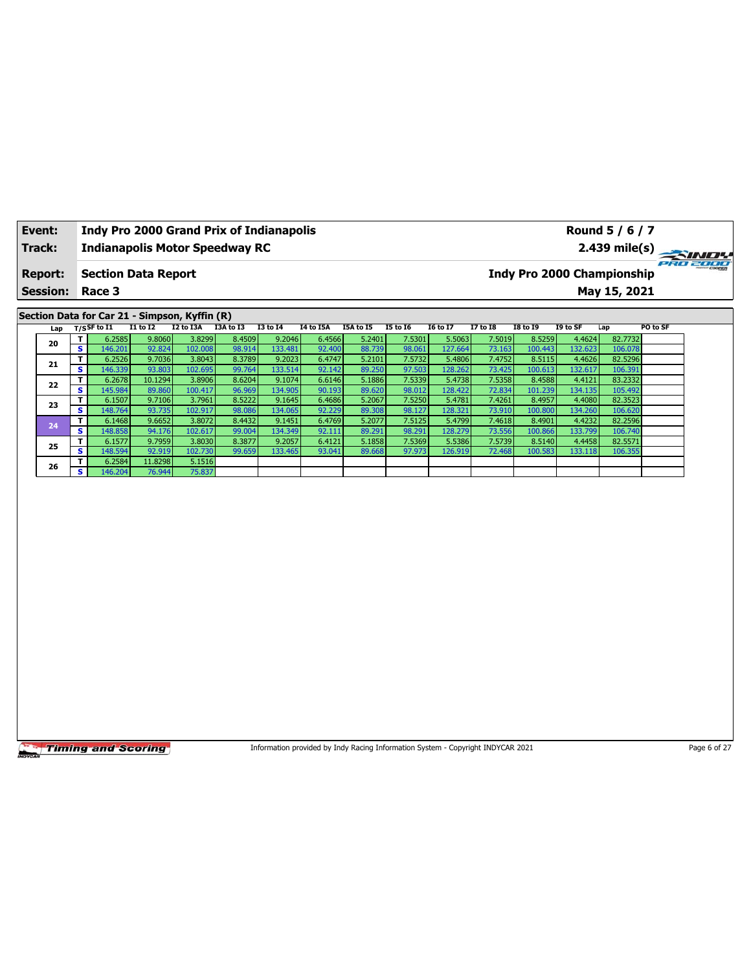| <b>Event:</b>   |                              | <b>Indy Pro 2000 Grand Prix of Indianapolis</b> |                  |                   |                  |                   |                  |                  |                  |                   |                  |                   |                   | Round 5 / 6 / 7                   |          |
|-----------------|------------------------------|-------------------------------------------------|------------------|-------------------|------------------|-------------------|------------------|------------------|------------------|-------------------|------------------|-------------------|-------------------|-----------------------------------|----------|
| Track:          |                              | <b>Indianapolis Motor Speedway RC</b>           |                  |                   |                  |                   |                  |                  |                  |                   |                  |                   |                   | $2.439$ mile(s)                   |          |
| <b>Report:</b>  |                              | <b>Section Data Report</b>                      |                  |                   |                  |                   |                  |                  |                  |                   |                  |                   |                   | <b>Indy Pro 2000 Championship</b> | PRO 2000 |
| <b>Session:</b> |                              | Race 3                                          |                  |                   |                  |                   |                  |                  |                  |                   |                  |                   |                   | May 15, 2021                      |          |
|                 |                              | Section Data for Car 21 - Simpson, Kyffin (R)   |                  |                   |                  |                   |                  |                  |                  |                   |                  |                   |                   |                                   |          |
| Lap             |                              | $T/S$ SF to $I1$                                | $I1$ to $I2$     | I2 to I3A         | I3A to I3        | <b>I3 to 14</b>   | <b>I4 to I5A</b> | I5A to I5        | <b>I5 to 16</b>  | <b>I6 to I7</b>   | <b>I7 to I8</b>  | <b>I8 to I9</b>   | I9 to SF          | PO to SF<br>Lap                   |          |
| 20              | т                            | 6.2585                                          | 9.8060           | 3.8299            | 8.4509           | 9.2046            | 6.4566           | 5.2401           | 7.5301           | 5.5063            | 7.5019           | 8.5259            | 4.4624            | 82.7732                           |          |
|                 | $\overline{\mathbf{s}}$      | 146.201                                         | 92.824           | 102.008           | 98.914           | 133.481           | 92.400           | 88.739           | 98.061           | 127.664           | 73.163           | 100.443           | 132.623           | 106.078                           |          |
| 21              | T<br>$\overline{\mathbf{s}}$ | 6.2526<br>146.339                               | 9.7036<br>93.803 | 3.8043<br>102.695 | 8.3789<br>99.764 | 9.2023<br>133.514 | 6.4747<br>92.142 | 5.2101<br>89.250 | 7.5732<br>97.503 | 5.4806<br>128.262 | 7.4752<br>73.425 | 8.5115<br>100.613 | 4.4626<br>132.617 | 82.5296<br>106.391                |          |
|                 | T                            | 6.2678                                          | 10.1294          | 3.8906            | 8.6204           | 9.1074            | 6.6146           | 5.1886           | 7.5339           | 5.4738            | 7.5358           | 8.4588            | 4.4121            | 83.2332                           |          |
| 22              | $\overline{\mathbf{s}}$      | 145.984                                         | 89.860           | 100.417           | 96.969           | 134.905           | 90.193           | 89.620           | 98.012           | 128.422           | 72.834           | 101.239           | 134.135           | 105.492                           |          |
|                 | T                            | 6.1507                                          | 9.7106           | 3.7961            | 8.5222           | 9.1645            | 6.4686           | 5.2067           | 7.5250           | 5.4781            | 7.4261           | 8.4957            | 4.4080            | 82.3523                           |          |
| 23              | $\overline{\mathbf{s}}$      | 148.764                                         | 93.735           | 102.917           | 98.086           | 134.065           | 92.229           | 89.308           | 98.127           | 128.321           | 73.910           | 100.800           | 134.260           | 106.620                           |          |
| 24              | T                            | 6.1468                                          | 9.6652           | 3.8072            | 8.4432           | 9.1451            | 6.4769           | 5.2077           | 7.5125           | 5.4799            | 7.4618           | 8.4901            | 4.4232            | 82.2596                           |          |
|                 | $\overline{\mathbf{s}}$      | 148.858                                         | 94.176           | 102.617           | 99.004           | 134.349           | 92.111           | 89.291           | 98.291           | 128.279           | 73.556           | 100.866           | 133.799           | 106.740                           |          |
| 25              | Τ<br>$\overline{\mathbf{s}}$ | 6.1577<br>148.594                               | 9.7959<br>92.919 | 3.8030<br>102.730 | 8.3877<br>99.659 | 9.2057<br>133.465 | 6.4121<br>93.041 | 5.1858<br>89.668 | 7.5369<br>97.973 | 5.5386<br>126.919 | 7.5739<br>72.468 | 8.5140<br>100.583 | 4.4458<br>133.118 | 82.5571<br>106.355                |          |
|                 | T                            | 6.2584                                          | 11.8298          | 5.1516            |                  |                   |                  |                  |                  |                   |                  |                   |                   |                                   |          |
| 26              | $\overline{\mathbf{s}}$      | 146.204                                         | 76.944           | 75.837            |                  |                   |                  |                  |                  |                   |                  |                   |                   |                                   |          |
|                 |                              |                                                 |                  |                   |                  |                   |                  |                  |                  |                   |                  |                   |                   |                                   |          |
|                 |                              |                                                 |                  |                   |                  |                   |                  |                  |                  |                   |                  |                   |                   |                                   |          |

Information provided by Indy Racing Information System - Copyright INDYCAR 2021 Page 6 of 27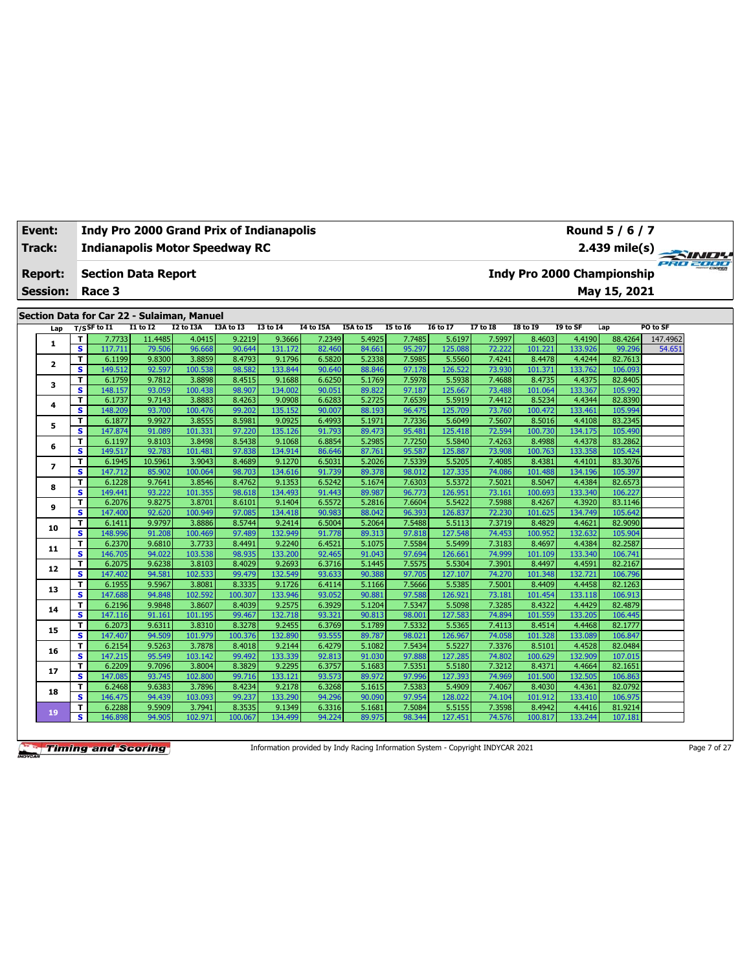| Track:                   |                              | <b>Indianapolis Motor Speedway RC</b>                        |                   |                   |                  |                   |                  |                  |                  |                   |                  |                   |                   | $2.439$ mile(s)                   |                    |
|--------------------------|------------------------------|--------------------------------------------------------------|-------------------|-------------------|------------------|-------------------|------------------|------------------|------------------|-------------------|------------------|-------------------|-------------------|-----------------------------------|--------------------|
| <b>Report:</b>           |                              | <b>Section Data Report</b>                                   |                   |                   |                  |                   |                  |                  |                  |                   |                  |                   |                   | <b>Indy Pro 2000 Championship</b> |                    |
| <b>Session:</b>          |                              | Race 3                                                       |                   |                   |                  |                   |                  |                  |                  |                   |                  |                   |                   | May 15, 2021                      |                    |
|                          |                              |                                                              |                   |                   |                  |                   |                  |                  |                  |                   |                  |                   |                   |                                   |                    |
|                          |                              | Section Data for Car 22 - Sulaiman, Manuel<br>$T/S$ SF to I1 | <b>I1 to I2</b>   | <b>I2 to I3A</b>  | I3A to I3        | <b>I3 to 14</b>   | <b>14 to 15A</b> | <b>I5A to 15</b> | <b>I5 to 16</b>  | <b>I6 to I7</b>   | <b>I7 to I8</b>  | <b>I8 to 19</b>   | I9 to SF          | Lap                               | PO to SF           |
| Lap                      |                              |                                                              |                   |                   |                  |                   |                  |                  |                  |                   |                  |                   |                   |                                   |                    |
| 1                        | т<br>$\overline{\mathbf{s}}$ | 7.7733<br>117.711                                            | 11.4485<br>79.506 | 4.0415<br>96.668  | 9.2219<br>90.644 | 9.3666<br>131.172 | 7.2349<br>82.460 | 5.4925<br>84.661 | 7.7485<br>95.297 | 5.6197<br>125.08  | 7.5997<br>72.222 | 8.4603<br>101.221 | 4.4190<br>133.926 | 88.4264<br>99.296                 | 147.4962<br>54.651 |
|                          | т                            | 6.1199                                                       | 9.8300            | 3.8859            | 8.4793           | 9.1796            | 6.5820           | 5.2338           | 7.5985           | 5.5560            | 7.4241           | 8.4478            | 4.4244            | 82.7613                           |                    |
| $\overline{\mathbf{2}}$  | s                            | 149.512                                                      | 92.597            | 100.538           | 98.582           | 133.844           | 90.640           | 88.846           | 97.178           | 126.522           | 73.930           | 101.371           | 133.762           | 106.093                           |                    |
|                          | T                            | 6.1759                                                       | 9.7812            | 3.8898            | 8.4515           | 9.1688            | 6.6250           | 5.1769           | 7.5978           | 5.5938            | 7.4688           | 8.4735            | 4.4375            | 82.8405                           |                    |
| 3                        | s                            | 148.157                                                      | 93.059            | 100.438           | 98.907           | 134.002           | 90.051           | 89.822           | 97.187           | 125.667           | 73.488           | 101.064           | 133.367           | 105.992                           |                    |
|                          | T                            | 6.1737                                                       | 9.7143            | 3.8883            | 8.4263           | 9.0908            | 6.6283           | 5.2725           | 7.6539           | 5.5919            | 7.4412           | 8.5234            | 4.4344            | 82.8390                           |                    |
| 4                        | s                            | 148.209                                                      | 93.700            | 100.476           | 99.202           | 135.152           | 90.007           | 88.193           | 96.475           | 125.709           | 73.760           | 100.472           | 133.461           | 105.994                           |                    |
|                          | T                            | 6.1877                                                       | 9.9927            | 3.8555            | 8.5981           | 9.0925            | 6.4993           | 5.1971           | 7.7336           | 5.6049            | 7.5607           | 8.5016            | 4.4108            | 83.2345                           |                    |
| 5                        | s                            | 147.874                                                      | 91.089            | 101.331           | 97.220           | 135.126           | 91.793           | 89.473           | 95.481           | 125.418           | 72.594           | 100.730           | 134.175           | 105.490                           |                    |
| 6                        | T                            | 6.1197                                                       | 9.8103            | 3.8498            | 8.5438           | 9.1068            | 6.8854           | 5.2985           | 7.7250           | 5.5840            | 7.4263           | 8.4988            | 4.4378            | 83.2862                           |                    |
|                          | s                            | 149.517                                                      | 92.783            | 101.481           | 97.838           | 134.914           | 86.646           | 87.761           | 95.587           | 125.887           | 73.908           | 100.763           | 133.358           | 105.424                           |                    |
| $\overline{\phantom{a}}$ | T                            | 6.1945                                                       | 10.5961           | 3.9043            | 8.4689           | 9.1270            | 6.5031           | 5.2026           | 7.5339           | 5.5205            | 7.4085           | 8.4381            | 4.4101            | 83.3076                           |                    |
|                          | s                            | 147.712                                                      | 85.902            | 100.064           | 98.703           | 134.616           | 91.739           | 89.378           | 98.012           | 127.335           | 74.086           | 101.488           | 134.196           | 105.397                           |                    |
| 8                        | T                            | 6.1228                                                       | 9.7641            | 3.8546            | 8.4762           | 9.1353            | 6.5242           | 5.1674           | 7.6303           | 5.5372            | 7.5021           | 8.5047            | 4.4384            | 82.6573                           |                    |
|                          | $\overline{\mathbf{s}}$      | 149.441                                                      | 93.222            | 101.355           | 98.618           | 134.493           | 91.443           | 89.987           | 96.773           | 126.95:           | 73.161           | 100.693           | 133.340           | 106.227                           |                    |
| 9                        | т                            | 6.2076                                                       | 9.8275            | 3.8701            | 8.6101           | 9.1404            | 6.5572           | 5.2816           | 7.6604           | 5.5422            | 7.5988           | 8.4267            | 4.3920            | 83.1146                           |                    |
|                          | $\overline{\mathbf{s}}$      | 147.400                                                      | 92.620            | 100.949           | 97.085           | 134.418           | 90.983           | 88.042           | 96.393           | 126.837           | 72.230           | 101.625           | 134.749           | 105.642                           |                    |
| 10                       | T                            | 6.1411                                                       | 9.9797            | 3.8886            | 8.5744           | 9.2414            | 6.5004           | 5.2064           | 7.5488           | 5.5113            | 7.3719           | 8.4829            | 4.4621            | 82.9090                           |                    |
|                          | s                            | 148.996                                                      | 91.208            | 100.469           | 97.489           | 132.949           | 91.778           | 89.313           | 97.818           | 127.548           | 74.453           | 100.952           | 132.632           | 105.904                           |                    |
| 11                       | T                            | 6.2370                                                       | 9.6810            | 3.7733            | 8.4491           | 9.2240            | 6.4521           | 5.1075           | 7.5584           | 5.5499            | 7.3183           | 8.4697            | 4.4384            | 82.2587                           |                    |
|                          | $\overline{\mathbf{s}}$      | 146.705                                                      | 94.022            | 103.538           | 98.935           | 133.200           | 92.465           | 91.043           | 97.694           | 126.661           | 74.999           | 101.109           | 133.340           | 106.741                           |                    |
| 12                       | T<br>s                       | 6.2075<br>147.402                                            | 9.6238<br>94.581  | 3.8103<br>102.533 | 8.4029<br>99.479 | 9.2693            | 6.3716<br>93.633 | 5.1445<br>90.388 | 7.5575<br>97.705 | 5.5304<br>127.107 | 7.3901<br>74.270 | 8.4497            | 4.4591<br>132.721 | 82.2167<br>106.796                |                    |
|                          | T                            | 6.1955                                                       | 9.5967            | 3.8081            | 8.3335           | 132.549<br>9.1726 | 6.4114           | 5.1166           | 7.5666           | 5.5385            | 7.5001           | 101.348<br>8.4409 | 4.4458            | 82.1263                           |                    |
| 13                       | $\overline{\mathbf{s}}$      | 147.688                                                      | 94.848            | 102.592           | 100.307          | 133.946           | 93.052           | 90.881           | 97.588           | 126.921           | 73.181           | 101.454           | 133.118           | 106.913                           |                    |
|                          | T                            | 6.2196                                                       | 9.9848            | 3.8607            | 8.4039           | 9.2575            | 6.3929           | 5.1204           | 7.5347           | 5.5098            | 7.3285           | 8.4322            | 4.4429            | 82.4879                           |                    |
| 14                       | s                            | 147.116                                                      | 91.161            | 101.195           | 99.467           | 132.718           | 93.321           | 90.813           | 98.001           | 127.583           | 74.894           | 101.559           | 133.205           | 106.445                           |                    |
|                          | т                            | 6.2073                                                       | 9.6311            | 3.8310            | 8.3278           | 9.2455            | 6.3769           | 5.1789           | 7.5332           | 5.5365            | 7.4113           | 8.4514            | 4.4468            | 82.1777                           |                    |
| 15                       | s                            | 147.407                                                      | 94.509            | 101.979           | 100.376          | 132.890           | 93.555           | 89.787           | 98.021           | 126.967           | 74.058           | 101.328           | 133.089           | 106.847                           |                    |
|                          | Τ                            | 6.2154                                                       | 9.5263            | 3.7878            | 8.4018           | 9.2144            | 6.4279           | 5.1082           | 7.5434           | 5.5227            | 7.3376           | 8.5101            | 4.4528            | 82.0484                           |                    |
| 16                       | s.                           | 147.215                                                      | 95.549            | 103.142           | 99.492           | 133.339           | 92.813           | 91.030           | 97.888           | 127.285           | 74.802           | 100.629           | 132.909           | 107.015                           |                    |
|                          | T                            | 6.2209                                                       | 9.7096            | 3.8004            | 8.3829           | 9.2295            | 6.3757           | 5.1683           | 7.5351           | 5.5180            | 7.3212           | 8.4371            | 4.4664            | 82.1651                           |                    |
| 17                       | s                            | 147.085                                                      | 93.745            | 102.800           | 99.716           | 133.121           | 93.573           | 89.972           | 97.996           | 127.393           | 74.969           | 101.500           | 132.505           | 106.863                           |                    |
|                          | T                            | 6.2468                                                       | 9.6383            | 3.7896            | 8.4234           | 9.2178            | 6.3268           | 5.1615           | 7.5383           | 5.4909            | 7.4067           | 8.4030            | 4.4361            | 82.0792                           |                    |
| 18                       | s                            | 146.475                                                      | 94.439            | 103.093           | 99.237           | 133.290           | 94.296           | 90.090           | 97.954           | 128.022           | 74.104           | 101.912           | 133.410           | 106.975                           |                    |
|                          | T                            | 6.2288                                                       | 9.5909            | 3.7941            | 8.3535           | 9.1349            | 6.3316           | 5.1681           | 7.5084           | 5.5155            | 7.3598           | 8.4942            | 4.4416            | 81.9214                           |                    |
| 19                       | s                            | 146.898                                                      | 94.905            | 102.971           | 100.067          | 134.499           | 94.224           | 89.975           | 98.344           | 127.451           | 74.576           | 100.817           | 133.244           | 107.181                           |                    |
|                          |                              |                                                              |                   |                   |                  |                   |                  |                  |                  |                   |                  |                   |                   |                                   |                    |

**Event: Indy Pro 2000 Grand Prix of Indianapolis**

Information provided by Indy Racing Information System - Copyright INDYCAR 2021 Page 7 of 27

**Round 5 / 6 / 7**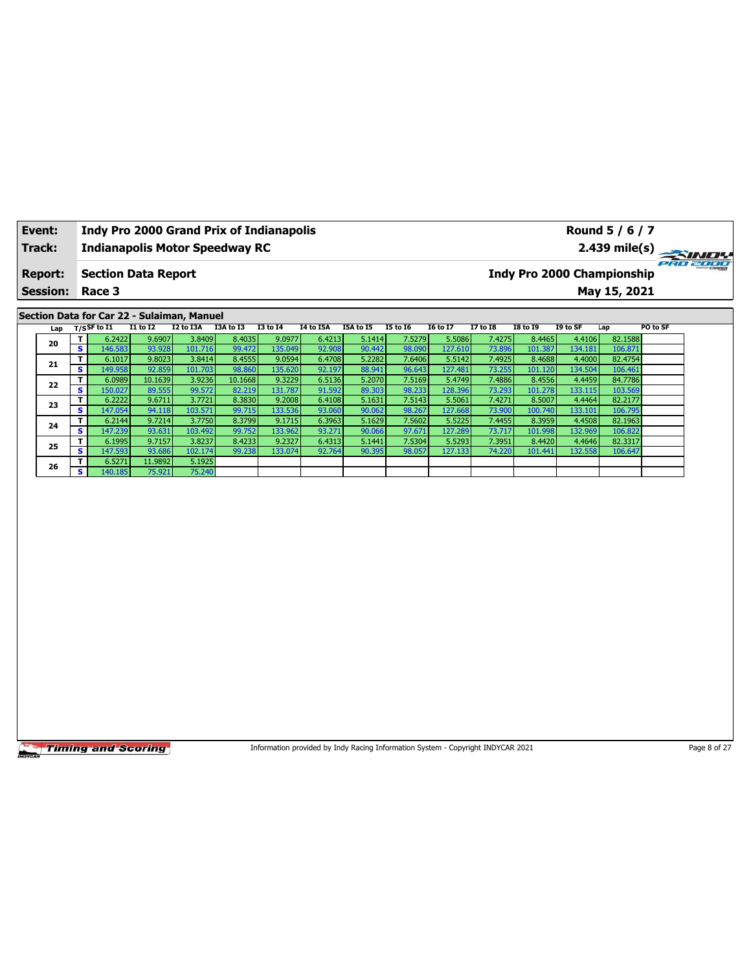| Event:          |                              |                                            |                   |                   | <b>Indy Pro 2000 Grand Prix of Indianapolis</b> |                   |                  |                  |                  |                   |                  |                   |                                   | Round 5 / 6 / 7    |          |
|-----------------|------------------------------|--------------------------------------------|-------------------|-------------------|-------------------------------------------------|-------------------|------------------|------------------|------------------|-------------------|------------------|-------------------|-----------------------------------|--------------------|----------|
| Track:          |                              |                                            |                   |                   | <b>Indianapolis Motor Speedway RC</b>           |                   |                  |                  |                  |                   |                  |                   |                                   | $2.439$ mile(s)    |          |
| <b>Report:</b>  |                              | <b>Section Data Report</b>                 |                   |                   |                                                 |                   |                  |                  |                  |                   |                  |                   | <b>Indy Pro 2000 Championship</b> |                    | PRO 2000 |
| <b>Session:</b> |                              | Race 3                                     |                   |                   |                                                 |                   |                  |                  |                  |                   |                  |                   |                                   | May 15, 2021       |          |
|                 |                              | Section Data for Car 22 - Sulaiman, Manuel |                   |                   |                                                 |                   |                  |                  |                  |                   |                  |                   |                                   |                    |          |
| Lap             |                              | $T/S$ SF to $I1$                           | $I1$ to $I2$      | I2 to I3A         | I3A to I3                                       | <b>I3 to I4</b>   | <b>I4 to I5A</b> | I5A to I5        | <b>I5 to 16</b>  | <b>I6 to I7</b>   | <b>I7 to I8</b>  | <b>I8 to 19</b>   | I9 to SF                          | Lap                | PO to SF |
| 20              | T<br>$\overline{\mathbf{s}}$ | 6.2422<br>146.583                          | 9.6907<br>93.928  | 3.8409<br>101.716 | 8.4035<br>99.472                                | 9.0977<br>135.049 | 6.4213<br>92.908 | 5.1414<br>90.442 | 7.5279<br>98.090 | 5.5086<br>127.610 | 7.4275<br>73.896 | 8.4465<br>101.387 | 4.4106<br>134.181                 | 82.1588<br>106.871 |          |
|                 | T                            | 6.1017                                     | 9.8023            | 3.8414            | 8.4555                                          | 9.0594            | 6.4708           | 5.2282           | 7.6406           | 5.5142            | 7.4925           | 8.4688            | 4.4000                            | 82.4754            |          |
| 21              | s                            | 149.958                                    | 92.859            | 101.703           | 98.860                                          | 135.620           | 92.197           | 88.941           | 96.643           | 127.481           | 73.255           | 101.120           | 134.504                           | 106.461            |          |
| 22              | T<br>$\overline{\mathbf{s}}$ | 6.0989<br>150.027                          | 10.1639<br>89.555 | 3.9236<br>99.572  | 10.1668<br>82.219                               | 9.3229<br>131.787 | 6.5136<br>91.592 | 5.2070<br>89.303 | 7.5169<br>98.233 | 5.4749<br>128.396 | 7.4886<br>73.293 | 8.4556<br>101.278 | 4.4459<br>133.115                 | 84.7786<br>103.569 |          |
|                 | T                            | 6.2222                                     | 9.6711            | 3.7721            | 8.3830                                          | 9.2008            | 6.4108           | 5.1631           | 7.5143           | 5.5061            | 7.4271           | 8.5007            | 4.4464                            | 82.2177            |          |
| 23              | S                            | 147.054                                    | 94.118            | 103.571           | 99.715                                          | 133.536           | 93.060           | 90.062           | 98.267           | 127.668           | 73.900           | 100.740           | 133.101                           | 106.795            |          |
| 24              | T.                           | 6.2144                                     | 9.7214            | 3.7750            | 8.3799                                          | 9.1715            | 6.3963           | 5.1629           | 7.5602           | 5.5225            | 7.4455           | 8.3959            | 4.4508                            | 82.1963            |          |
|                 | s.<br>T.                     | 147.239<br>6.1995                          | 93.631<br>9.7157  | 103.492<br>3.8237 | 99.752<br>8.4233                                | 133.962<br>9.2327 | 93.271<br>6.4313 | 90.066<br>5.1441 | 97.671<br>7.5304 | 127.289<br>5.5293 | 73.717<br>7.3951 | 101.998<br>8.4420 | 132.969<br>4.4646                 | 106.822<br>82.3317 |          |
| 25              | s                            | 147.593                                    | 93.686            | 102.174           | 99.238                                          | 133.074           | 92.764           | 90.395           | 98.057           | 127.133           | 74.220           | 101.441           | 132.558                           | 106.647            |          |
| 26              | T.                           | 6.5271                                     | 11.9892           | 5.1925            |                                                 |                   |                  |                  |                  |                   |                  |                   |                                   |                    |          |
|                 | s                            | 140.185                                    | 75.921            | 75.240            |                                                 |                   |                  |                  |                  |                   |                  |                   |                                   |                    |          |
|                 |                              |                                            |                   |                   |                                                 |                   |                  |                  |                  |                   |                  |                   |                                   |                    |          |
|                 |                              |                                            |                   |                   |                                                 |                   |                  |                  |                  |                   |                  |                   |                                   |                    |          |
|                 |                              |                                            |                   |                   |                                                 |                   |                  |                  |                  |                   |                  |                   |                                   |                    |          |
|                 |                              |                                            |                   |                   |                                                 |                   |                  |                  |                  |                   |                  |                   |                                   |                    |          |
|                 |                              |                                            |                   |                   |                                                 |                   |                  |                  |                  |                   |                  |                   |                                   |                    |          |
|                 |                              |                                            |                   |                   |                                                 |                   |                  |                  |                  |                   |                  |                   |                                   |                    |          |
|                 |                              |                                            |                   |                   |                                                 |                   |                  |                  |                  |                   |                  |                   |                                   |                    |          |
|                 |                              |                                            |                   |                   |                                                 |                   |                  |                  |                  |                   |                  |                   |                                   |                    |          |

Information provided by Indy Racing Information System - Copyright INDYCAR 2021 Page 8 of 27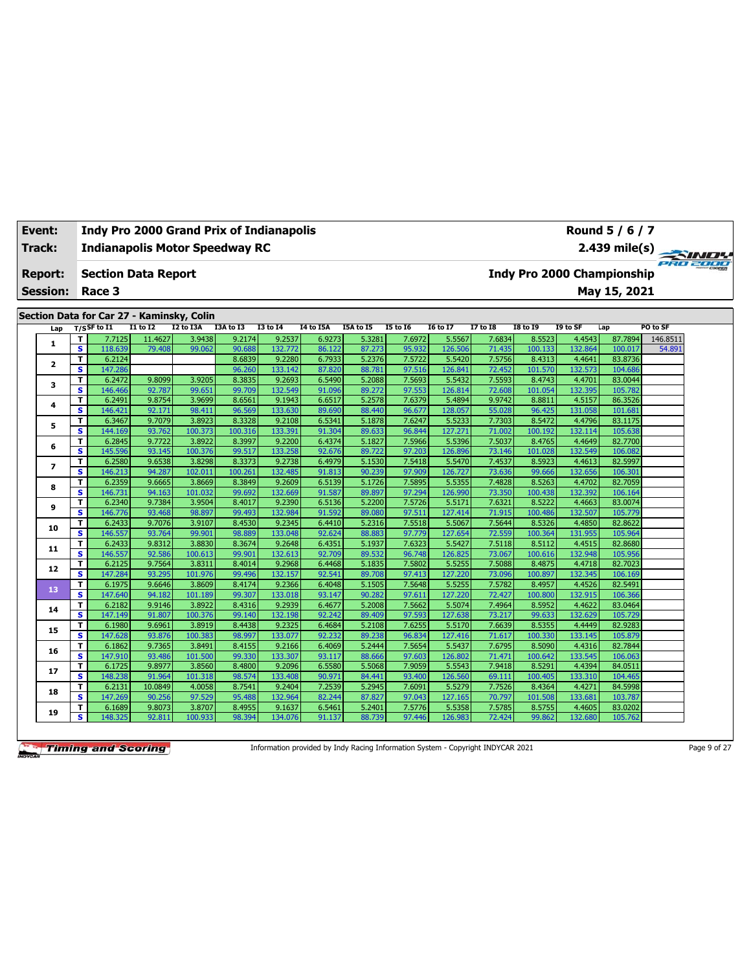| Track:          |              |                         |                   |                                           |                   | <b>Indianapolis Motor Speedway RC</b> |                   |                  |                  |                  |                   |                  |                                   |                   |                    | $2.439 \text{ mile(s)}$<br>737372737373 |
|-----------------|--------------|-------------------------|-------------------|-------------------------------------------|-------------------|---------------------------------------|-------------------|------------------|------------------|------------------|-------------------|------------------|-----------------------------------|-------------------|--------------------|-----------------------------------------|
| <b>Report:</b>  |              |                         |                   | <b>Section Data Report</b>                |                   |                                       |                   |                  |                  |                  |                   |                  | <b>Indy Pro 2000 Championship</b> |                   |                    |                                         |
| <b>Session:</b> |              |                         | Race 3            |                                           |                   |                                       |                   |                  |                  |                  |                   |                  |                                   |                   | May 15, 2021       |                                         |
|                 |              |                         |                   |                                           |                   |                                       |                   |                  |                  |                  |                   |                  |                                   |                   |                    |                                         |
|                 |              |                         |                   | Section Data for Car 27 - Kaminsky, Colin |                   |                                       |                   |                  |                  |                  |                   |                  |                                   |                   |                    |                                         |
|                 | Lap          | T/SSF to I1             |                   | $I1$ to $I2$                              | I2 to I3A         | I3A to I3                             | <b>I3 to 14</b>   | I4 to I5A        | I5A to I5        | <b>I5 to 16</b>  | <b>16 to 17</b>   | <b>I7 to I8</b>  | <b>I8 to 19</b>                   | I9 to SF          | Lap                | PO to SF                                |
|                 | 1            | т                       | 7.7125            | 11.4627                                   | 3.9438            | 9.2174                                | 9.2537            | 6.9273           | 5.3281           | 7.6972           | 5.5567            | 7.6834           | 8.5523                            | 4.4543            | 87.7894            | 146.8511                                |
|                 |              | $\overline{\mathbf{s}}$ | 118.639           | 79.408                                    | 99.062            | 90.688                                | 132.772           | 86.122           | 87.273           | 95.932           | 126.506           | 71.435           | 100.133                           | 132.864           | 100.017            | 54.891                                  |
|                 | $\mathbf{z}$ | T<br>s                  | 6.2124            |                                           |                   | 8.6839                                | 9.2280            | 6.7933           | 5.2376<br>88.781 | 7.5722<br>97.516 | 5.5420            | 7.5756<br>72.452 | 8.4313                            | 4.4641<br>132.573 | 83.8736            |                                         |
|                 |              | т                       | 147.286<br>6.2472 | 9.8099                                    | 3.9205            | 96.260<br>8.3835                      | 133.142<br>9.2693 | 87.820<br>6.5490 | 5.2088           | 7.5693           | 126.841<br>5.5432 | 7.5593           | 101.570<br>8.4743                 | 4.4701            | 104.686<br>83.0044 |                                         |
|                 | з            | s                       | 146.466           | 92.787                                    | 99.651            | 99.709                                | 132.549           | 91.096           | 89.272           | 97.553           | 126.814           | 72.608           | 101.054                           | 132.395           | 105.782            |                                         |
|                 |              | т                       | 6.2491            | 9.8754                                    | 3.9699            | 8.6561                                | 9.1943            | 6.6517           | 5.2578           | 7.6379           | 5.4894            | 9.9742           | 8.8811                            | 4.5157            | 86.3526            |                                         |
|                 | 4            | s                       | 146.421           | 92.171                                    | 98.411            | 96.569                                | 133.630           | 89.690           | 88.440           | 96.677           | 128.057           | 55.028           | 96.425                            | 131.058           | 101.681            |                                         |
|                 |              | т                       | 6.3467            | 9.7079                                    | 3.8923            | 8.3328                                | 9.2108            | 6.5341           | 5.1878           | 7.6247           | 5.5233            | 7.7303           | 8.5472                            | 4.4796            | 83.1175            |                                         |
|                 | 5            | s                       | 144.169           | 93.762                                    | 100.373           | 100.316                               | 133.391           | 91.304           | 89.633           | 96.844           | 127.271           | 71.002           | 100.192                           | 132.114           | 105.638            |                                         |
|                 |              | т                       | 6.2845            | 9.7722                                    | 3.8922            | 8.3997                                | 9.2200            | 6.4374           | 5.1827           | 7.5966           | 5.5396            | 7.5037           | 8.4765                            | 4.4649            | 82.7700            |                                         |
|                 | 6            | s                       | 145.596           | 93.145                                    | 100.376           | 99.517                                | 133.258           | 92.676           | 89.722           | 97.203           | 126.896           | 73.146           | 101.028                           | 132.549           | 106.082            |                                         |
|                 | 7            | T                       | 6.2580            | 9.6538                                    | 3.8298            | 8.3373                                | 9.2738            | 6.4979           | 5.1530           | 7.5418           | 5.5470            | 7.4537           | 8.5923                            | 4.4613            | 82.5997            |                                         |
|                 |              | s                       | 146.213           | 94.287                                    | 102.011           | 100.261                               | 132.485           | 91.813           | 90.239           | 97.909           | 126.727           | 73.636           | 99.666                            | 132.656           | 106.301            |                                         |
|                 | 8            | т                       | 6.2359            | 9.6665                                    | 3.8669            | 8.3849                                | 9.2609            | 6.5139           | 5.1726           | 7.5895           | 5.5355            | 7.4828           | 8.5263                            | 4.4702            | 82.7059            |                                         |
|                 |              | s                       | 146.731           | 94.163                                    | 101.032           | 99.692                                | 132.669           | 91.587           | 89.897           | 97.294           | 126.990           | 73.350           | 100.438                           | 132.392           | 106.164            |                                         |
|                 | 9            | T                       | 6.2340            | 9.7384                                    | 3.9504            | 8.4017                                | 9.2390            | 6.5136           | 5.2200           | 7.5726           | 5.5171            | 7.6321           | 8.5222                            | 4.4663            | 83.0074            |                                         |
|                 |              | $\overline{\mathbf{s}}$ | 146.776           | 93.468                                    | 98.897            | 99.493                                | 132.984           | 91.592           | 89.080           | 97.511           | 127.414           | 71.915           | 100.486                           | 132.507           | 105,779            |                                         |
|                 | 10           | т                       | 6.2433            | 9.7076                                    | 3.9107            | 8.4530                                | 9.2345            | 6.4410           | 5.2316           | 7.5518           | 5.5067            | 7.5644           | 8.5326                            | 4.4850            | 82.8622            |                                         |
|                 |              | s                       | 146.557           | 93.764                                    | 99.901            | 98.889                                | 133.048           | 92.624           | 88.883           | 97.779           | 127.654           | 72.559           | 100.364                           | 131.955           | 105.964            |                                         |
|                 | 11           | T                       | 6.2433            | 9.8312                                    | 3.8830            | 8.3674                                | 9.2648            | 6.4351           | 5.1937           | 7.6323           | 5.5427            | 7.5118           | 8.5112                            | 4.4515            | 82.8680            |                                         |
|                 |              | s                       | 146.557           | 92.586                                    | 100.613           | 99.901                                | 132.613           | 92.709           | 89.532<br>5.1835 | 96.748<br>7.5802 | 126.825<br>5.5255 | 73.067<br>7.5088 | 100.616                           | 132.948           | 105.956<br>82.7023 |                                         |
|                 | 12           | т<br>s                  | 6.2125<br>147.284 | 9.7564<br>93.295                          | 3.8311<br>101.976 | 8.4014<br>99.496                      | 9.2968<br>132.157 | 6.4468<br>92.541 | 89.708           | 97.413           | 127.220           | 73.096           | 8.4875<br>100.897                 | 4.4718<br>132.345 | 106.169            |                                         |
|                 |              | T                       | 6.1975            | 9.6646                                    | 3.8609            | 8.4174                                | 9.2366            | 6.4048           | 5.1505           | 7.5648           | 5.5255            | 7.5782           | 8.4957                            | 4.4526            | 82.5491            |                                         |
|                 | 13           | s                       | 147.640           | 94.182                                    | 101.189           | 99.307                                | 133.018           | 93.147           | 90.282           | 97.611           | 127.220           | 72.427           | 100.800                           | 132.915           | 106.366            |                                         |
|                 |              | т                       | 6.2182            | 9.9146                                    | 3.8922            | 8.4316                                | 9.2939            | 6.4677           | 5.2008           | 7.5662           | 5.5074            | 7.4964           | 8.5952                            | 4.4622            | 83.0464            |                                         |
|                 | 14           | s                       | 147.149           | 91.807                                    | 100.376           | 99.140                                | 132.198           | 92.242           | 89.409           | 97.593           | 127.638           | 73.217           | 99.633                            | 132.629           | 105.729            |                                         |
|                 |              | T                       | 6.1980            | 9.6961                                    | 3.8919            | 8.4438                                | 9.2325            | 6.4684           | 5.2108           | 7.6255           | 5.5170            | 7.6639           | 8.5355                            | 4.4449            | 82.9283            |                                         |
|                 | 15           | s                       | 147.628           | 93.876                                    | 100.383           | 98.997                                | 133.077           | 92.232           | 89.238           | 96.834           | 127.416           | 71.617           | 100.330                           | 133.145           | 105.879            |                                         |
|                 |              | т                       | 6.1862            | 9.7365                                    | 3.8491            | 8.4155                                | 9.2166            | 6.4069           | 5.2444           | 7.5654           | 5.5437            | 7.6795           | 8.5090                            | 4.4316            | 82.7844            |                                         |
|                 | 16           | s                       | 147.910           | 93.486                                    | 101.500           | 99.330                                | 133.307           | 93.117           | 88.666           | 97.603           | 126.802           | 71.471           | 100.642                           | 133.545           | 106.063            |                                         |
|                 |              | т                       | 6.1725            | 9.8977                                    | 3.8560            | 8.4800                                | 9.2096            | 6.5580           | 5.5068           | 7.9059           | 5.5543            | 7.9418           | 8.5291                            | 4.4394            | 84.0511            |                                         |
|                 | 17           | s                       | 148.238           | 91.964                                    | 101.318           | 98.574                                | 133.408           | 90.971           | 84.441           | 93.400           | 126.560           | 69.111           | 100.405                           | 133.310           | 104.465            |                                         |
|                 | 18           | т                       | 6.2131            | 10.0849                                   | 4.0058            | 8.7541                                | 9.2404            | 7.2539           | 5.2945           | 7.6091           | 5.5279            | 7.7526           | 8.4364                            | 4.4271            | 84.5998            |                                         |
|                 |              | s                       | 147.269           | 90.256                                    | 97.529            | 95.488                                | 132.964           | 82.244           | 87.827           | 97.043           | 127.165           | 70.797           | 101.508                           | 133.681           | 103.787            |                                         |
|                 | 19           | т                       | 6.1689            | 9.8073                                    | 3.8707            | 8.4955                                | 9.1637            | 6.5461           | 5.2401           | 7.5776           | 5.5358            | 7.5785           | 8.5755                            | 4.4605            | 83.0202            |                                         |
|                 |              | s                       | 148.325           | 92.811                                    | 100.933           | 98.394                                | 134.076           | 91.137           | 88.739           | 97.446           | 126.983           | 72.424           | 99.862                            | 132.680           | 105.762            |                                         |

**Event: Indy Pro 2000 Grand Prix of Indianapolis**

Information provided by Indy Racing Information System - Copyright INDYCAR 2021 Page 9 of 27

**Round 5 / 6 / 7**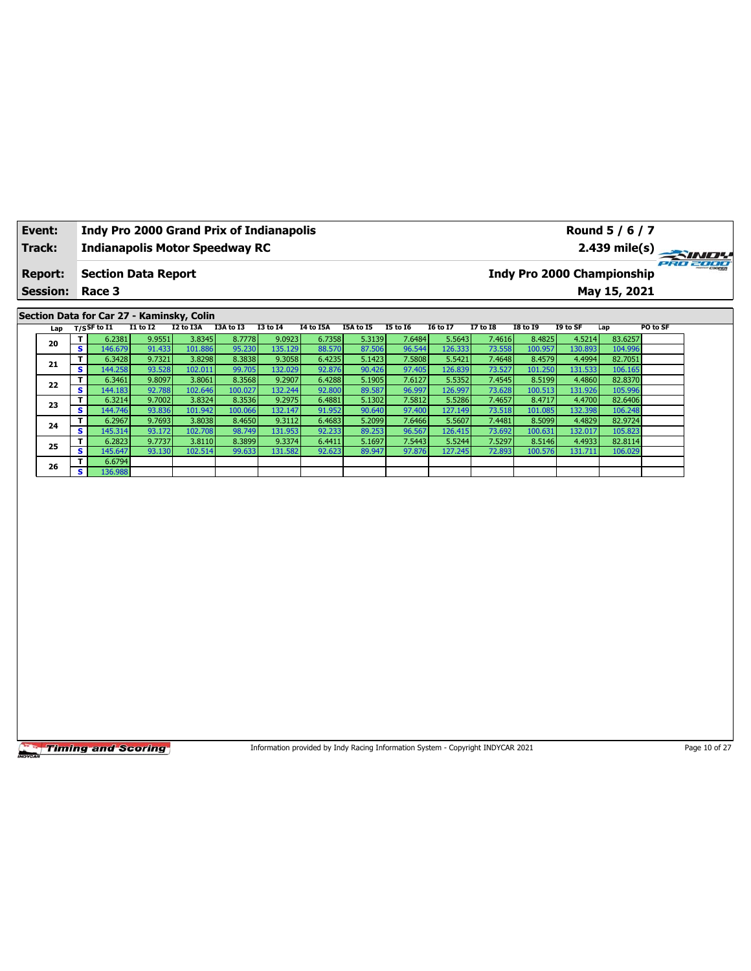| Event:          |                              | <b>Indy Pro 2000 Grand Prix of Indianapolis</b> |                  |                   |                  |                   |                  |                  |                  |                   |                  |                   |                   | Round 5 / 6 / 7                   |               |
|-----------------|------------------------------|-------------------------------------------------|------------------|-------------------|------------------|-------------------|------------------|------------------|------------------|-------------------|------------------|-------------------|-------------------|-----------------------------------|---------------|
| Track:          |                              | <b>Indianapolis Motor Speedway RC</b>           |                  |                   |                  |                   |                  |                  |                  |                   |                  |                   |                   |                                   | 2.439 mile(s) |
|                 |                              |                                                 |                  |                   |                  |                   |                  |                  |                  |                   |                  |                   |                   |                                   | 2302000       |
| <b>Report:</b>  |                              | <b>Section Data Report</b>                      |                  |                   |                  |                   |                  |                  |                  |                   |                  |                   |                   | <b>Indy Pro 2000 Championship</b> |               |
| <b>Session:</b> |                              | Race 3                                          |                  |                   |                  |                   |                  |                  |                  |                   |                  |                   |                   | May 15, 2021                      |               |
|                 |                              |                                                 |                  |                   |                  |                   |                  |                  |                  |                   |                  |                   |                   |                                   |               |
|                 |                              | Section Data for Car 27 - Kaminsky, Colin       |                  |                   |                  |                   |                  |                  |                  |                   |                  |                   |                   |                                   |               |
| Lap             |                              | $T/S$ SF to I1                                  | $I1$ to $I2$     | I2 to I3A         | I3A to I3        | $I3$ to $I4$      | <b>I4 to I5A</b> | I5A to I5        | <b>I5 to 16</b>  | <b>I6 to I7</b>   | <b>I7 to I8</b>  | <b>I8 to 19</b>   | I9 to SF          | Lap                               | PO to SF      |
| 20              | T<br>$\overline{\mathbf{s}}$ | 6.2381                                          | 9.9551           | 3.8345            | 8.7778           | 9.0923            | 6.7358           | 5.3139           | 7.6484           | 5.5643            | 7.4616           | 8.4825            | 4.5214            | 83.6257                           |               |
|                 | T                            | 146.679<br>6.3428                               | 91.433<br>9.7321 | 101.886<br>3.8298 | 95.230<br>8.3838 | 135.129<br>9.3058 | 88.570<br>6.4235 | 87.506<br>5.1423 | 96.544<br>7.5808 | 126.333<br>5.5421 | 73.558<br>7.4648 | 100.957<br>8.4579 | 130.893<br>4.4994 | 104.996<br>82.7051                |               |
| 21              | s                            | 144.258                                         | 93.528           | 102.011           | 99.705           | 132.029           | 92.876           | 90.426           | 97.405           | 126.839           | 73.527           | 101.250           | 131.533           | 106.165                           |               |
|                 | T                            | 6.3461                                          | 9.8097           | 3.8061            | 8.3568           | 9.2907            | 6.4288           | 5.1905           | 7.6127           | 5.5352            | 7.4545           | 8.5199            | 4.4860            | 82.8370                           |               |
| 22              | s                            | 144.183                                         | 92.788           | 102.646           | 100.027          | 132.244           | 92.800           | 89.587           | 96.997           | 126.997           | 73.628           | 100.513           | 131.926           | 105.996                           |               |
| 23              | T                            | 6.3214                                          | 9.7002           | 3.8324            | 8.3536           | 9.2975            | 6.4881           | 5.1302           | 7.5812           | 5.5286            | 7.4657           | 8.4717            | 4.4700            | 82.6406                           |               |
|                 | s                            | 144.746                                         | 93.836           | 101.942           | 100.066          | 132.147           | 91.952           | 90.640           | 97.400           | 127.149           | 73.518           | 101.085           | 132.398           | 106.248                           |               |
| 24              | T                            | 6.2967                                          | 9.7693           | 3.8038            | 8.4650           | 9.3112            | 6.4683           | 5.2099           | 7.6466           | 5.5607            | 7.4481           | 8.5099            | 4.4829            | 82.9724                           |               |
|                 | s                            | 145.314                                         | 93.172           | 102.708           | 98.749           | 131.953           | 92.233           | 89.253           | 96.567           | 126.415           | 73.692           | 100.631           | 132.017           | 105.823                           |               |
| 25              | T                            | 6.2823                                          | 9.7737           | 3.8110            | 8.3899           | 9.3374            | 6.4411           | 5.1697           | 7.5443           | 5.5244            | 7.5297           | 8.5146            | 4.4933            | 82.8114                           |               |
|                 | s                            | 145.647                                         | 93.130           | 102.514           | 99.633           | 131.582           | 92.623           | 89.947           | 97.876           | 127.245           | 72.893           | 100.576           | 131.711           | 106.029                           |               |
| 26              | т<br>s.                      | 6.6794<br>136.988                               |                  |                   |                  |                   |                  |                  |                  |                   |                  |                   |                   |                                   |               |
|                 |                              |                                                 |                  |                   |                  |                   |                  |                  |                  |                   |                  |                   |                   |                                   |               |
|                 |                              |                                                 |                  |                   |                  |                   |                  |                  |                  |                   |                  |                   |                   |                                   |               |
|                 |                              |                                                 |                  |                   |                  |                   |                  |                  |                  |                   |                  |                   |                   |                                   |               |
|                 |                              |                                                 |                  |                   |                  |                   |                  |                  |                  |                   |                  |                   |                   |                                   |               |
|                 |                              |                                                 |                  |                   |                  |                   |                  |                  |                  |                   |                  |                   |                   |                                   |               |
|                 |                              |                                                 |                  |                   |                  |                   |                  |                  |                  |                   |                  |                   |                   |                                   |               |
|                 |                              |                                                 |                  |                   |                  |                   |                  |                  |                  |                   |                  |                   |                   |                                   |               |
|                 |                              |                                                 |                  |                   |                  |                   |                  |                  |                  |                   |                  |                   |                   |                                   |               |
|                 |                              |                                                 |                  |                   |                  |                   |                  |                  |                  |                   |                  |                   |                   |                                   |               |
|                 |                              |                                                 |                  |                   |                  |                   |                  |                  |                  |                   |                  |                   |                   |                                   |               |
|                 |                              |                                                 |                  |                   |                  |                   |                  |                  |                  |                   |                  |                   |                   |                                   |               |
|                 |                              |                                                 |                  |                   |                  |                   |                  |                  |                  |                   |                  |                   |                   |                                   |               |
|                 |                              |                                                 |                  |                   |                  |                   |                  |                  |                  |                   |                  |                   |                   |                                   |               |
|                 |                              |                                                 |                  |                   |                  |                   |                  |                  |                  |                   |                  |                   |                   |                                   |               |
|                 |                              |                                                 |                  |                   |                  |                   |                  |                  |                  |                   |                  |                   |                   |                                   |               |

Information provided by Indy Racing Information System - Copyright INDYCAR 2021 Page 10 of 27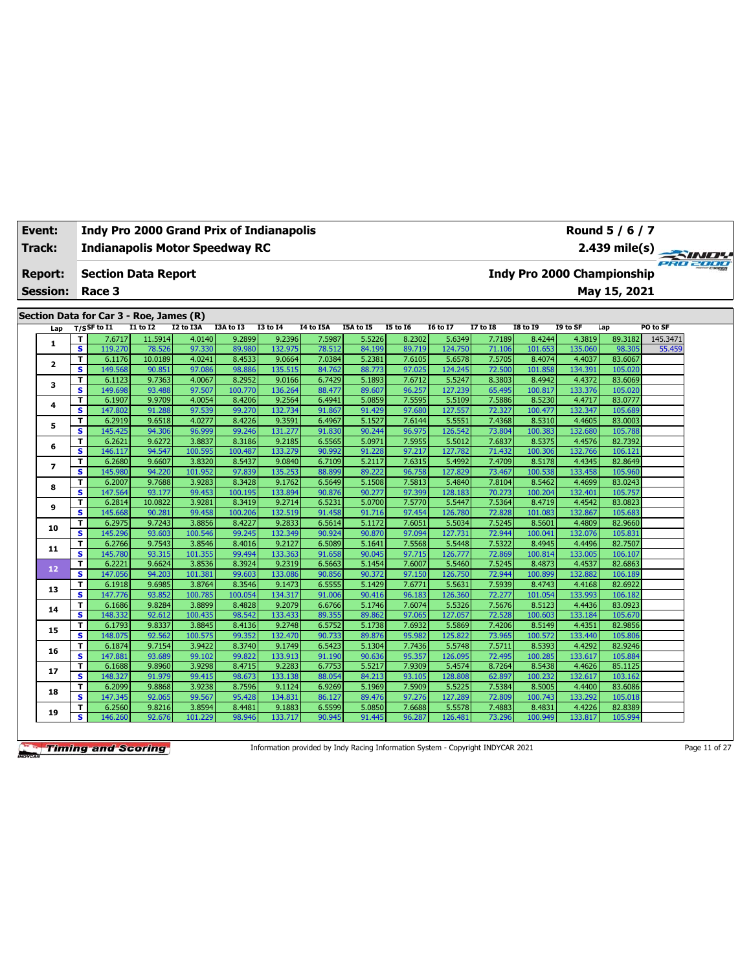| Event:                   | <b>Indy Pro 2000 Grand Prix of Indianapolis</b> |                  |                  |                  |                   |                  |                  |                  |                   |                  |                            |                   | Round 5 / 6 / 7    |          |  |
|--------------------------|-------------------------------------------------|------------------|------------------|------------------|-------------------|------------------|------------------|------------------|-------------------|------------------|----------------------------|-------------------|--------------------|----------|--|
| <b>Track:</b>            | <b>Indianapolis Motor Speedway RC</b>           |                  |                  |                  |                   |                  |                  |                  |                   |                  |                            |                   | $2.439$ mile(s)    |          |  |
| <b>Report:</b>           | <b>Section Data Report</b>                      |                  |                  |                  |                   |                  |                  |                  |                   |                  | Indy Pro 2000 Championship |                   |                    | PRO 2000 |  |
| <b>Session:</b>          | Race 3                                          |                  |                  |                  |                   |                  |                  |                  |                   |                  |                            |                   | May 15, 2021       |          |  |
|                          | Section Data for Car 3 - Roe, James (R)         |                  |                  |                  |                   |                  |                  |                  |                   |                  |                            |                   |                    |          |  |
| Lap                      | $T/S$ SF to I1                                  | $I1$ to $I2$     | I2 to I3A        | I3A to I3        | <b>I3 to 14</b>   | I4 to I5A        | I5A to I5        | <b>I5 to 16</b>  | <b>I6 to I7</b>   | <b>I7 to I8</b>  | <b>I8 to 19</b>            | I9 to SF          | Lap                | PO to SF |  |
|                          | T<br>7.6717                                     | 11.5914          | 4.0140           | 9.2899           | 9.2396            | 7.5987           | 5.5226           | 8.2302           | 5.6349            | 7.7189           | 8.4244                     | 4.3819            | 89.3182            | 145.3471 |  |
| 1                        | $\overline{\mathbf{s}}$<br>119.270              | 78.526           | 97.330           | 89.980           | 132.975           | 78.512           | 84.199           | 89.719           | 124.750           | 71.106           | 101.653                    | 135.060           | 98.305             | 55.459   |  |
| $\mathbf{z}$             | т<br>6.1176                                     | 10.0189          | 4.0241           | 8.4533           | 9.0664            | 7.0384           | 5.2381           | 7.6105           | 5.6578            | 7.5705           | 8.4074                     | 4.4037            | 83.6067            |          |  |
|                          | s<br>149.568                                    | 90.851           | 97.086           | 98.886           | 135.515           | 84.762           | 88.773           | 97.025           | 124.245           | 72.500           | 101.858                    | 134.391           | 105.020            |          |  |
| 3                        | T<br>6.1123                                     | 9.7363           | 4.0067           | 8.2952           | 9.0166            | 6.7429           | 5.1893           | 7.6712           | 5.5247            | 8.3803           | 8.4942                     | 4.4372            | 83.6069            |          |  |
|                          | s.<br>149.698                                   | 93.488           | 97.507           | 100.770          | 136.264           | 88.477           | 89.607           | 96.257           | 127.239           | 65.495           | 100.817                    | 133.376           | 105.020            |          |  |
| 4                        | T<br>6.1907                                     | 9.9709           | 4.0054           | 8.4206           | 9.2564            | 6.4941           | 5.0859           | 7.5595           | 5.5109            | 7.5886           | 8.5230                     | 4.4717            | 83.0777            |          |  |
|                          | s.<br>147.802<br>T                              | 91.288           | 97.539<br>4.0277 | 99.270<br>8.4226 | 132.734           | 91.867           | 91.429           | 97.680           | 127.557           | 72.327           | 100.477                    | 132.347           | 105.689            |          |  |
| 5                        | 6.2919<br>$\overline{\mathbf{s}}$<br>145.425    | 9.6518<br>94.306 | 96.999           | 99.246           | 9.3591<br>131.277 | 6.4967<br>91.830 | 5.1527<br>90.244 | 7.6144<br>96.975 | 5.5551<br>126.542 | 7.4368<br>73.804 | 8.5310<br>100.383          | 4.4605<br>132.680 | 83.0003<br>105.788 |          |  |
|                          | T.<br>6.2621                                    | 9.6272           | 3.8837           | 8.3186           | 9.2185            | 6.5565           | 5.0971           | 7.5955           | 5.5012            | 7.6837           | 8.5375                     | 4.4576            | 82.7392            |          |  |
| 6                        | s.<br>146.117                                   | 94.547           | 100.595          | 100.487          | 133.279           | 90.992           | 91.228           | 97.217           | 127.782           | 71.432           | 100.306                    | 132.766           | 106.121            |          |  |
|                          | T<br>6.2680                                     | 9.6607           | 3.8320           | 8.5437           | 9.0840            | 6.7109           | 5.2117           | 7.6315           | 5.4992            | 7.4709           | 8.5178                     | 4.4345            | 82.8649            |          |  |
| $\overline{\phantom{a}}$ | S.<br>145.980                                   | 94.220           | 101.952          | 97.839           | 135.253           | 88.899           | 89.222           | 96.758           | 127.829           | 73.467           | 100.538                    | 133.458           | 105.960            |          |  |
|                          | т<br>6.2007                                     | 9.7688           | 3.9283           | 8.3428           | 9.1762            | 6.5649           | 5.1508           | 7.5813           | 5.4840            | 7.8104           | 8.5462                     | 4.4699            | 83.0243            |          |  |
| 8                        | $\overline{\mathbf{s}}$<br>147.564              | 93.177           | 99.453           | 100.195          | 133.894           | 90.876           | 90.277           | 97.399           | 128.183           | 70.273           | 100.204                    | 132.401           | 105.757            |          |  |
|                          | т<br>6.2814                                     | 10.0822          | 3.9281           | 8.3419           | 9.2714            | 6.5231           | 5.0700           | 7.5770           | 5.5447            | 7.5364           | 8.4719                     | 4.4542            | 83.0823            |          |  |
| 9                        | s.<br>145.668                                   | 90.281           | 99.458           | 100.206          | 132.519           | 91.458           | 91.716           | 97.454           | 126.780           | 72.828           | 101.083                    | 132.867           | 105.683            |          |  |
|                          | T<br>6.2975                                     | 9.7243           | 3.8856           | 8.4227           | 9.2833            | 6.5614           | 5.1172           | 7.6051           | 5.5034            | 7.5245           | 8.5601                     | 4.4809            | 82.9660            |          |  |
| 10                       | s.<br>145.296                                   | 93.603           | 100.546          | 99.245           | 132.349           | 90.924           | 90.870           | 97.094           | 127.731           | 72.944           | 100.041                    | 132.076           | 105.831            |          |  |
|                          | 6.2766<br>T                                     | 9.7543           | 3.8546           | 8.4016           | 9.2127            | 6.5089           | 5.1641           | 7.5568           | 5.5448            | 7.5322           | 8.4945                     | 4.4496            | 82.7507            |          |  |
| 11                       | $\overline{\mathbf{s}}$<br>145.780              | 93.315           | 101.355          | 99.494           | 133.363           | 91.658           | 90.045           | 97.715           | 126.777           | 72.869           | 100.814                    | 133.005           | 106.107            |          |  |
|                          | 6.2221<br>т                                     | 9.6624           | 3.8536           | 8.3924           | 9.2319            | 6.5663           | 5.1454           | 7.6007           | 5.5460            | 7.5245           | 8.4873                     | 4.4537            | 82.6863            |          |  |
| 12                       | s<br>147.056                                    | 94.203           | 101.381          | 99.603           | 133.086           | 90.856           | 90.372           | 97.150           | 126.750           | 72.944           | 100.899                    | 132.882           | 106.189            |          |  |
| 13                       | т<br>6.1918                                     | 9.6985           | 3.8764           | 8.3546           | 9.1473            | 6.5555           | 5.1429           | 7.6771           | 5.5631            | 7.5939           | 8.4743                     | 4.4168            | 82.6922            |          |  |
|                          | s<br>147.776                                    | 93.852           | 100.785          | 100.054          | 134.317           | 91.006           | 90.416           | 96.183           | 126.360           | 72.277           | 101.054                    | 133.993           | 106.182            |          |  |
| 14                       | 6.1686<br>т                                     | 9.8284           | 3.8899           | 8.4828           | 9.2079            | 6.6766           | 5.1746           | 7.6074           | 5.5326            | 7.5676           | 8.5123                     | 4.4436            | 83.0923            |          |  |
|                          | $\overline{\mathbf{s}}$<br>148.332              | 92.612           | 100.435          | 98.542           | 133.433           | 89.355           | 89.862           | 97.065           | 127.057           | 72.528           | 100.603                    | 133.184           | 105.670            |          |  |
| 15                       | 6.1793<br>T.                                    | 9.8337           | 3.8845           | 8.4136           | 9.2748            | 6.5752           | 5.1738           | 7.6932           | 5.5869            | 7.4206           | 8.5149                     | 4.4351            | 82.9856            |          |  |
|                          | $\overline{\mathbf{s}}$<br>148.075              | 92.562           | 100.575          | 99.352           | 132.470           | 90.733           | 89.876           | 95.982           | 125.822           | 73.965           | 100.572                    | 133.440           | 105.806            |          |  |
| 16                       | T.<br>6.1874                                    | 9.7154           | 3.9422           | 8.3740           | 9.1749            | 6.5423           | 5.1304           | 7.7436           | 5.5748            | 7.5711           | 8.5393                     | 4.4292            | 82.9246            |          |  |
|                          | s<br>147.881                                    | 93.689           | 99.102           | 99.822           | 133.913           | 91.190           | 90.636           | 95.357           | 126.095           | 72.495           | 100.285                    | 133.617           | 105.884            |          |  |
| 17                       | 6.1688<br>T.                                    | 9.8960           | 3.9298           | 8.4715           | 9.2283            | 6.7753           | 5.5217           | 7.9309           | 5.4574            | 8.7264           | 8.5438                     | 4.4626            | 85.1125            |          |  |
|                          | $\overline{\mathbf{s}}$<br>148.327              | 91.979           | 99.415           | 98.673           | 133.138           | 88.054           | 84.213           | 93.105           | 128.808           | 62.897           | 100.232                    | 132.617           | 103.162            |          |  |
| 18                       | 6.2099<br>т<br>s                                | 9.8868           | 3.9238           | 8.7596           | 9.1124            | 6.9269           | 5.1969           | 7.5909           | 5.5225            | 7.5384           | 8.5005                     | 4.4400            | 83.6086            |          |  |
|                          | 147.345                                         | 92.065<br>9.8216 | 99.567<br>3.8594 | 95.428           | 134.831           | 86.127<br>6.5599 | 89.476<br>5.0850 | 97.276<br>7.6688 | 127.289<br>5.5578 | 72.809<br>7.4883 | 100.743<br>8.4831          | 133.292           | 105.018<br>82.8389 |          |  |
| 19                       | T<br>6.2560<br>s.                               |                  |                  | 8.4481<br>98.946 | 9.1883<br>133.717 |                  | 91.445           | 96.287           |                   |                  |                            | 4.4226<br>133.817 |                    |          |  |
|                          | 146.260                                         | 92.676           | 101.229          |                  |                   | 90.945           |                  |                  | 126.481           | 73.296           | 100.949                    |                   | 105.994            |          |  |

Information provided by Indy Racing Information System - Copyright INDYCAR 2021 Page 11 of 27

**Event: Indy Pro 2000 Grand Prix of Indianapolis**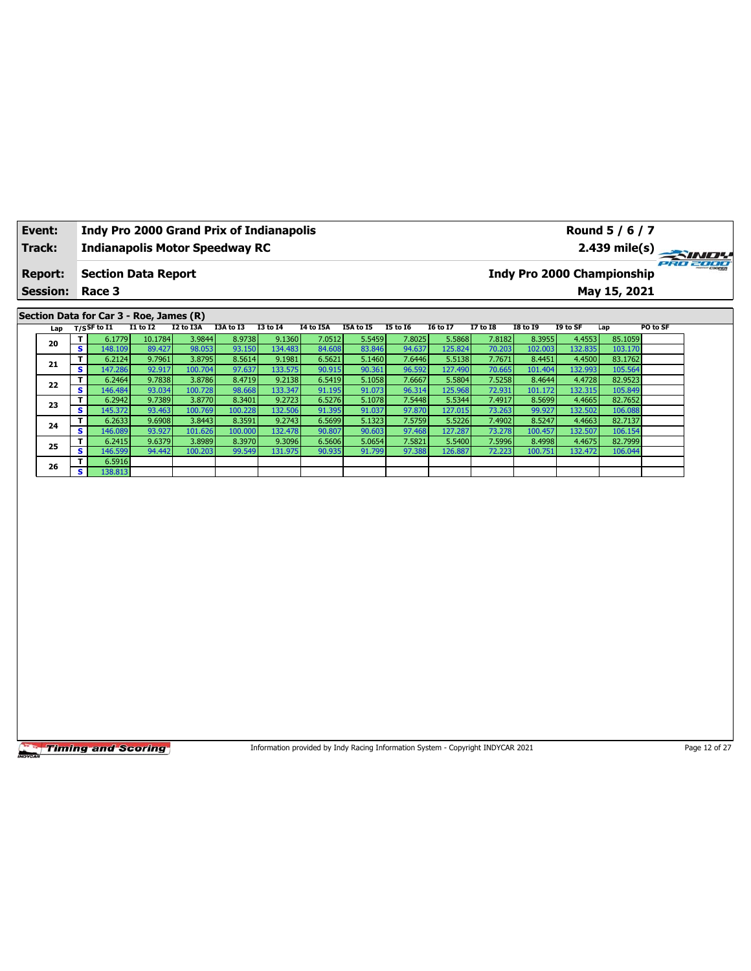| Event:                                         |                         |                   |                            |                   | <b>Indy Pro 2000 Grand Prix of Indianapolis</b> |                   |                  |                  |                  |                   |                  |                                   |                   | Round 5 / 6 / 7    |          |
|------------------------------------------------|-------------------------|-------------------|----------------------------|-------------------|-------------------------------------------------|-------------------|------------------|------------------|------------------|-------------------|------------------|-----------------------------------|-------------------|--------------------|----------|
| Track:                                         |                         |                   |                            |                   | <b>Indianapolis Motor Speedway RC</b>           |                   |                  |                  |                  |                   |                  |                                   |                   | $2.439$ mile(s)    |          |
| <b>Report:</b>                                 |                         |                   | <b>Section Data Report</b> |                   |                                                 |                   |                  |                  |                  |                   |                  | <b>Indy Pro 2000 Championship</b> |                   |                    | PRO 2000 |
| <b>Session:</b>                                | Race 3                  |                   |                            |                   |                                                 |                   |                  |                  |                  |                   |                  |                                   |                   | May 15, 2021       |          |
|                                                |                         |                   |                            |                   |                                                 |                   |                  |                  |                  |                   |                  |                                   |                   |                    |          |
| Section Data for Car 3 - Roe, James (R)<br>Lap | $T/S$ SF to I1          |                   | $I1$ to $I2$               | I2 to I3A         | I3A to I3                                       | <b>I3 to 14</b>   | <b>I4 to I5A</b> | I5A to I5        | <b>I5 to 16</b>  | <b>I6 to I7</b>   | <b>I7 to 18</b>  | <b>I8 to I9</b>                   | I9 to SF          | Lap                | PO to SF |
|                                                | т                       | 6.1779            | 10.1784                    | 3.9844            | 8.9738                                          | 9.1360            | 7.0512           | 5.5459           | 7.8025           | 5.5868            | 7.8182           | 8.3955                            | 4.4553            | 85.1059            |          |
| 20                                             | $\overline{\mathbf{s}}$ | 148.109           | 89.427                     | 98.053            | 93.150                                          | 134.483           | 84.608           | 83.846           | 94.637           | 125.824           | 70.203           | 102.003                           | 132.835           | 103.170            |          |
| 21                                             | T                       | 6.2124            | 9.7961                     | 3.8795            | 8.5614                                          | 9.1981            | 6.5621           | 5.1460           | 7.6446           | 5.5138            | 7.7671           | 8.4451                            | 4.4500            | 83.1762            |          |
|                                                | S.<br>147.286           |                   | 92.917                     | 100.704           | 97.637                                          | 133.575           | 90.915           | 90.361           | 96.592           | 127.490           | 70.665           | 101.404                           | 132.993           | 105.564            |          |
| 22                                             | T                       | 6.2464            | 9.7838                     | 3.8786            | 8.4719                                          | 9.2138            | 6.5419           | 5.1058           | 7.6667           | 5.5804            | 7.5258           | 8.4644                            | 4.4728            | 82.9523            |          |
|                                                | s<br>T                  | 146.484<br>6.2942 | 93.034<br>9.7389           | 100.728<br>3.8770 | 98.668<br>8.3401                                | 133.347<br>9.2723 | 91.195<br>6.5276 | 91.073<br>5.1078 | 96.314<br>7.5448 | 125.968<br>5.5344 | 72.931<br>7.4917 | 101.172<br>8.5699                 | 132.315<br>4.4665 | 105.849<br>82.7652 |          |
| 23                                             | S.<br>145.372           |                   | 93.463                     | 100.769           | 100.228                                         | 132.506           | 91.395           | 91.037           | 97.870           | 127.015           | 73.263           | 99.927                            | 132.502           | 106.088            |          |
|                                                | т                       | 6.2633            | 9.6908                     | 3.8443            | 8.3591                                          | 9.2743            | 6.5699           | 5.1323           | 7.5759           | 5.5226            | 7.4902           | 8.5247                            | 4.4663            | 82.7137            |          |
| 24                                             | S.<br>146.089           |                   | 93.927                     | 101.626           | 100.000                                         | 132.478           | 90.807           | 90.603           | 97.468           | 127.287           | 73.278           | 100.457                           | 132.507           | 106.154            |          |
| 25                                             | T                       | 6.2415            | 9.6379                     | 3.8989            | 8.3970                                          | 9.3096            | 6.5606           | 5.0654           | 7.5821           | 5.5400            | 7.5996           | 8.4998                            | 4.4675            | 82.7999            |          |
|                                                | S.                      | 146.599           | 94.442                     | 100.203           | 99.549                                          | 131.975           | 90.935           | 91.799           | 97.388           | 126.887           | 72.223           | 100.751                           | 132.472           | 106.044            |          |
| 26                                             | T                       | 6.5916            |                            |                   |                                                 |                   |                  |                  |                  |                   |                  |                                   |                   |                    |          |
|                                                | s.                      | 138.813           |                            |                   |                                                 |                   |                  |                  |                  |                   |                  |                                   |                   |                    |          |
|                                                |                         |                   |                            |                   |                                                 |                   |                  |                  |                  |                   |                  |                                   |                   |                    |          |
|                                                |                         |                   |                            |                   |                                                 |                   |                  |                  |                  |                   |                  |                                   |                   |                    |          |

Information provided by Indy Racing Information System - Copyright INDYCAR 2021 Page 12 of 27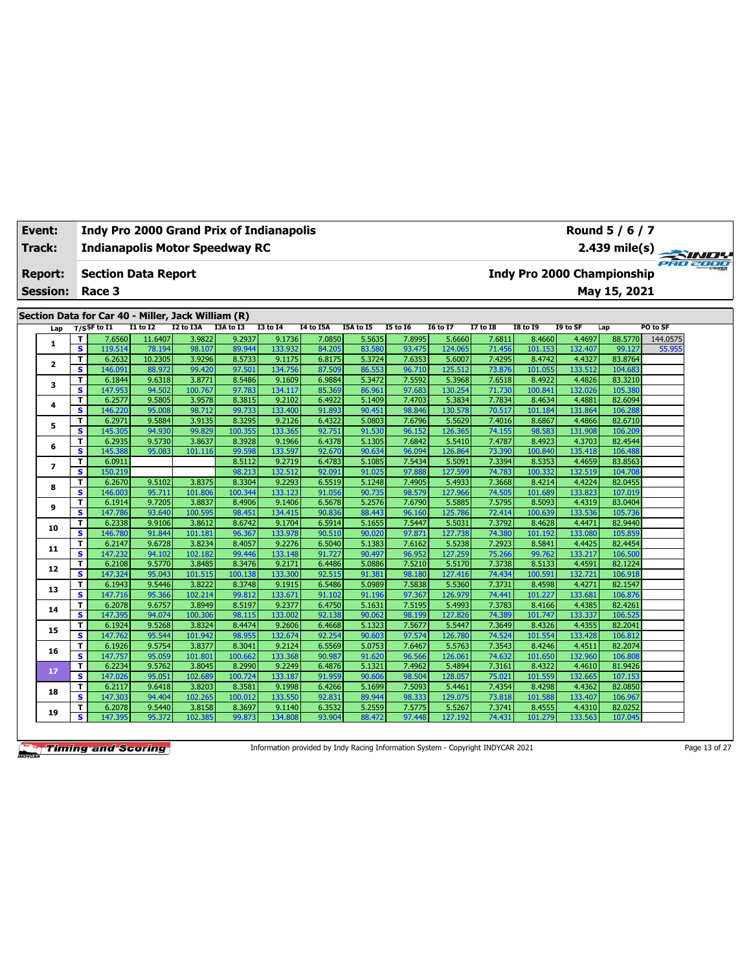| Event:        |                 |                         |                                                    |                  |                   | <b>Indy Pro 2000 Grand Prix of Indianapolis</b> |                   |                  |                  |                  |                   |                  |                   |                   | Round 5 / 6 / 7                   |          |
|---------------|-----------------|-------------------------|----------------------------------------------------|------------------|-------------------|-------------------------------------------------|-------------------|------------------|------------------|------------------|-------------------|------------------|-------------------|-------------------|-----------------------------------|----------|
| <b>Track:</b> |                 |                         |                                                    |                  |                   | <b>Indianapolis Motor Speedway RC</b>           |                   |                  |                  |                  |                   |                  |                   |                   | 2.439 mile(s)                     | PRO 2000 |
|               | <b>Report:</b>  |                         | <b>Section Data Report</b>                         |                  |                   |                                                 |                   |                  |                  |                  |                   |                  |                   |                   | <b>Indy Pro 2000 Championship</b> |          |
|               | <b>Session:</b> |                         | Race 3                                             |                  |                   |                                                 |                   |                  |                  |                  |                   |                  |                   |                   | May 15, 2021                      |          |
|               |                 |                         | Section Data for Car 40 - Miller, Jack William (R) |                  |                   |                                                 |                   |                  |                  |                  |                   |                  |                   |                   |                                   |          |
|               | Lap             |                         | $T/S$ SF to I1                                     | I1 to I2         | I2 to I3A         | I3A to I3                                       | <b>I3 to 14</b>   | <b>I4 to I5A</b> | I5A to I5        | <b>I5 to 16</b>  | <b>I6 to I7</b>   | <b>I7 to I8</b>  | <b>I8 to 19</b>   | I9 to SF          | Lap                               | PO to SF |
|               |                 | T                       | 7.6560                                             | 11.6407          | 3.9822            | 9.2937                                          | 9.1736            | 7.0850           | 5.5635           | 7.8995           | 5.6660            | 7.6811           | 8.4660            | 4.4697            | 88.5770                           | 144.0575 |
|               | 1               | $\overline{\mathbf{s}}$ | 119.514                                            | 78.194           | 98.107            | 89.944                                          | 133.932           | 84.205           | 83.580           | 93.475           | 124.065           | 71.456           | 101.153           | 132.407           | 99.127                            | 55.955   |
|               | $\mathbf{2}$    | T                       | 6.2632                                             | 10.2305          | 3.9296            | 8.5733                                          | 9.1175            | 6.8175           | 5.3724           | 7.6353           | 5.6007            | 7.4295           | 8.4742            | 4.4327            | 83.8764                           |          |
|               |                 | s                       | 146.091                                            | 88.972           | 99.420            | 97.501                                          | 134.756           | 87.509           | 86.553           | 96.710           | 125.512           | 73.876           | 101.055           | 133.512           | 104.683                           |          |
|               | з               | T                       | 6.1844                                             | 9.6318           | 3.8771            | 8.5486                                          | 9.1609            | 6.9884           | 5.3472           | 7.5592           | 5.3968            | 7.6518           | 8.4922            | 4.4826            | 83.3210                           |          |
|               |                 | s                       | 147.953                                            | 94.502<br>9.5805 | 100.767           | 97.783                                          | 134.117           | 85.369           | 86.961           | 97.683           | 130.254           | 71.730           | 100.841           | 132.026           | 105.380                           |          |
|               | 4               | T<br>s                  | 6.2577<br>146.220                                  | 95.008           | 3.9578<br>98.712  | 8.3815<br>99.733                                | 9.2102<br>133.400 | 6.4922<br>91.893 | 5.1409<br>90.451 | 7.4703<br>98.846 | 5.3834<br>130.578 | 7.7834<br>70.517 | 8.4634<br>101.184 | 4.4881<br>131.864 | 82.6094<br>106.288                |          |
|               |                 | T                       | 6.2971                                             | 9.5884           | 3.9135            | 8.3295                                          | 9.2126            | 6.4322           | 5.0803           | 7.6796           | 5.5629            | 7.4016           | 8.6867            | 4.4866            | 82.6710                           |          |
|               | 5               | s                       | 145.305                                            | 94.930           | 99.829            | 100.355                                         | 133.365           | 92.751           | 91.530           | 96.152           | 126.365           | 74.155           | 98.583            | 131.908           | 106.209                           |          |
|               |                 | T                       | 6.2935                                             | 9.5730           | 3.8637            | 8.3928                                          | 9.1966            | 6.4378           | 5.1305           | 7.6842           | 5.5410            | 7.4787           | 8.4923            | 4.3703            | 82.4544                           |          |
|               | 6               | s                       | 145.388                                            | 95.083           | 101.116           | 99.598                                          | 133.597           | 92.670           | 90.634           | 96.094           | 126.864           | 73.390           | 100.840           | 135.418           | 106.488                           |          |
|               |                 | T                       | 6.0911                                             |                  |                   | 8.5112                                          | 9.2719            | 6.4783           | 5.1085           | 7.5434           | 5.5091            | 7.3394           | 8.5353            | 4.4659            | 83.8563                           |          |
|               | $\overline{ }$  | s                       | 150.219                                            |                  |                   | 98.213                                          | 132.512           | 92.091           | 91.025           | 97.888           | 127.599           | 74.783           | 100.332           | 132.519           | 104.708                           |          |
|               |                 | T                       | 6.2670                                             | 9.5102           | 3.8375            | 8.3304                                          | 9.2293            | 6.5519           | 5.1248           | 7.4905           | 5.4933            | 7.3668           | 8.4214            | 4.4224            | 82.0455                           |          |
|               | 8               | s                       | 146.003                                            | 95.711           | 101.806           | 100.344                                         | 133.123           | 91.056           | 90.735           | 98.579           | 127.966           | 74.505           | 101.689           | 133.823           | 107.019                           |          |
|               | 9               | T                       | 6.1914                                             | 9.7205           | 3.8837            | 8.4906                                          | 9.1406            | 6.5678           | 5.2576           | 7.6790           | 5.5885            | 7.5795           | 8.5093            | 4.4319            | 83.0404                           |          |
|               |                 | s                       | 147.786                                            | 93.640           | 100.595           | 98.451                                          | 134.415           | 90.836           | 88.443           | 96.160           | 125.786           | 72.414           | 100.639           | 133.536           | 105.736                           |          |
|               | 10              | T                       | 6.2338                                             | 9.9106           | 3.8612            | 8.6742                                          | 9.1704            | 6.5914           | 5.1655           | 7.5447           | 5.5031            | 7.3792           | 8.4628            | 4.4471            | 82.9440                           |          |
|               |                 | s                       | 146.780                                            | 91.844           | 101.181           | 96.367                                          | 133.978           | 90.510           | 90.020           | 97.871           | 127.738           | 74.380           | 101.192           | 133.080           | 105.859                           |          |
|               | 11              | T                       | 6.2147                                             | 9.6728           | 3.8234            | 8.4057                                          | 9.2276            | 6.5040           | 5.1383           | 7.6162           | 5.5238            | 7.2923           | 8.5841            | 4.4425            | 82.4454                           |          |
|               |                 | s                       | 147.232                                            | 94.102           | 102.182           | 99.446                                          | 133.148           | 91.727           | 90.497           | 96.952           | 127.259           | 75.266           | 99.762            | 133.217           | 106.500                           |          |
|               | 12              | T                       | 6.2108                                             | 9.5770           | 3.8485            | 8.3476                                          | 9.2171            | 6.4486           | 5.0886           | 7.5210           | 5.5170            | 7.3738           | 8.5133            | 4.4591            | 82.1224                           |          |
|               |                 | s                       | 147.324                                            | 95.043           | 101.515           | 100.138                                         | 133.300           | 92.515           | 91.381           | 98.180           | 127.416           | 74.434           | 100.591           | 132.721           | 106.918                           |          |
|               | 13              | T<br>s                  | 6.1943<br>147.716                                  | 9.5446<br>95.366 | 3.8222<br>102.214 | 8.3748<br>99.812                                | 9.1915<br>133.671 | 6.5486           | 5.0989<br>91.196 | 7.5838<br>97.367 | 5.5360<br>126.979 | 7.3731<br>74.441 | 8.4598<br>101.227 | 4.4271<br>133.681 | 82.1547<br>106.876                |          |
|               |                 | T                       | 6.2078                                             | 9.6757           | 3.8949            | 8.5197                                          | 9.2377            | 91.102<br>6.4750 | 5.1631           | 7.5195           | 5.4993            | 7.3783           | 8.4166            | 4.4385            | 82.4261                           |          |
|               | 14              | s                       | 147.395                                            | 94.074           | 100.306           | 98.115                                          | 133.002           | 92.138           | 90.062           | 98.199           | 127.826           | 74.389           | 101.747           | 133.337           | 106.525                           |          |
|               |                 | T                       | 6.1924                                             | 9.5268           | 3.8324            | 8.4474                                          | 9.2606            | 6.4668           | 5.1323           | 7.5677           | 5.5447            | 7.3649           | 8.4326            | 4.4355            | 82.2041                           |          |
|               | 15              | s                       | 147.762                                            | 95.544           | 101.942           | 98.955                                          | 132.674           | 92.254           | 90.603           | 97.574           | 126.780           | 74.524           | 101.554           | 133.428           | 106.812                           |          |
|               |                 | T                       | 6.1926                                             | 9.5754           | 3.8377            | 8.3041                                          | 9.2124            | 6.5569           | 5.0753           | 7.6467           | 5.5763            | 7.3543           | 8.4246            | 4.4511            | 82.2074                           |          |
|               | 16              | s                       | 147.757                                            | 95.059           | 101.801           | 100.662                                         | 133.368           | 90.987           | 91.620           | 96.566           | 126.061           | 74.632           | 101.650           | 132.960           | 106.808                           |          |
|               |                 | T                       | 6.2234                                             | 9.5762           | 3.8045            | 8.2990                                          | 9.2249            | 6.4876           | 5.1321           | 7.4962           | 5.4894            | 7.3161           | 8.4322            | 4.4610            | 81.9426                           |          |
|               | 17              | s                       | 147.026                                            | 95.051           | 102.689           | 100.724                                         | 133.187           | 91.959           | 90.606           | 98.504           | 128.057           | 75.021           | 101.559           | 132.665           | 107.153                           |          |
|               | 18              | T                       | 6.2117                                             | 9.6418           | 3.8203            | 8.3581                                          | 9.1998            | 6.4266           | 5.1699           | 7.5093           | 5.4461            | 7.4354           | 8.4298            | 4.4362            | 82.0850                           |          |
|               |                 | s                       | 147.303                                            | 94.404           | 102.265           | 100.012                                         | 133.550           | 92.831           | 89.944           | 98.333           | 129.075           | 73.818           | 101.588           | 133.407           | 106.967                           |          |
|               | 19              | T                       | 6.2078                                             | 9.5440           | 3.8158            | 8.3697                                          | 9.1140            | 6.3532           | 5.2559           | 7.5775           | 5.5267            | 7.3741           | 8.4555            | 4.4310            | 82.0252                           |          |
|               |                 | s                       | 147.395                                            | 95.372           | 102.385           | 99.873                                          | 134.808           | 93.904           | 88.472           | 97.448           | 127.192           | 74.431           | 101.279           | 133.563           | 107.045                           |          |

Information provided by Indy Racing Information System - Copyright INDYCAR 2021 Page 13 of 27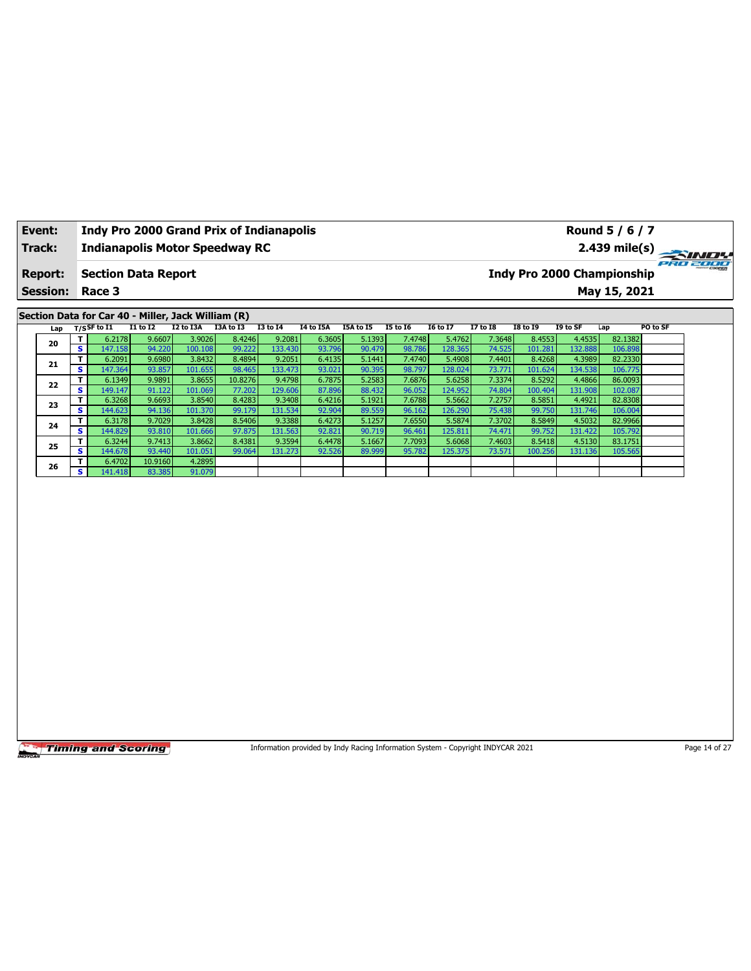| Event:          | <b>Indy Pro 2000 Grand Prix of Indianapolis</b><br><b>Indianapolis Motor Speedway RC</b> |                                                    |                  |                   |                  |                   |                                                                                 |                  |                  |                   |                  |                   |                  | Round 5 / 6 / 7                   |               |
|-----------------|------------------------------------------------------------------------------------------|----------------------------------------------------|------------------|-------------------|------------------|-------------------|---------------------------------------------------------------------------------|------------------|------------------|-------------------|------------------|-------------------|------------------|-----------------------------------|---------------|
| Track:          |                                                                                          |                                                    |                  |                   |                  |                   |                                                                                 |                  |                  |                   |                  |                   |                  | 2.439 mile(s)                     |               |
| <b>Report:</b>  |                                                                                          | <b>Section Data Report</b>                         |                  |                   |                  |                   |                                                                                 |                  |                  |                   |                  |                   |                  | <b>Indy Pro 2000 Championship</b> | 280 2000      |
| <b>Session:</b> |                                                                                          | Race 3                                             |                  |                   |                  |                   |                                                                                 |                  |                  |                   |                  |                   |                  | May 15, 2021                      |               |
|                 |                                                                                          | Section Data for Car 40 - Miller, Jack William (R) |                  |                   |                  |                   |                                                                                 |                  |                  |                   |                  |                   |                  |                                   |               |
| Lap             |                                                                                          | T/SSF to I1                                        | <b>I1 to I2</b>  | I2 to I3A         | I3A to I3        | <b>I3 to 14</b>   | <b>I4 to I5A</b>                                                                | I5A to I5        | <b>I5 to 16</b>  | <b>I6 to I7</b>   | <b>I7 to I8</b>  | <b>I8 to 19</b>   | I9 to SF         | Lap                               | PO to SF      |
| 20              | T                                                                                        | 6.2178                                             | 9.6607           | 3.9026            | 8.4246           | 9.2081            | 6.3605                                                                          | 5.1393           | 7.4748           | 5.4762            | 7.3648           | 8.4553            | 4.4535           | 82.1382                           |               |
|                 | $\overline{\mathbf{s}}$                                                                  | 147.158                                            | 94.220           | 100.108           | 99.222           | 133.430           | 93.796                                                                          | 90.479           | 98.786           | 128.365           | 74.525           | 101.281           | 132.88           | 106.898                           |               |
| 21              | T                                                                                        | 6.2091                                             | 9.6980           | 3.8432            | 8.4894           | 9.2051            | 6.4135                                                                          | 5.1441           | 7.4740           | 5.4908            | 7.4401           | 8.4268            | 4.3989           | 82.2330                           |               |
|                 | s                                                                                        | 147.364                                            | 93.857           | 101.655           | 98.465           | 133.473           | 93.021                                                                          | 90.395           | 98.797           | 128.024           | 73.771           | 101.624           | 134.538          | 106.775                           |               |
| 22              | T<br>s                                                                                   | 6.1349                                             | 9.9891           | 3.8655            | 10.8276          | 9.4798            | 6.7875                                                                          | 5.2583           | 7.6876           | 5.6258            | 7.3374           | 8.5292            | 4.4866           | 86.0093                           |               |
|                 | т                                                                                        | 149.147<br>6.3268                                  | 91.122<br>9.6693 | 101.069<br>3.8540 | 77.202<br>8.4283 | 129.606<br>9.3408 | 87.896<br>6.4216                                                                | 88.432<br>5.1921 | 96.052<br>7.6788 | 124.952<br>5.5662 | 74.804<br>7.2757 | 100.404<br>8.5851 | 131.90<br>4.4921 | 102.087<br>82.8308                |               |
| 23              | s                                                                                        | 144.623                                            | 94.136           | 101.370           | 99.179           | 131.534           | 92.904                                                                          | 89.559           | 96.162           | 126.290           | 75.438           | 99.750            | 131.746          | 106.004                           |               |
|                 | T                                                                                        | 6.3178                                             | 9.7029           | 3.8428            | 8.5406           | 9.3388            | 6.4273                                                                          | 5.1257           | 7.6550           | 5.5874            | 7.3702           | 8.5849            | 4.5032           | 82.9966                           |               |
| 24              | s                                                                                        | 144.829                                            | 93.810           | 101.666           | 97.875           | 131.563           | 92.821                                                                          | 90.719           | 96.461           | 125.811           | 74.471           | 99.752            | 131.422          | 105.792                           |               |
|                 | T                                                                                        | 6.3244                                             | 9.7413           | 3.8662            | 8.4381           | 9.3594            | 6.4478                                                                          | 5.1667           | 7.7093           | 5.6068            | 7.4603           | 8.5418            | 4.5130           | 83.1751                           |               |
| 25              | S                                                                                        | 144.678                                            | 93.440           | 101.051           | 99.064           | 131.273           | 92.526                                                                          | 89.999           | 95.782           | 125.375           | 73.571           | 100.256           | 131.136          | 105.565                           |               |
| 26              | T                                                                                        | 6.4702                                             | 10.9160          | 4.2895            |                  |                   |                                                                                 |                  |                  |                   |                  |                   |                  |                                   |               |
|                 | s                                                                                        | 141.418                                            | 83.385           | 91.079            |                  |                   |                                                                                 |                  |                  |                   |                  |                   |                  |                                   |               |
|                 |                                                                                          |                                                    |                  |                   |                  |                   |                                                                                 |                  |                  |                   |                  |                   |                  |                                   |               |
|                 |                                                                                          | <b>Timing and Scoring</b>                          |                  |                   |                  |                   | Information provided by Indy Racing Information System - Copyright INDYCAR 2021 |                  |                  |                   |                  |                   |                  |                                   | Page 14 of 27 |

٦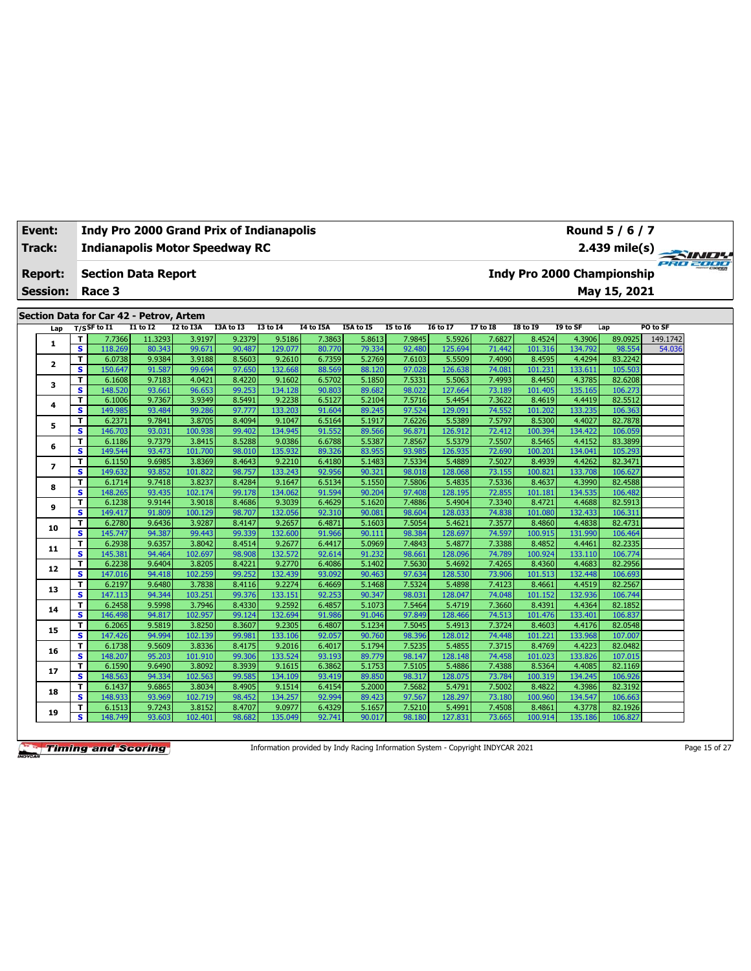| <b>Track:</b> |                 |                              |                                                             |                  |                   | <b>Indianapolis Motor Speedway RC</b> |                   |                  |                  |                  |                   |                  |                   |                            | 2.439 mile(s) $\rightarrow$ |          |
|---------------|-----------------|------------------------------|-------------------------------------------------------------|------------------|-------------------|---------------------------------------|-------------------|------------------|------------------|------------------|-------------------|------------------|-------------------|----------------------------|-----------------------------|----------|
|               | <b>Report:</b>  |                              | <b>Section Data Report</b>                                  |                  |                   |                                       |                   |                  |                  |                  |                   |                  |                   | Indy Pro 2000 Championship |                             |          |
|               | <b>Session:</b> |                              | Race 3                                                      |                  |                   |                                       |                   |                  |                  |                  |                   |                  |                   |                            | May 15, 2021                |          |
|               |                 |                              |                                                             |                  |                   |                                       |                   |                  |                  |                  |                   |                  |                   |                            |                             |          |
|               | Lap             |                              | Section Data for Car 42 - Petrov, Artem<br>$T/S$ SF to $I1$ | <b>I1 to I2</b>  | I2 to I3A         | I3A to I3                             | <b>I3 to I4</b>   | I4 to I5A        | I5A to I5        | <b>I5 to 16</b>  | <b>I6 to I7</b>   | <b>I7 to I8</b>  | <b>I8 to 19</b>   | I9 to SF                   | Lap                         | PO to SF |
|               |                 | т                            | 7.7366                                                      | 11.3293          | 3.9197            | 9.2379                                | 9.5186            | 7.3863           | 5.8613           | 7.9845           | 5.5926            | 7.6827           | 8.4524            | 4.3906                     | 89.0925                     | 149.1742 |
|               | 1               | s                            | 118.269                                                     | 80.343           | 99.671            | 90.487                                | 129.077           | 80.770           | 79.334           | 92.480           | 125.694           | 71.442           | 101.316           | 134.792                    | 98.554                      | 54.036   |
|               |                 | T.                           | 6.0738                                                      | 9.9384           | 3.9188            | 8.5603                                | 9.2610            | 6.7359           | 5.2769           | 7.6103           | 5.5509            | 7.4090           | 8.4595            | 4.4294                     | 83.2242                     |          |
|               | $\mathbf{2}$    | s.                           | 150.647                                                     | 91.587           | 99.694            | 97.650                                | 132.668           | 88.569           | 88.120           | 97.028           | 126.638           | 74.081           | 101.231           | 133.611                    | 105.503                     |          |
|               | 3               | T                            | 6.1608                                                      | 9.7183           | 4.0421            | 8.4220                                | 9.1602            | 6.5702           | 5.1850           | 7.5331           | 5.5063            | 7.4993           | 8.4450            | 4.3785                     | 82.6208                     |          |
|               |                 | s                            | 148.520                                                     | 93.661           | 96.653            | 99.253                                | 134.128           | 90.803           | 89.682           | 98.022           | 127.664           | 73.189           | 101.405           | 135.165                    | 106.273                     |          |
|               | 4               | т                            | 6.1006                                                      | 9.7367           | 3.9349            | 8.5491                                | 9.2238            | 6.5127           | 5.2104           | 7.5716           | 5.4454            | 7.3622           | 8.4619            | 4.4419                     | 82.5512                     |          |
|               |                 | s.                           | 149.985                                                     | 93.484           | 99.286            | 97.777                                | 133.203           | 91.604           | 89.245           | 97.524           | 129.091           | 74.552           | 101.202           | 133.235                    | 106.363                     |          |
|               | 5               | T<br>s                       | 6.2371<br>146.703                                           | 9.7841<br>93.031 | 3.8705<br>100.938 | 8.4094<br>99.402                      | 9.1047<br>134.945 | 6.5164<br>91.552 | 5.1917<br>89.566 | 7.6226<br>96.871 | 5.5389<br>126.912 | 7.5797<br>72.412 | 8.5300<br>100.394 | 4.4027<br>134.422          | 82.7878<br>106.059          |          |
|               |                 | T                            | 6.1186                                                      | 9.7379           | 3.8415            | 8.5288                                | 9.0386            | 6.6788           | 5.5387           | 7.8567           | 5.5379            | 7.5507           | 8.5465            | 4.4152                     | 83.3899                     |          |
|               | 6               | s.                           | 149.544                                                     | 93.473           | 101.700           | 98.010                                | 135.932           | 89.326           | 83.955           | 93.985           | 126.935           | 72.690           | 100.201           | 134.041                    | 105.293                     |          |
|               |                 | T                            | 6.1150                                                      | 9.6985           | 3.8369            | 8.4643                                | 9.2210            | 6.4180           | 5.1483           | 7.5334           | 5.4889            | 7.5027           | 8.4939            | 4.4262                     | 82.3471                     |          |
|               | 7               | s                            | 149.632                                                     | 93.852           | 101.822           | 98.757                                | 133.243           | 92.956           | 90.321           | 98.018           | 128.068           | 73.155           | 100.821           | 133.708                    | 106.627                     |          |
|               |                 | T                            | 6.1714                                                      | 9.7418           | 3.8237            | 8.4284                                | 9.1647            | 6.5134           | 5.1550           | 7.5806           | 5.4835            | 7.5336           | 8.4637            | 4.3990                     | 82.4588                     |          |
|               | 8               | s.                           | 148.265                                                     | 93.435           | 102.174           | 99.178                                | 134.062           | 91.594           | 90.204           | 97.408           | 128.195           | 72.855           | 101.181           | 134.535                    | 106.482                     |          |
|               | 9               | T                            | 6.1238                                                      | 9.9144           | 3.9018            | 8.4686                                | 9.3039            | 6.4629           | 5.1620           | 7.4886           | 5.4904            | 7.3340           | 8.4721            | 4.4688                     | 82.5913                     |          |
|               |                 | $\overline{\mathbf{s}}$      | 149.417                                                     | 91.809           | 100.129           | 98.707                                | 132.056           | 92.310           | 90.081           | 98.604           | 128.033           | 74.838           | 101.080           | 132.433                    | 106.311                     |          |
|               | 10              | т                            | 6.2780                                                      | 9.6436           | 3.9287            | 8.4147                                | 9.2657            | 6.4871           | 5.1603           | 7.5054           | 5.4621            | 7.3577           | 8.4860            | 4.4838                     | 82.4731                     |          |
|               |                 | s                            | 145.747                                                     | 94.387           | 99.443            | 99.339                                | 132.600           | 91.966           | 90.111           | 98.384           | 128.697           | 74.597           | 100.915           | 131.990                    | 106.464                     |          |
|               | 11              | т<br>$\overline{\mathbf{s}}$ | 6.2938<br>145.381                                           | 9.6357<br>94.464 | 3.8042<br>102.697 | 8.4514<br>98.908                      | 9.2677<br>132.572 | 6.4417<br>92.614 | 5.0969<br>91.232 | 7.4843<br>98.661 | 5.4877<br>128.096 | 7.3388<br>74.789 | 8.4852<br>100.924 | 4.4461<br>133.110          | 82.2335<br>106.774          |          |
|               |                 | т                            | 6.2238                                                      | 9.6404           | 3.8205            | 8.4221                                | 9.2770            | 6.4086           | 5.1402           | 7.5630           | 5.4692            | 7.4265           | 8.4360            | 4.4683                     | 82.2956                     |          |
|               | 12              | s                            | 147.016                                                     | 94.418           | 102.259           | 99.252                                | 132.439           | 93.092           | 90.463           | 97.634           | 128.530           | 73.906           | 101.513           | 132.448                    | 106.693                     |          |
|               |                 | T                            | 6.2197                                                      | 9.6480           | 3.7838            | 8.4116                                | 9.2274            | 6.4669           | 5.1468           | 7.5324           | 5.4898            | 7.4123           | 8.4661            | 4.4519                     | 82.2567                     |          |
|               | 13              | $\overline{\mathbf{s}}$      | 147.113                                                     | 94.344           | 103.251           | 99.376                                | 133.151           | 92.253           | 90.347           | 98.031           | 128.047           | 74.048           | 101.152           | 132.936                    | 106.744                     |          |
|               | 14              | T                            | 6.2458                                                      | 9.5998           | 3.7946            | 8.4330                                | 9.2592            | 6.4857           | 5.1073           | 7.5464           | 5.4719            | 7.3660           | 8.4391            | 4.4364                     | 82.1852                     |          |
|               |                 | s                            | 146.498                                                     | 94.817           | 102.957           | 99.124                                | 132.694           | 91.986           | 91.046           | 97.849           | 128.466           | 74.513           | 101.476           | 133.401                    | 106.837                     |          |
|               | 15              | T                            | 6.2065                                                      | 9.5819           | 3.8250            | 8.3607                                | 9.2305            | 6.4807           | 5.1234           | 7.5045           | 5.4913            | 7.3724           | 8.4603            | 4.4176                     | 82.0548                     |          |
|               |                 | s                            | 147.426                                                     | 94.994           | 102.139           | 99.981                                | 133.106           | 92.057           | 90.760           | 98.396           | 128.012           | 74.448           | 101.221           | 133.968                    | 107.007                     |          |
|               | 16              | T                            | 6.1738                                                      | 9.5609           | 3.8336            | 8.4175                                | 9.2016            | 6.4017           | 5.1794           | 7.5235           | 5.4855            | 7.3715           | 8.4769            | 4.4223                     | 82.0482                     |          |
|               |                 | s                            | 148.207                                                     | 95.203           | 101.910           | 99.306                                | 133.524           | 93.193           | 89.779           | 98.147           | 128.148           | 74.458           | 101.023           | 133.826                    | 107.015                     |          |
|               | 17              | T.<br>s.                     | 6.1590<br>148.563                                           | 9.6490<br>94.334 | 3.8092<br>102.563 | 8.3939<br>99.585                      | 9.1615<br>134.109 | 6.3862           | 5.1753<br>89.850 | 7.5105<br>98.317 | 5.4886<br>128.075 | 7.4388<br>73.784 | 8.5364<br>100.319 | 4.4085<br>134.245          | 82.1169<br>106.926          |          |
|               |                 | Τ                            | 6.1437                                                      | 9.6865           | 3.8034            | 8.4905                                | 9.1514            | 93.419<br>6.4154 | 5.2000           | 7.5682           | 5.4791            | 7.5002           | 8.4822            | 4.3986                     | 82.3192                     |          |
|               | 18              | s                            | 148.933                                                     | 93.969           | 102.719           | 98.452                                | 134.257           | 92.994           | 89.423           | 97.567           | 128.297           | 73.180           | 100.960           | 134.547                    | 106.663                     |          |
|               |                 | Τ                            | 6.1513                                                      | 9.7243           | 3.8152            | 8.4707                                | 9.0977            | 6.4329           | 5.1657           | 7.5210           | 5.4991            | 7.4508           | 8.4861            | 4.3778                     | 82.1926                     |          |
|               | 19              | s.                           | 148.749                                                     | 93.603           | 102.401           | 98.682                                | 135.049           | 92.741           | 90.017           | 98.180           | 127.831           | 73.665           | 100.914           | 135.186                    | 106.827                     |          |

**Event: Indy Pro 2000 Grand Prix of Indianapolis**

Information provided by Indy Racing Information System - Copyright INDYCAR 2021 Page 15 of 27

**Round 5 / 6 / 7**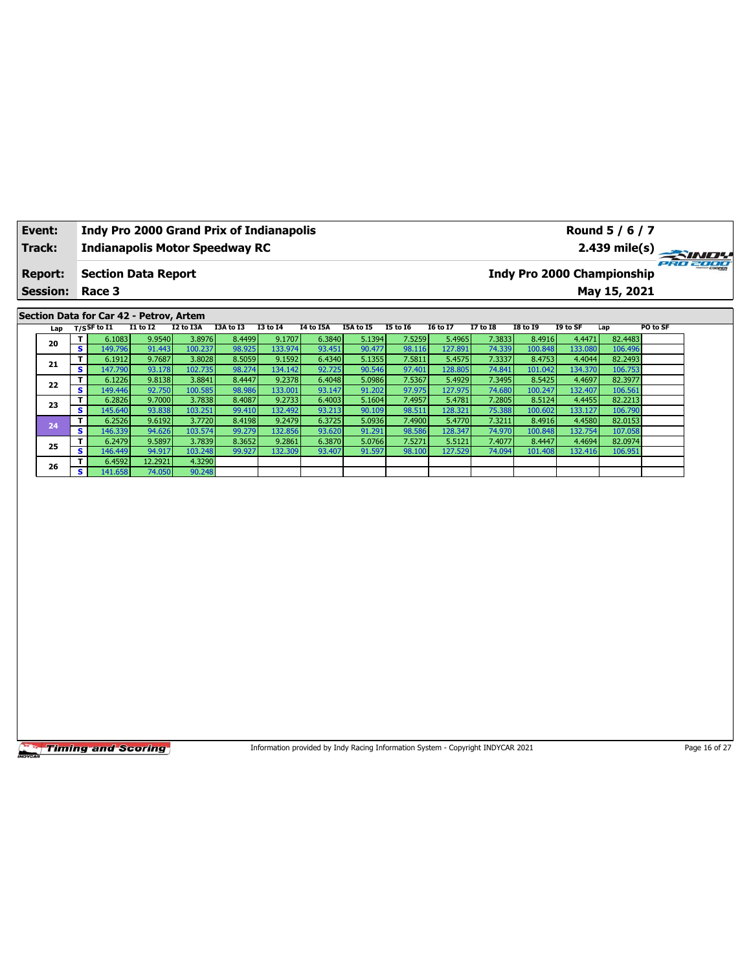| Track:<br><b>Report:</b><br><b>Session:</b><br>Section Data for Car 42 - Petrov, Artem<br>Lap<br>T.<br>20<br>s<br>T.<br>21<br>$\overline{\mathbf{s}}$<br>T.<br>22<br>S.<br>T<br>23<br>s<br>T<br>24<br>s.<br>T.<br>25<br>s.<br>Τ.<br>26<br>$\overline{\mathbf{s}}$ | <b>Indianapolis Motor Speedway RC</b><br><b>Section Data Report</b><br>Race 3<br>$T/S$ SF to $I1$<br>6.1083<br>149.796<br>6.1912<br>147.790<br>6.1226<br>149.446<br>6.2826 | $I1$ to $I2$<br>9.9540<br>91.443<br>9.7687<br>93.178<br>9.8138<br>92.750 | I2 to I3A<br>3.8976<br>100.237<br>3.8028<br>102.735       | I3A to I3<br>8.4499<br>98.925<br>8.5059 | <b>I3 to 14</b><br>9.1707<br>133.974<br>9.1592 | <b>I4 to I5A</b><br>6.3840<br>93.451 | I5A to I5<br>5.1394 | <b>I5 to 16</b><br>7.5259 | <b>I6 to I7</b>   | <b>I7 to I8</b>  | <b>Indy Pro 2000 Championship</b><br><b>I8 to 19</b> | I9 to SF          | $2.439$ mile(s)<br>May 15, 2021<br>Lap | PRO 21<br>PO to SF |
|-------------------------------------------------------------------------------------------------------------------------------------------------------------------------------------------------------------------------------------------------------------------|----------------------------------------------------------------------------------------------------------------------------------------------------------------------------|--------------------------------------------------------------------------|-----------------------------------------------------------|-----------------------------------------|------------------------------------------------|--------------------------------------|---------------------|---------------------------|-------------------|------------------|------------------------------------------------------|-------------------|----------------------------------------|--------------------|
|                                                                                                                                                                                                                                                                   |                                                                                                                                                                            |                                                                          |                                                           |                                         |                                                |                                      |                     |                           |                   |                  |                                                      |                   |                                        |                    |
|                                                                                                                                                                                                                                                                   |                                                                                                                                                                            |                                                                          |                                                           |                                         |                                                |                                      |                     |                           |                   |                  |                                                      |                   |                                        |                    |
|                                                                                                                                                                                                                                                                   |                                                                                                                                                                            |                                                                          |                                                           |                                         |                                                |                                      |                     |                           |                   |                  |                                                      |                   |                                        |                    |
|                                                                                                                                                                                                                                                                   |                                                                                                                                                                            |                                                                          |                                                           |                                         |                                                |                                      |                     |                           |                   |                  |                                                      |                   |                                        |                    |
|                                                                                                                                                                                                                                                                   |                                                                                                                                                                            |                                                                          |                                                           |                                         |                                                |                                      |                     |                           |                   |                  |                                                      |                   |                                        |                    |
|                                                                                                                                                                                                                                                                   |                                                                                                                                                                            |                                                                          |                                                           |                                         |                                                |                                      |                     |                           | 5.4965            | 7.3833           | 8.4916                                               | 4.4471            | 82.4483                                |                    |
|                                                                                                                                                                                                                                                                   |                                                                                                                                                                            |                                                                          |                                                           |                                         |                                                | 6.4340                               | 90.477<br>5.1355    | 98.116<br>7.5811          | 127.891<br>5.4575 | 74.339           | 100.848                                              | 133.080           | 106.496                                |                    |
|                                                                                                                                                                                                                                                                   |                                                                                                                                                                            |                                                                          | 98.274<br>134.142<br>92.725<br>3.8841<br>8.4447<br>9.2378 |                                         |                                                |                                      |                     |                           |                   | 7.3337           | 8.4753                                               | 4.4044            | 82.2493                                |                    |
|                                                                                                                                                                                                                                                                   |                                                                                                                                                                            |                                                                          |                                                           |                                         |                                                | 6.4048                               | 90.546<br>5.0986    | 97.401<br>7.5367          | 128.805<br>5.4929 | 74.841<br>7.3495 | 101.042<br>8.5425                                    | 134.370<br>4.4697 | 106.753<br>82.3977                     |                    |
|                                                                                                                                                                                                                                                                   |                                                                                                                                                                            |                                                                          | 100.585                                                   | 98.986                                  | 133.001                                        | 93.147                               | 91.202              | 97.975                    | 127.975           | 74.680           | 100.247                                              | 132.407           | 106.561                                |                    |
|                                                                                                                                                                                                                                                                   |                                                                                                                                                                            | 9.7000                                                                   | 3.7838                                                    | 8.4087                                  | 9.2733                                         | 6.4003                               | 5.1604              | 7.4957                    | 5.4781            | 7.2805           | 8.5124                                               | 4.4455            | 82.2213                                |                    |
|                                                                                                                                                                                                                                                                   | 145.640                                                                                                                                                                    | 93.838                                                                   | 103.251                                                   | 99.410                                  | 132.492                                        | 93.213                               | 90.109              | 98.511                    | 128.321           | 75.388           | 100.602                                              | 133.127           | 106.790                                |                    |
|                                                                                                                                                                                                                                                                   | 6.2526                                                                                                                                                                     | 9.6192                                                                   | 3.7720                                                    | 8.4198                                  | 9.2479                                         | 6.3725                               | 5.0936              | 7.4900                    | 5.4770            | 7.3211           | 8.4916                                               | 4.4580            | 82.0153                                |                    |
|                                                                                                                                                                                                                                                                   | 146.339                                                                                                                                                                    | 94.626                                                                   | 103.574                                                   | 99.279                                  | 132.856                                        | 93.620                               | 91.291              | 98.586                    | 128.347           | 74.970           | 100.848                                              | 132.754           | 107.058                                |                    |
|                                                                                                                                                                                                                                                                   | 6.2479                                                                                                                                                                     | 9.5897                                                                   | 3.7839                                                    | 8.3652                                  | 9.2861                                         | 6.3870                               | 5.0766              | 7.5271                    | 5.5121            | 7.4077           | 8.4447                                               | 4.4694            | 82.0974                                |                    |
|                                                                                                                                                                                                                                                                   | 146.449                                                                                                                                                                    | 94.917                                                                   | 103.248                                                   | 99.927                                  | 132.309                                        | 93.407                               | 91.597              | 98.100                    | 127.529           | 74.094           | 101.408                                              | 132.416           | 106.951                                |                    |
|                                                                                                                                                                                                                                                                   | 6.4592<br>141.658                                                                                                                                                          | 12.2921<br>74.050                                                        | 4.3290<br>90.248                                          |                                         |                                                |                                      |                     |                           |                   |                  |                                                      |                   |                                        |                    |
|                                                                                                                                                                                                                                                                   |                                                                                                                                                                            |                                                                          |                                                           |                                         |                                                |                                      |                     |                           |                   |                  |                                                      |                   |                                        |                    |

Information provided by Indy Racing Information System - Copyright INDYCAR 2021 Page 16 of 27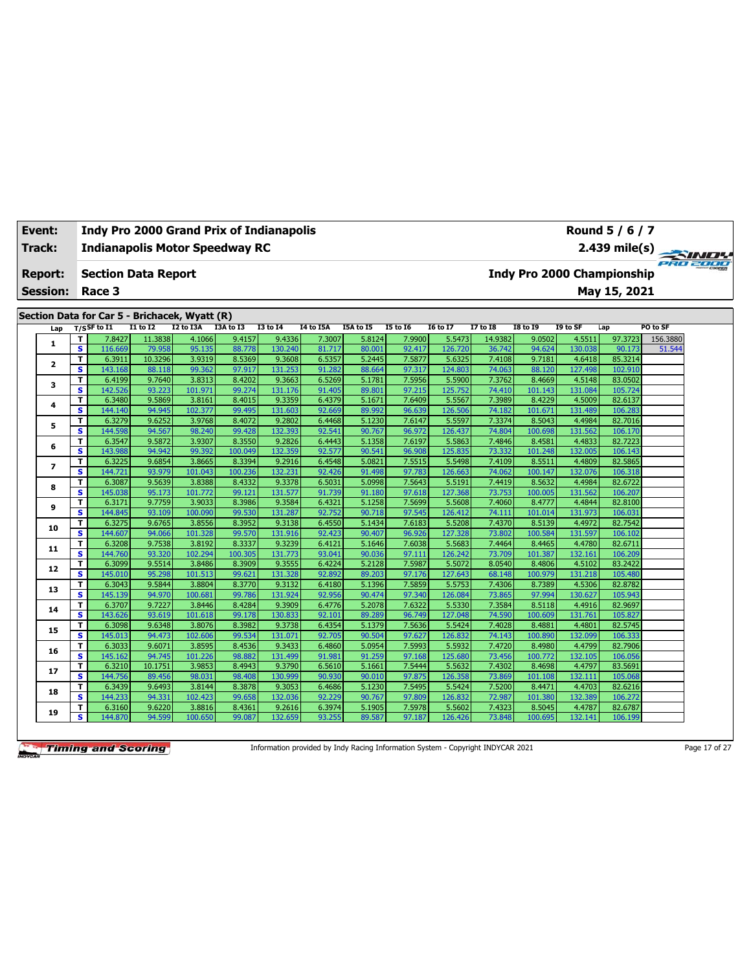| <b>Event:</b>   |                              | <b>Indy Pro 2000 Grand Prix of Indianapolis</b>                 |                   |                   |                  |                   |                  |                  |                  |                   |                   |                                   |                   | Round 5 / 6 / 7    |                    |
|-----------------|------------------------------|-----------------------------------------------------------------|-------------------|-------------------|------------------|-------------------|------------------|------------------|------------------|-------------------|-------------------|-----------------------------------|-------------------|--------------------|--------------------|
| Track:          |                              | <b>Indianapolis Motor Speedway RC</b>                           |                   |                   |                  |                   |                  |                  |                  |                   |                   |                                   |                   | $2.439$ mile(s)    | PRO 2000           |
| <b>Report:</b>  |                              | <b>Section Data Report</b>                                      |                   |                   |                  |                   |                  |                  |                  |                   |                   | <b>Indy Pro 2000 Championship</b> |                   |                    |                    |
| <b>Session:</b> |                              | Race 3                                                          |                   |                   |                  |                   |                  |                  |                  |                   |                   |                                   |                   | May 15, 2021       |                    |
|                 |                              |                                                                 |                   |                   |                  |                   |                  |                  |                  |                   |                   |                                   |                   |                    |                    |
|                 |                              | Section Data for Car 5 - Brichacek, Wyatt (R)<br>$T/S$ SF to I1 | $I1$ to $I2$      | I2 to I3A         | I3A to I3        | <b>I3 to I4</b>   | <b>I4 to I5A</b> | I5A to I5        | <b>I5 to 16</b>  | <b>I6 to I7</b>   | <b>I7 to I8</b>   | <b>I8 to 19</b>                   | I9 to SF          | Lap                | PO to SF           |
| Lap             |                              |                                                                 |                   |                   |                  |                   |                  |                  |                  |                   |                   |                                   |                   |                    |                    |
| $\mathbf{1}$    | т<br>$\overline{\mathbf{s}}$ | 7.8427<br>116.669                                               | 11.3838<br>79.958 | 4.1066<br>95.135  | 9.4157<br>88.778 | 9.4336<br>130.240 | 7.3007<br>81.717 | 5.8124<br>80.001 | 7.9900<br>92.417 | 5.5473<br>126.720 | 14.9382<br>36.742 | 9.0502<br>94.624                  | 4.5511<br>130.038 | 97.3723<br>90.173  | 156.3880<br>51.544 |
|                 | T.                           | 6.3911                                                          | 10.3296           | 3.9319            | 8.5369           | 9.3608            | 6.5357           | 5.2445           | 7.5877           | 5.6325            | 7.4108            | 9.7181                            | 4.6418            | 85.3214            |                    |
| 2               | s                            | 143.168                                                         | 88.118            | 99.362            | 97.917           | 131.253           | 91.282           | 88.664           | 97.317           | 124.803           | 74.063            | 88.120                            | 127.498           | 102.910            |                    |
|                 | т                            | 6.4199                                                          | 9.7640            | 3.8313            | 8.4202           | 9.3663            | 6.5269           | 5.1781           | 7.5956           | 5.5900            | 7.3762            | 8.4669                            | 4.5148            | 83.0502            |                    |
| 3               | s                            | 142.526                                                         | 93.223            | 101.971           | 99.274           | 131.176           | 91.405           | 89.801           | 97.215           | 125.752           | 74.410            | 101.143                           | 131.084           | 105.724            |                    |
|                 | T                            | 6.3480                                                          | 9.5869            | 3.8161            | 8.4015           | 9.3359            | 6.4379           | 5.1671           | 7.6409           | 5.5567            | 7.3989            | 8.4229                            | 4.5009            | 82.6137            |                    |
| 4               | s                            | 144.140                                                         | 94.945            | 102.377           | 99.495           | 131.603           | 92.669           | 89.992           | 96.639           | 126.506           | 74.182            | 101.671                           | 131.489           | 106.283            |                    |
|                 | т                            | 6.3279                                                          | 9.6252            | 3.9768            | 8.4072           | 9.2802            | 6.4468           | 5.1230           | 7.6147           | 5.5597            | 7.3374            | 8.5043                            | 4.4984            | 82.7016            |                    |
| 5               | s                            | 144.598                                                         | 94.567            | 98.240            | 99.428           | 132.393           | 92.541           | 90.767           | 96.972           | 126.437           | 74.804            | 100.698                           | 131.562           | 106.170            |                    |
| 6               | T                            | 6.3547                                                          | 9.5872            | 3.9307            | 8.3550           | 9.2826            | 6.4443           | 5.1358           | 7.6197           | 5.5863            | 7.4846            | 8.4581                            | 4.4833            | 82.7223            |                    |
|                 | s                            | 143.988                                                         | 94.942            | 99.392            | 100.049          | 132.359           | 92.577           | 90.541           | 96.908           | 125.835           | 73.332            | 101.248                           | 132.005           | 106.143            |                    |
| 7               | T                            | 6.3225                                                          | 9.6854            | 3.8665            | 8.3394           | 9.2916            | 6.4548           | 5.0821           | 7.5515           | 5.5498            | 7.4109            | 8.5511                            | 4.4809            | 82.5865            |                    |
|                 | s                            | 144.721                                                         | 93.979            | 101.043           | 100.236          | 132.231           | 92.426           | 91.498           | 97.783           | 126.663           | 74.062            | 100.147                           | 132.076           | 106.318            |                    |
| 8               | T                            | 6.3087                                                          | 9.5639            | 3.8388            | 8.4332           | 9.3378            | 6.5031           | 5.0998           | 7.5643           | 5.5191            | 7.4419            | 8.5632                            | 4.4984            | 82.6722            |                    |
|                 | s                            | 145.038                                                         | 95.173            | 101.772           | 99.121           | 131.577           | 91.739           | 91.180           | 97.618           | 127.368           | 73.753            | 100.005                           | 131.562           | 106.207            |                    |
| 9               | T                            | 6.3171                                                          | 9.7759            | 3.9033            | 8.3986           | 9.3584            | 6.4321           | 5.1258           | 7.5699           | 5.5608            | 7.4060            | 8.4777                            | 4.4844            | 82.8100            |                    |
|                 | s                            | 144.845                                                         | 93.109            | 100.090           | 99.530           | 131.287           | 92.752           | 90.718           | 97.545           | 126.412           | 74.111            | 101.014                           | 131.973           | 106.031            |                    |
| 10              | T                            | 6.3275                                                          | 9.6765            | 3.8556            | 8.3952           | 9.3138            | 6.4550           | 5.1434           | 7.6183           | 5.5208            | 7.4370            | 8.5139                            | 4.4972            | 82.7542            |                    |
|                 | $\overline{\mathbf{s}}$      | 144.607                                                         | 94.066            | 101.328           | 99.570           | 131.916           | 92.423           | 90.407           | 96.926           | 127.328           | 73.802            | 100.584                           | 131.597           | 106.102            |                    |
| 11              | т                            | 6.3208                                                          | 9.7538            | 3.8192            | 8.3337           | 9.3239            | 6.4121           | 5.1646           | 7.6038           | 5.5683            | 7.4464            | 8.4465                            | 4.4780            | 82.6711            |                    |
|                 | s                            | 144.760                                                         | 93.320            | 102.294           | 100.305          | 131.773           | 93.041           | 90.036           | 97.111           | 126.242           | 73.709            | 101.387                           | 132.161           | 106.209            |                    |
| 12              | T                            | 6.3099                                                          | 9.5514            | 3.8486            | 8.3909           | 9.3555            | 6.4224           | 5.2128           | 7.5987           | 5.5072            | 8.0540            | 8.4806                            | 4.5102            | 83.2422            |                    |
|                 | $\overline{\mathbf{s}}$      | 145.010                                                         | 95.298<br>9.5844  | 101.513           | 99.621           | 131.328<br>9.3132 | 92.892           | 89.203<br>5.1396 | 97.176<br>7.5859 | 127.643           | 68.148            | 100.979                           | 131.218<br>4.5306 | 105.480<br>82.8782 |                    |
| 13              | T<br>s                       | 6.3043<br>145.139                                               | 94.970            | 3.8804<br>100.681 | 8.3770<br>99.786 | 131.924           | 6.4180<br>92.956 | 90.474           | 97.340           | 5.5753<br>126.084 | 7.4306<br>73.865  | 8.7389<br>97.994                  | 130.627           | 105.943            |                    |
|                 | т                            | 6.3707                                                          | 9.7227            | 3.8446            | 8.4284           | 9.3909            | 6.4776           | 5.2078           | 7.6322           | 5.5330            | 7.3584            | 8.5118                            | 4.4916            | 82.9697            |                    |
| 14              | $\overline{\mathbf{s}}$      | 143.626                                                         | 93.619            | 101.618           | 99.178           | 130.833           | 92.101           | 89.289           | 96.749           | 127.048           | 74.590            | 100.609                           | 131.761           | 105.827            |                    |
|                 | T                            | 6.3098                                                          | 9.6348            | 3.8076            | 8.3982           | 9.3738            | 6.4354           | 5.1379           | 7.5636           | 5.5424            | 7.4028            | 8.4881                            | 4.4801            | 82.5745            |                    |
| 15              | s                            | 145.013                                                         | 94.473            | 102.606           | 99.534           | 131.071           | 92.705           | 90.504           | 97.627           | 126.832           | 74.143            | 100.890                           | 132.099           | 106.333            |                    |
|                 | т                            | 6.3033                                                          | 9.6071            | 3.8595            | 8.4536           | 9.3433            | 6.4860           | 5.0954           | 7.5993           | 5.5932            | 7.4720            | 8.4980                            | 4.4799            | 82.7906            |                    |
| 16              | s                            | 145.162                                                         | 94.745            | 101.226           | 98.882           | 131.499           | 91.981           | 91.259           | 97.168           | 125.680           | 73.456            | 100.772                           | 132.105           | 106.056            |                    |
|                 | T                            | 6.3210                                                          | 10.1751           | 3.9853            | 8.4943           | 9.3790            | 6.5610           | 5.1661           | 7.5444           | 5.5632            | 7.4302            | 8.4698                            | 4.4797            | 83.5691            |                    |
| 17              | $\overline{\mathbf{s}}$      | 144.756                                                         | 89.456            | 98.031            | 98.408           | 130.999           | 90.930           | 90.010           | 97.875           | 126.358           | 73.869            | 101.108                           | 132.111           | 105.068            |                    |
|                 | т                            | 6.3439                                                          | 9.6493            | 3.8144            | 8.3878           | 9.3053            | 6.4686           | 5.1230           | 7.5495           | 5.5424            | 7.5200            | 8.4471                            | 4.4703            | 82.6216            |                    |
| 18              | s                            | 144.233                                                         | 94.331            | 102.423           | 99.658           | 132.036           | 92.229           | 90.767           | 97.809           | 126.832           | 72.987            | 101.380                           | 132.389           | 106.272            |                    |
|                 | T.                           | 6.3160                                                          | 9.6220            | 3.8816            | 8.4361           | 9.2616            | 6.3974           | 5.1905           | 7.5978           | 5.5602            | 7.4323            | 8.5045                            | 4.4787            | 82.6787            |                    |
| 19              | s                            | 144.870                                                         | 94.599            | 100.650           | 99.087           | 132.659           | 93.255           | 89.587           | 97.187           | 126.426           | 73.848            | 100.695                           | 132.141           | 106.199            |                    |
|                 |                              |                                                                 |                   |                   |                  |                   |                  |                  |                  |                   |                   |                                   |                   |                    |                    |

Information provided by Indy Racing Information System - Copyright INDYCAR 2021 Page 17 of 27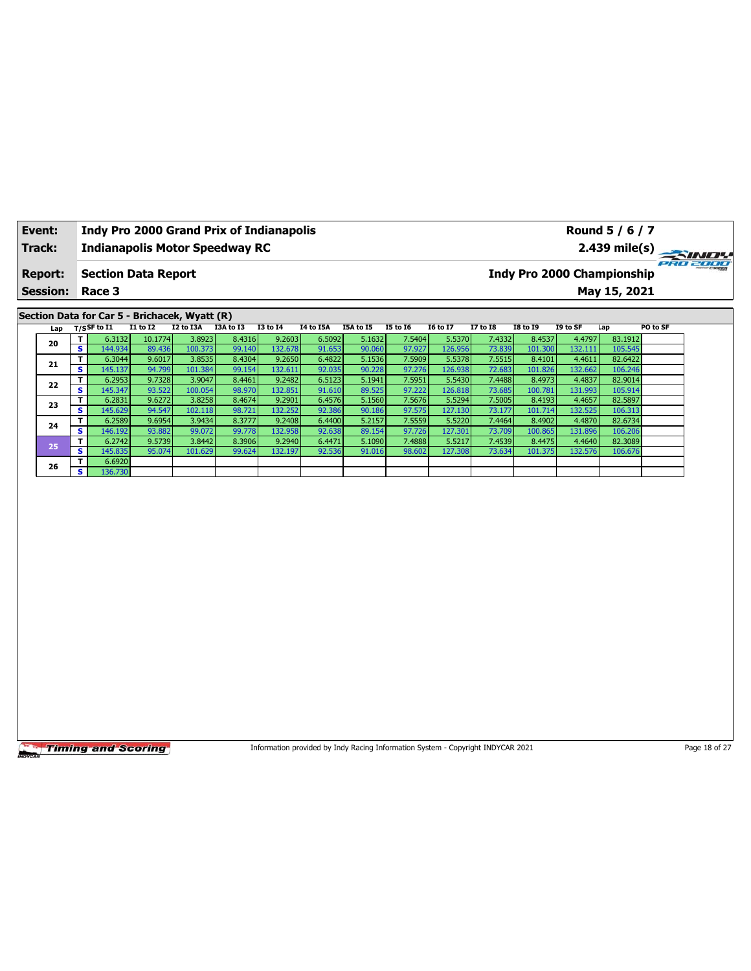| Event:<br><b>Indy Pro 2000 Grand Prix of Indianapolis</b><br><b>Indianapolis Motor Speedway RC</b> |                         |                                                                 |                  |                   |                  |                   |                  |                  |                  |                   |                  |                   | Round 5 / 6 / 7   |                                   |          |
|----------------------------------------------------------------------------------------------------|-------------------------|-----------------------------------------------------------------|------------------|-------------------|------------------|-------------------|------------------|------------------|------------------|-------------------|------------------|-------------------|-------------------|-----------------------------------|----------|
| Track:                                                                                             |                         |                                                                 |                  |                   |                  |                   |                  |                  |                  |                   |                  |                   |                   | 2.439 mile(s)                     | PRO 2000 |
| <b>Report:</b>                                                                                     |                         | <b>Section Data Report</b>                                      |                  |                   |                  |                   |                  |                  |                  |                   |                  |                   |                   | <b>Indy Pro 2000 Championship</b> |          |
| <b>Session:</b>                                                                                    |                         | Race 3                                                          |                  |                   |                  |                   |                  |                  |                  |                   |                  |                   |                   | May 15, 2021                      |          |
|                                                                                                    |                         |                                                                 |                  |                   |                  |                   |                  |                  |                  |                   |                  |                   |                   |                                   |          |
| Lap                                                                                                |                         | Section Data for Car 5 - Brichacek, Wyatt (R)<br>$T/S$ SF to 11 | $I1$ to $I2$     | I2 to I3A         | I3A to I3        | <b>I3 to 14</b>   | <b>I4 to I5A</b> | I5A to I5        | <b>I5 to 16</b>  | <b>I6 to I7</b>   | <b>I7 to I8</b>  | <b>I8 to 19</b>   | I9 to SF          | PO to SF<br>Lap                   |          |
|                                                                                                    | T                       | 6.3132                                                          | 10.1774          | 3.8923            | 8.4316           | 9.2603            | 6.5092           | 5.1632           | 7.5404           | 5.5370            | 7.4332           | 8.4537            | 4.4797            | 83.1912                           |          |
| 20                                                                                                 | s                       | 144.934                                                         | 89.436           | 100.373           | 99.140           | 132.678           | 91.653           | 90.060           | 97.927           | 126.956           | 73.839           | 101.300           | 132.111           | 105.545                           |          |
| 21                                                                                                 | T                       | 6.3044                                                          | 9.6017           | 3.8535            | 8.4304           | 9.2650            | 6.4822           | 5.1536           | 7.5909           | 5.5378            | 7.5515           | 8.4101            | 4.4611            | 82.6422                           |          |
|                                                                                                    | s<br>T                  | 145.137<br>6.2953                                               | 94.799<br>9.7328 | 101.384<br>3.9047 | 99.154<br>8.4461 | 132.611<br>9.2482 | 92.035<br>6.5123 | 90.228<br>5.1941 | 97.276<br>7.5951 | 126.938<br>5.5430 | 72.683<br>7.4488 | 101.826<br>8.4973 | 132.662<br>4.4837 | 106.246<br>82.9014                |          |
| 22                                                                                                 | s                       | 145.347                                                         | 93.522           | 100.054           | 98.970           | 132.851           | 91.610           | 89.525           | 97.222           | 126.818           | 73.685           | 100.781           | 131.993           | 105.914                           |          |
|                                                                                                    | T.                      | 6.2831                                                          | 9.6272           | 3.8258            | 8.4674           | 9.2901            | 6.4576           | 5.1560           | 7.5676           | 5.5294            | 7.5005           | 8.4193            | 4.4657            | 82.5897                           |          |
| 23                                                                                                 | S                       | 145.629                                                         | 94.547           | 102.118           | 98.721           | 132.252           | 92.386           | 90.186           | 97.575           | 127.130           | 73.177           | 101.714           | 132.525           | 106.313                           |          |
| 24                                                                                                 | т                       | 6.2589                                                          | 9.6954           | 3.9434            | 8.3777           | 9.2408            | 6.4400           | 5.2157           | 7.5559           | 5.5220            | 7.4464           | 8.4902            | 4.4870            | 82.6734                           |          |
|                                                                                                    | $\overline{\mathbf{s}}$ | 146.192                                                         | 93.882           | 99.072            | 99.778           | 132.958           | 92.638           | 89.154           | 97.726           | 127.301           | 73.709           | 100.865           | 131.896           | 106.206                           |          |
| 25                                                                                                 | T.                      | 6.2742                                                          | 9.5739<br>95.074 | 3.8442            | 8.3906           | 9.2940            | 6.4471           | 5.1090           | 7.4888           | 5.5217<br>127.308 | 7.4539<br>73.634 | 8.4475            | 4.4640<br>132.576 | 82.3089                           |          |
|                                                                                                    | s<br>т                  | 145.835<br>6.6920                                               |                  | 101.629           | 99.624           | 132.197           | 92.536           | 91.016           | 98.602           |                   |                  | 101.375           |                   | 106.676                           |          |
| 26                                                                                                 | s                       | 136.730                                                         |                  |                   |                  |                   |                  |                  |                  |                   |                  |                   |                   |                                   |          |
|                                                                                                    |                         |                                                                 |                  |                   |                  |                   |                  |                  |                  |                   |                  |                   |                   |                                   |          |
|                                                                                                    |                         |                                                                 |                  |                   |                  |                   |                  |                  |                  |                   |                  |                   |                   |                                   |          |

Information provided by Indy Racing Information System - Copyright INDYCAR 2021 Page 18 of 27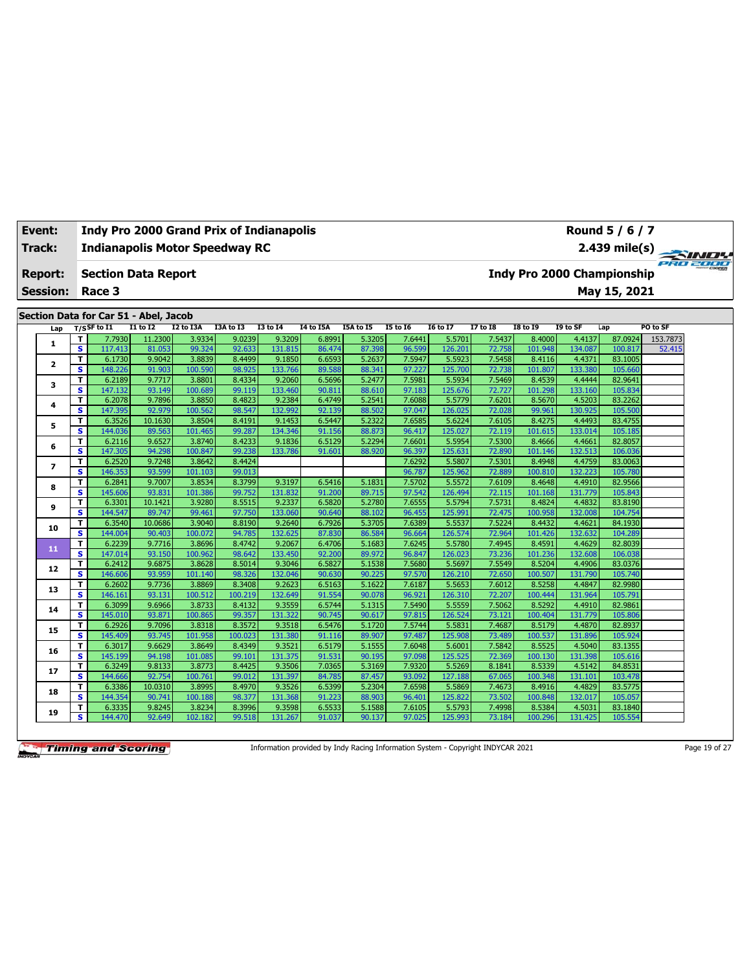| Event: |                 |                              |                                       |                  |                   | <b>Indy Pro 2000 Grand Prix of Indianapolis</b> |                   |                  |                  |                  |                   |                  |                   |                                   | Round 5 / 6 / 7    |          |
|--------|-----------------|------------------------------|---------------------------------------|------------------|-------------------|-------------------------------------------------|-------------------|------------------|------------------|------------------|-------------------|------------------|-------------------|-----------------------------------|--------------------|----------|
| Track: |                 |                              |                                       |                  |                   | <b>Indianapolis Motor Speedway RC</b>           |                   |                  |                  |                  |                   |                  |                   |                                   | $2.439$ mile(s)    | PRO 2000 |
|        | <b>Report:</b>  |                              | <b>Section Data Report</b>            |                  |                   |                                                 |                   |                  |                  |                  |                   |                  |                   | <b>Indy Pro 2000 Championship</b> |                    |          |
|        | <b>Session:</b> |                              | Race 3                                |                  |                   |                                                 |                   |                  |                  |                  |                   |                  |                   |                                   | May 15, 2021       |          |
|        |                 |                              |                                       |                  |                   |                                                 |                   |                  |                  |                  |                   |                  |                   |                                   |                    |          |
|        |                 |                              | Section Data for Car 51 - Abel, Jacob |                  |                   |                                                 |                   |                  |                  |                  |                   |                  |                   |                                   |                    |          |
|        | Lap             |                              | $T/S$ SF to I1                        | $I1$ to $I2$     | I2 to I3A         | I3A to I3                                       | <b>I3 to 14</b>   | I4 to I5A        | I5A to I5        | <b>I5 to 16</b>  | <b>I6 to I7</b>   | <b>I7 to I8</b>  | <b>I8 to 19</b>   | I9 to SF                          | Lap                | PO to SF |
|        | 1               | T                            | 7.7930                                | 11.2300          | 3.9334            | 9.0239                                          | 9.3209            | 6.8991           | 5.3205           | 7.6441           | 5.5701            | 7.5437           | 8.4000            | 4.4137                            | 87.0924            | 153.7873 |
|        |                 | $\overline{\mathbf{s}}$      | 117.413                               | 81.053           | 99.324            | 92.633                                          | 131.815           | 86.474           | 87.398           | 96.599           | 126.201           | 72.758           | 101.948           | 134.087                           | 100.817            | 52.415   |
|        | $\mathbf{2}$    | T                            | 6.1730                                | 9.9042           | 3.8839            | 8.4499                                          | 9.1850            | 6.6593           | 5.2637           | 7.5947           | 5.5923            | 7.5458           | 8.4116            | 4.4371                            | 83.1005            |          |
|        |                 | $\overline{\mathbf{s}}$      | 148.226                               | 91.903           | 100.590           | 98.925                                          | 133.766           | 89.588           | 88.341           | 97.227           | 125.700           | 72.738           | 101.807           | 133.380                           | 105.660            |          |
|        | 3               | T                            | 6.2189                                | 9.7717           | 3.8801            | 8.4334                                          | 9.2060            | 6.5696           | 5.2477           | 7.5981           | 5.5934            | 7.5469           | 8.4539            | 4.4444                            | 82.9641            |          |
|        |                 | s                            | 147.132                               | 93.149           | 100.689           | 99.119                                          | 133.460           | 90.811           | 88.610           | 97.183           | 125.676           | 72.727           | 101.298           | 133.160                           | 105.834            |          |
|        | 4               | T<br>S.                      | 6.2078<br>147.395                     | 9.7896<br>92.979 | 3.8850<br>100.562 | 8.4823<br>98.547                                | 9.2384<br>132.992 | 6.4749<br>92.139 | 5.2541<br>88.502 | 7.6088<br>97.047 | 5.5779<br>126.025 | 7.6201<br>72.028 | 8.5670<br>99.961  | 4.5203<br>130.925                 | 83.2262<br>105.500 |          |
|        |                 | T.                           | 6.3526                                | 10.1630          | 3.8504            | 8.4191                                          | 9.1453            | 6.5447           | 5.2322           | 7.6585           | 5.6224            | 7.6105           | 8.4275            | 4.4493                            | 83.4755            |          |
|        | 5               | s.                           | 144.036                               | 89.563           | 101.465           | 99.287                                          | 134.346           | 91.156           | 88.873           | 96.417           | 125.027           | 72.119           | 101.615           | 133.014                           | 105.185            |          |
|        |                 | T.                           | 6.2116                                | 9.6527           | 3.8740            | 8.4233                                          | 9.1836            | 6.5129           | 5.2294           | 7.6601           | 5.5954            | 7.5300           | 8.4666            | 4.4661                            | 82.8057            |          |
|        | 6               | s                            | 147.305                               | 94.298           | 100.847           | 99.238                                          | 133.786           | 91.601           | 88.920           | 96.397           | 125.631           | 72.890           | 101.146           | 132.513                           | 106.036            |          |
|        |                 | т                            | 6.2520                                | 9.7248           | 3.8642            | 8.4424                                          |                   |                  |                  | 7.6292           | 5.5807            | 7.5301           | 8.4948            | 4.4759                            | 83.0063            |          |
|        | $\overline{ }$  | s                            | 146.353                               | 93.599           | 101.103           | 99.013                                          |                   |                  |                  | 96.787           | 125.962           | 72.889           | 100.810           | 132.223                           | 105.780            |          |
|        |                 | T.                           | 6.2841                                | 9.7007           | 3.8534            | 8.3799                                          | 9.3197            | 6.5416           | 5.1831           | 7.5702           | 5.5572            | 7.6109           | 8.4648            | 4.4910                            | 82.9566            |          |
|        | 8               | s                            | 145.606                               | 93.831           | 101.386           | 99.752                                          | 131.832           | 91.200           | 89.715           | 97.542           | 126.494           | 72.115           | 101.168           | 131.779                           | 105.843            |          |
|        |                 | T                            | 6.3301                                | 10.1421          | 3.9280            | 8.5515                                          | 9.2337            | 6.5820           | 5.2780           | 7.6555           | 5.5794            | 7.5731           | 8.4824            | 4.4832                            | 83.8190            |          |
|        | 9               | s                            | 144.547                               | 89.747           | 99.461            | 97.750                                          | 133.060           | 90.640           | 88.102           | 96.455           | 125.991           | 72.475           | 100.958           | 132.008                           | 104.754            |          |
|        |                 | T                            | 6.3540                                | 10.0686          | 3.9040            | 8.8190                                          | 9.2640            | 6.7926           | 5.3705           | 7.6389           | 5.5537            | 7.5224           | 8.4432            | 4.4621                            | 84.1930            |          |
|        | 10              | $\overline{\mathbf{s}}$      | 144.004                               | 90.403           | 100.072           | 94.785                                          | 132.625           | 87,830           | 86.584           | 96.664           | 126.574           | 72.964           | 101.426           | 132.632                           | 104.289            |          |
|        | 11              | T                            | 6.2239                                | 9.7716           | 3.8696            | 8.4742                                          | 9.2067            | 6.4706           | 5.1683           | 7.6245           | 5.5780            | 7.4945           | 8.4591            | 4.4629                            | 82.8039            |          |
|        |                 | $\overline{\mathbf{s}}$      | 147.014                               | 93.150           | 100.962           | 98.642                                          | 133.450           | 92.200           | 89.972           | 96.847           | 126.023           | 73.236           | 101.236           | 132,608                           | 106.038            |          |
|        | 12              | T.                           | 6.2412                                | 9.6875           | 3.8628            | 8.5014                                          | 9.3046            | 6.5827           | 5.1538           | 7.5680           | 5.5697            | 7.5549           | 8.5204            | 4.4906                            | 83.0376            |          |
|        |                 | $\overline{\mathbf{s}}$      | 146.606                               | 93.959           | 101.140           | 98.326                                          | 132.046           | 90.630           | 90.225           | 97.570           | 126.210           | 72.650           | 100.507           | 131.790                           | 105.740            |          |
|        | 13              | T                            | 6.2602                                | 9.7736           | 3.8869            | 8.3408                                          | 9.2623            | 6.5163           | 5.1622           | 7.6187           | 5.5653            | 7.6012           | 8.5258            | 4.4847                            | 82.9980            |          |
|        |                 | s                            | 146.161                               | 93.131           | 100.512           | 100.219                                         | 132.649           | 91.554           | 90.078           | 96.921           | 126.310           | 72.207           | 100.444           | 131.964                           | 105.791            |          |
|        | 14              | T<br>$\overline{\mathbf{s}}$ | 6.3099                                | 9.6966           | 3.8733            | 8.4132                                          | 9.3559<br>131.322 | 6.5744           | 5.1315           | 7.5490           | 5.5559            | 7.5062           | 8.5292            | 4.4910                            | 82.9861            |          |
|        |                 |                              | 145.010                               | 93.871           | 100.865           | 99.357                                          |                   | 90.745           | 90.617           | 97.815           | 126.524           | 73.121           | 100.404           | 131.779                           | 105.806            |          |
|        | 15              | T<br>$\overline{\mathbf{s}}$ | 6.2926<br>145.409                     | 9.7096<br>93.745 | 3.8318<br>101.958 | 8.3572<br>100.023                               | 9.3518<br>131.380 | 6.5476<br>91.116 | 5.1720<br>89.907 | 7.5744<br>97.487 | 5.5831<br>125.908 | 7.4687<br>73.489 | 8.5179<br>100.537 | 4.4870<br>131.896                 | 82.8937<br>105.924 |          |
|        |                 | T.                           | 6.3017                                | 9.6629           | 3.8649            | 8.4349                                          | 9.3521            | 6.5179           | 5.1555           | 7.6048           | 5.6001            | 7.5842           | 8.5525            | 4.5040                            | 83.1355            |          |
|        | 16              | s                            | 145.199                               | 94.198           | 101.085           | 99.101                                          | 131.375           | 91.531           | 90.195           | 97.098           | 125.525           | 72.369           | 100.130           | 131.398                           | 105.616            |          |
|        |                 | T.                           | 6.3249                                | 9.8133           | 3.8773            | 8.4425                                          | 9.3506            | 7.0365           | 5.3169           | 7.9320           | 5.5269            | 8.1841           | 8.5339            | 4.5142                            | 84.8531            |          |
|        | 17              | s.                           | 144.666                               | 92.754           | 100.761           | 99.012                                          | 131.397           | 84.785           | 87.457           | 93.092           | 127.188           | 67.065           | 100.348           | 131.101                           | 103.478            |          |
|        |                 | T.                           | 6.3386                                | 10.0310          | 3.8995            | 8.4970                                          | 9.3526            | 6.5399           | 5.2304           | 7.6598           | 5.5869            | 7.4673           | 8.4916            | 4.4829                            | 83.5775            |          |
|        | 18              | s.                           | 144.354                               | 90.741           | 100.188           | 98.377                                          | 131.368           | 91.223           | 88.903           | 96.401           | 125.822           | 73.502           | 100.848           | 132.017                           | 105.057            |          |
|        |                 | T.                           | 6.3335                                | 9.8245           | 3.8234            | 8.3996                                          | 9.3598            | 6.5533           | 5.1588           | 7.6105           | 5.5793            | 7.4998           | 8.5384            | 4.5031                            | 83.1840            |          |
|        | 19              | s                            | 144.470                               | 92.649           | 102.182           | 99.518                                          | 131.267           | 91.037           | 90.137           | 97.025           | 125.993           | 73.184           | 100.296           | 131.425                           | 105.554            |          |

Information provided by Indy Racing Information System - Copyright INDYCAR 2021 Page 19 of 27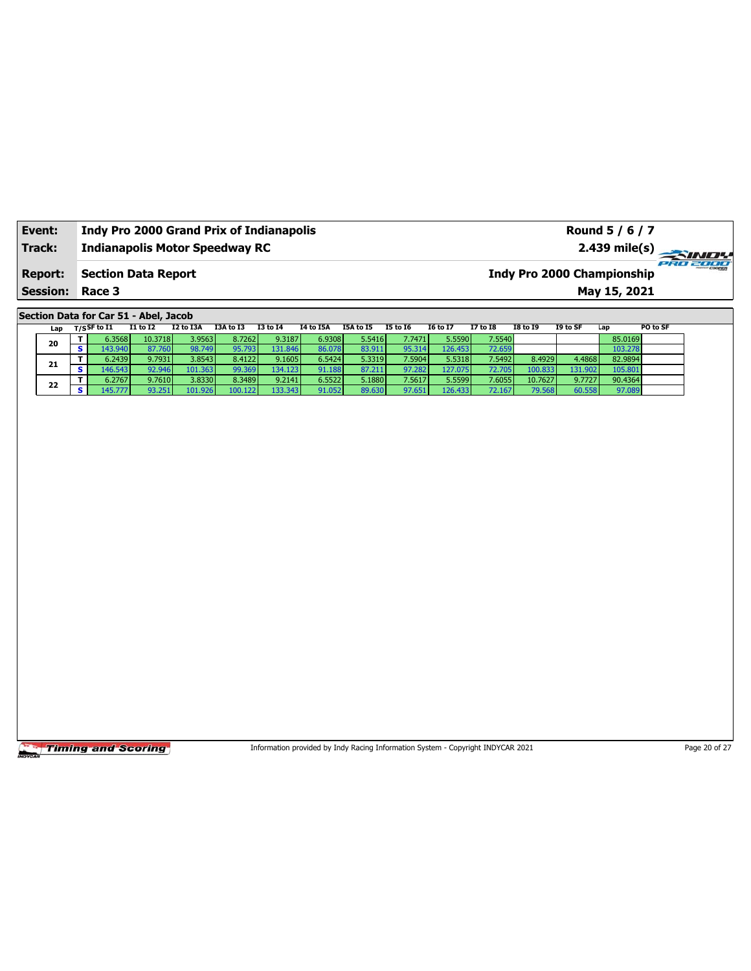| Event:                 | <b>Indy Pro 2000 Grand Prix of Indianapolis</b> | Round 5 / 6 / 7                               |
|------------------------|-------------------------------------------------|-----------------------------------------------|
| Track:                 | <b>Indianapolis Motor Speedway RC</b>           | 2.439 mile(s)                                 |
| <b>Report:</b>         | Section Data Report                             | PRO 2000<br><b>Indy Pro 2000 Championship</b> |
| <b>Session: Race 3</b> |                                                 | May 15, 2021                                  |

**Section Data for Car 51 - Abel, Jacob**

|    | Lap |    | $T/S$ SF to I1 | <b>I1 to I2</b> | I2 to I3A | I3A to I3                 | <b>I3 to 14</b> | I4 to I5A | I5A to I5 | <b>I5 to I6</b> | <b>16 to 17</b> | <b>I7 to I8</b> | <b>I8 to 19</b> | I9 to SF | Lap     | PO to SF |
|----|-----|----|----------------|-----------------|-----------|---------------------------|-----------------|-----------|-----------|-----------------|-----------------|-----------------|-----------------|----------|---------|----------|
|    |     |    | 6.3568 l       | 10.3718         | 3.9563    | 8.72621                   | 9.3187          | 6.9308    | 5.5416    | 7.7471          | 5.5590          | 7.5540          |                 |          | 85.0169 |          |
| 20 |     | s. | 43.940 l       | 87.760          | 98.749    | 95.7931                   | <b>31.846</b>   | 86.078    | 83.911    | 95.314          | 126.453         | 72.659          |                 |          | 103.278 |          |
|    | 21  |    | 6.2439         | 9.7931          | 3.8543    | 8.4122                    | 9.1605          | 6.5424    | 5.3319    | 7.5904          | 5.5318          | 7.5492          | 8.4929          | 4.4868   | 82.9894 |          |
|    |     |    | $-16.543$      | 92.946          | 101.363   | 99.369                    | 134.123         | 91.188    | 87.211    | 97.282          | 127.075         | 72.705          | 100.833         | 131.902  | 105.801 |          |
| 22 |     |    | 6.2767         | 9.7610          | 3.8330    | 8.3489                    | 9.2141          | 6.5522    | 5.1880 l  | 7.5617          | 5.5599          | 7.6055          | 10.7627         | 9.7727   | 90.4364 |          |
|    |     |    |                | 93.251          | 101.926   | 100.<br>.122 <sub>1</sub> | 33.343          | 91.052    | 89.630    | 97.651          | 126.433         | 72.167          | 79.568          | 60.558   | 97.089  |          |

**Timing and Scoring** 

Information provided by Indy Racing Information System - Copyright INDYCAR 2021 Page 20 of 27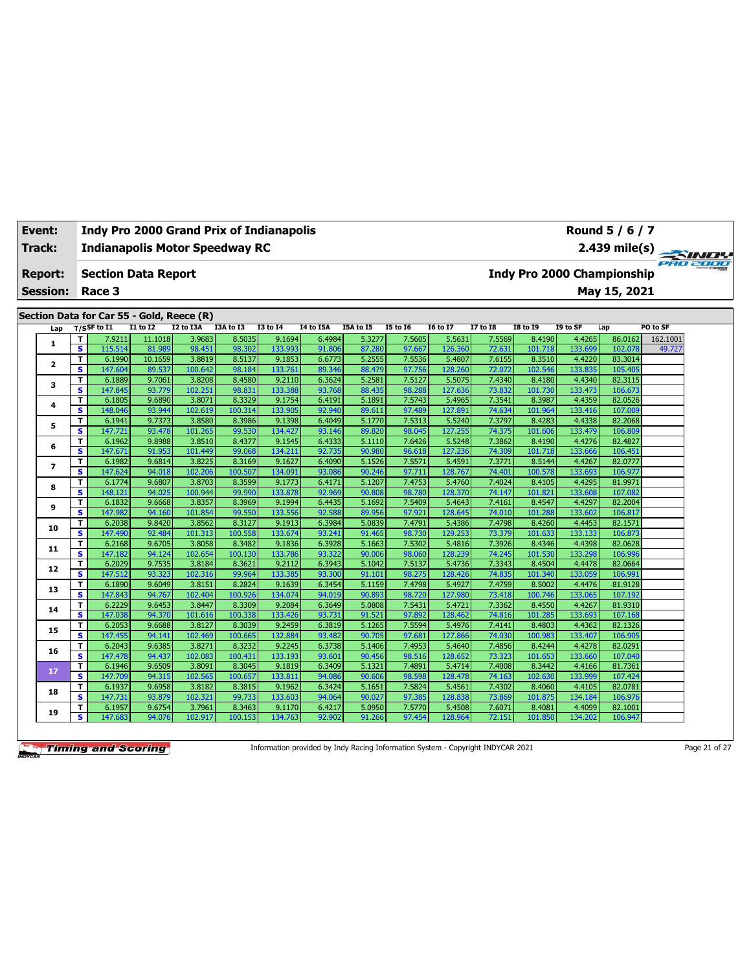| Event:                   |                         |                                           |                   |                   | <b>Indy Pro 2000 Grand Prix of Indianapolis</b> |                   |                  |                  |                  |                   |                  |                   |                                   | Round 5 / 6 / 7    |          |  |
|--------------------------|-------------------------|-------------------------------------------|-------------------|-------------------|-------------------------------------------------|-------------------|------------------|------------------|------------------|-------------------|------------------|-------------------|-----------------------------------|--------------------|----------|--|
| <b>Track:</b>            |                         |                                           |                   |                   | <b>Indianapolis Motor Speedway RC</b>           |                   |                  |                  |                  |                   |                  |                   |                                   | 2.439 mile(s)      | PRO 2000 |  |
| <b>Report:</b>           |                         | <b>Section Data Report</b>                |                   |                   |                                                 |                   |                  |                  |                  |                   |                  |                   | <b>Indy Pro 2000 Championship</b> |                    |          |  |
| <b>Session:</b>          |                         | Race 3                                    |                   |                   |                                                 |                   |                  |                  |                  |                   |                  |                   |                                   | May 15, 2021       |          |  |
|                          |                         |                                           |                   |                   |                                                 |                   |                  |                  |                  |                   |                  |                   |                                   |                    |          |  |
|                          |                         | Section Data for Car 55 - Gold, Reece (R) |                   |                   |                                                 |                   |                  |                  |                  |                   |                  |                   |                                   |                    |          |  |
| Lap                      |                         | $T/S$ SF to $I1$                          | $I1$ to $I2$      | I2 to I3A         | I3A to I3                                       | <b>I3 to I4</b>   | I4 to I5A        | I5A to I5        | <b>I5 to 16</b>  | <b>I6 to I7</b>   | <b>I7 to I8</b>  | <b>I8 to 19</b>   | I9 to SF                          | Lap                | PO to SF |  |
| 1                        | T                       | 7.9211                                    | 11.1018           | 3.9683            | 8.5035<br>98.302                                | 9.1694            | 6.4984           | 5.3277           | 7.5605<br>97.667 | 5.5631<br>126.360 | 7.5569           | 8.4190            | 4.4265                            | 86.0162            | 162.1001 |  |
|                          | s<br>T.                 | 115.514<br>6.1990                         | 81.989<br>10.1659 | 98.451<br>3.8819  | 8.5137                                          | 133.993<br>9.1853 | 91.806<br>6.6773 | 87.280<br>5.2555 | 7.5536           | 5.4807            | 72.631<br>7.6155 | 101.718<br>8.3510 | 133.699<br>4.4220                 | 102.078<br>83.3014 | 49.727   |  |
| $\mathbf{z}$             | $\overline{\mathbf{s}}$ | 147.604                                   | 89.537            | 100.642           | 98.184                                          | 133.761           | 89.346           | 88.479           | 97.756           | 128.260           | 72.072           | 102.546           | 133.835                           | 105.405            |          |  |
|                          | T.                      | 6.1889                                    | 9.7061            | 3.8208            | 8.4580                                          | 9.2110            | 6.3624           | 5.2581           | 7.5127           | 5.5075            | 7.4340           | 8.4180            | 4.4340                            | 82.3115            |          |  |
| 3                        | $\overline{\mathbf{s}}$ | 147.845                                   | 93.779            | 102.251           | 98.831                                          | 133.388           | 93.768           | 88.435           | 98.288           | 127.636           | 73.832           | 101.730           | 133.473                           | 106.673            |          |  |
|                          | T.                      | 6.1805                                    | 9.6890            | 3.8071            | 8.3329                                          | 9.1754            | 6.4191           | 5.1891           | 7.5743           | 5.4965            | 7.3541           | 8.3987            | 4.4359                            | 82.0526            |          |  |
| 4                        | $\overline{\mathbf{s}}$ | 148.046                                   | 93.944            | 102.619           | 100.314                                         | 133.905           | 92.940           | 89.611           | 97.489           | 127.891           | 74.634           | 101.964           | 133.416                           | 107.009            |          |  |
| 5                        | T.                      | 6.1941                                    | 9.7373            | 3.8580            | 8.3986                                          | 9.1398            | 6.4049           | 5.1770           | 7.5313           | 5.5240            | 7.3797           | 8.4283            | 4.4338                            | 82.2068            |          |  |
|                          | $\overline{\mathbf{s}}$ | 147.721                                   | 93.478            | 101.265           | 99.530                                          | 134.427           | 93.146           | 89.820           | 98.045           | 127.255           | 74.375           | 101.606           | 133.479                           | 106.809            |          |  |
| 6                        | T.                      | 6.1962                                    | 9.8988            | 3.8510            | 8.4377                                          | 9.1545            | 6.4333           | 5.1110           | 7.6426           | 5.5248            | 7.3862           | 8.4190            | 4.4276                            | 82.4827            |          |  |
|                          | S                       | 147.671                                   | 91.953            | 101.449           | 99.068                                          | 134.211           | 92.735           | 90.980           | 96.618           | 127.236           | 74.309           | 101.718           | 133.666                           | 106.451            |          |  |
| $\overline{\phantom{a}}$ | T.                      | 6.1982                                    | 9.6814            | 3.8225            | 8.3169                                          | 9.1627            | 6.4090           | 5.1526           | 7.5571           | 5.4591            | 7.3771           | 8.5144            | 4.4267                            | 82.0777            |          |  |
|                          | $\overline{\mathbf{s}}$ | 147.624                                   | 94.018            | 102.206           | 100.507                                         | 134.091           | 93.086           | 90.246           | 97.711           | 128.767           | 74.401           | 100.578           | 133.693                           | 106.977            |          |  |
| 8                        | T.                      | 6.1774                                    | 9.6807            | 3.8703            | 8.3599                                          | 9.1773            | 6.4171           | 5.1207           | 7.4753           | 5.4760            | 7.4024           | 8.4105            | 4.4295                            | 81.9971            |          |  |
|                          | s.                      | 148.121                                   | 94.025            | 100.944           | 99.990                                          | 133.878           | 92.969           | 90.808           | 98.780           | 128.370           | 74.147           | 101.821           | 133.608                           | 107.082            |          |  |
| 9                        | T<br>s.                 | 6.1832<br>147.982                         | 9.6668<br>94.160  | 3.8357<br>101.854 | 8.3969<br>99.550                                | 9.1994<br>133.556 | 6.4435<br>92.588 | 5.1692<br>89.956 | 7.5409<br>97.921 | 5.4643<br>128.645 | 7.4161<br>74.010 | 8.4547            | 4.4297<br>133.602                 | 82.2004<br>106.817 |          |  |
|                          | T.                      | 6.2038                                    | 9.8420            | 3.8562            | 8.3127                                          | 9.1913            | 6.3984           | 5.0839           | 7.4791           | 5.4386            | 7.4798           | 101.288<br>8.4260 | 4.4453                            | 82.1571            |          |  |
| 10                       | S.                      | 147.490                                   | 92.484            | 101.313           | 100.558                                         | 133.674           | 93.241           | 91.465           | 98.730           | 129.253           | 73.379           | 101.633           | 133.133                           | 106.873            |          |  |
|                          | T.                      | 6.2168                                    | 9.6705            | 3.8058            | 8.3482                                          | 9.1836            | 6.3928           | 5.1663           | 7.5302           | 5.4816            | 7.3926           | 8.4346            | 4.4398                            | 82.0628            |          |  |
| 11                       | s.                      | 147.182                                   | 94.124            | 102.654           | 100.130                                         | 133.786           | 93.322           | 90.006           | 98.060           | 128.239           | 74.245           | 101.530           | 133.298                           | 106.996            |          |  |
|                          | T.                      | 6.2029                                    | 9.7535            | 3.8184            | 8.3621                                          | 9.2112            | 6.3943           | 5.1042           | 7.5137           | 5.4736            | 7.3343           | 8.4504            | 4.4478                            | 82.0664            |          |  |
| 12                       | s.                      | 147.512                                   | 93.323            | 102.316           | 99.964                                          | 133.385           | 93.300           | 91.101           | 98.275           | 128.426           | 74.835           | 101.340           | 133.059                           | 106.991            |          |  |
|                          | T.                      | 6.1890                                    | 9.6049            | 3.8151            | 8.2824                                          | 9.1639            | 6.3454           | 5.1159           | 7.4798           | 5.4927            | 7.4759           | 8.5002            | 4.4476                            | 81.9128            |          |  |
| 13                       | s                       | 147.843                                   | 94.767            | 102.404           | 100.926                                         | 134.074           | 94.019           | 90.893           | 98.720           | 127.980           | 73.418           | 100.746           | 133.065                           | 107.192            |          |  |
| 14                       | т                       | 6.2229                                    | 9.6453            | 3.8447            | 8.3309                                          | 9.2084            | 6.3649           | 5.0808           | 7.5431           | 5.4721            | 7.3362           | 8.4550            | 4.4267                            | 81.9310            |          |  |
|                          | s                       | 147.038                                   | 94.370            | 101.616           | 100.338                                         | 133.426           | 93.731           | 91.521           | 97.892           | 128.462           | 74.816           | 101.285           | 133.693                           | 107.168            |          |  |
| 15                       | т                       | 6.2053                                    | 9.6688            | 3.8127            | 8.3039                                          | 9.2459            | 6.3819           | 5.1265           | 7.5594           | 5.4976            | 7.4141           | 8.4803            | 4.4362                            | 82.1326            |          |  |
|                          | s                       | 147.455                                   | 94.141            | 102.469           | 100.665                                         | 132.884           | 93.482           | 90.705           | 97.681           | 127.866           | 74.030           | 100.983           | 133.407                           | 106.905            |          |  |
| 16                       | т                       | 6.2043                                    | 9.6385            | 3.8271            | 8.3232                                          | 9.2245            | 6.3738           | 5.1406           | 7.4953           | 5.4640            | 7.4856           | 8.4244            | 4.4278                            | 82.0291            |          |  |
|                          | $\overline{\mathbf{s}}$ | 147.478                                   | 94.437            | 102.083           | 100.431                                         | 133.193           | 93.601           | 90.456           | 98.516           | 128.652           | 73.323           | 101.653           | 133.660                           | 107.040            |          |  |
| 17                       | T.                      | 6.1946                                    | 9.6509            | 3.8091            | 8.3045                                          | 9.1819            | 6.3409           | 5.1321           | 7.4891           | 5.4714            | 7.4008           | 8.3442            | 4.4166                            | 81.7361            |          |  |
|                          | s                       | 147.709                                   | 94.315            | 102.565           | 100.657                                         | 133.811           | 94.086           | 90.606           | 98.598           | 128.478           | 74.163           | 102.630           | 133.999                           | 107.424            |          |  |
| 18                       | T<br>s                  | 6.1937<br>147.731                         | 9.6958<br>93.879  | 3.8182<br>102.321 | 8.3815<br>99.733                                | 9.1962<br>133.603 | 6.3424<br>94.064 | 5.1651<br>90.027 | 7.5824<br>97.385 | 5.4561<br>128.838 | 7.4302<br>73.869 | 8.4060<br>101.875 | 4.4105<br>134.184                 | 82.0781<br>106.976 |          |  |
|                          | T.                      | 6.1957                                    | 9.6754            | 3.7961            | 8.3463                                          | 9.1170            | 6.4217           | 5.0950           | 7.5770           | 5.4508            | 7.6071           | 8.4081            | 4.4099                            | 82.1001            |          |  |
| 19                       | S.                      | 147.683                                   | 94.076            | 102.917           | 100.153                                         | 134.763           | 92.902           | 91.266           | 97.454           | 128.964           | 72.151           | 101.850           | 134.202                           | 106.947            |          |  |
|                          |                         |                                           |                   |                   |                                                 |                   |                  |                  |                  |                   |                  |                   |                                   |                    |          |  |

Information provided by Indy Racing Information System - Copyright INDYCAR 2021 Page 21 of 27

٦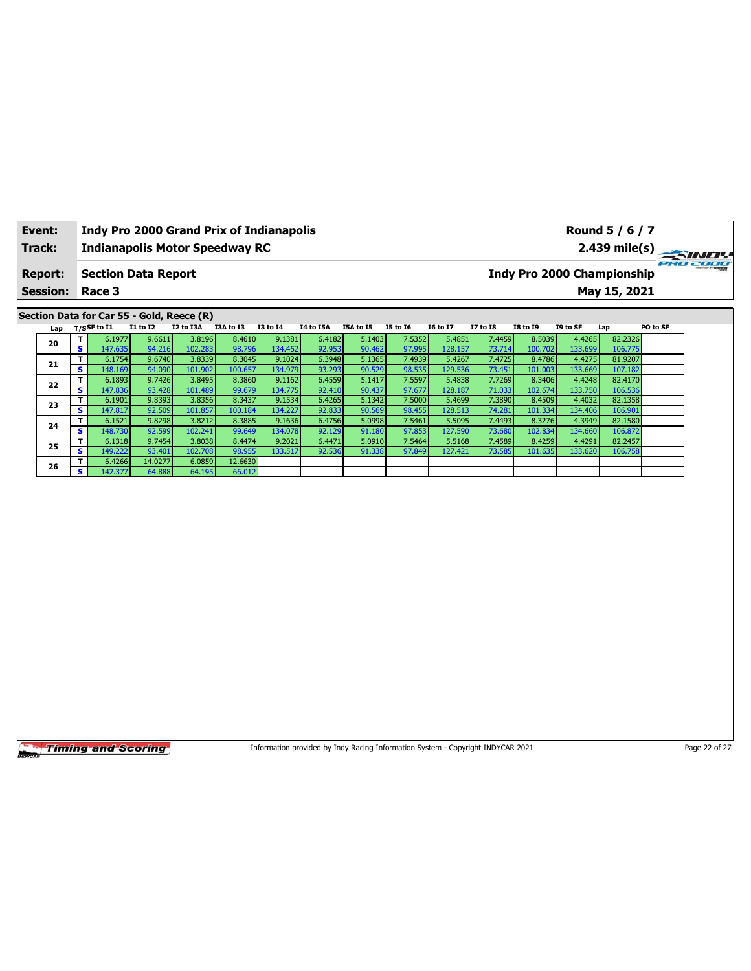| Event:          |                              |                                           |                  |                   | <b>Indy Pro 2000 Grand Prix of Indianapolis</b> |                   |                  |                                                                                 |                  |                   |                  |                   |                   | Round 5 / 6 / 7                   |               |
|-----------------|------------------------------|-------------------------------------------|------------------|-------------------|-------------------------------------------------|-------------------|------------------|---------------------------------------------------------------------------------|------------------|-------------------|------------------|-------------------|-------------------|-----------------------------------|---------------|
| Track:          |                              |                                           |                  |                   | <b>Indianapolis Motor Speedway RC</b>           |                   |                  |                                                                                 |                  |                   |                  |                   |                   | 2.439 mile(s)                     |               |
| <b>Report:</b>  |                              | <b>Section Data Report</b>                |                  |                   |                                                 |                   |                  |                                                                                 |                  |                   |                  |                   |                   | <b>Indy Pro 2000 Championship</b> | 77778         |
| <b>Session:</b> |                              | Race 3                                    |                  |                   |                                                 |                   |                  |                                                                                 |                  |                   |                  |                   |                   | May 15, 2021                      |               |
|                 |                              | Section Data for Car 55 - Gold, Reece (R) |                  |                   |                                                 |                   |                  |                                                                                 |                  |                   |                  |                   |                   |                                   |               |
| Lap             |                              | T/SSF to I1                               | <b>I1 to I2</b>  | I2 to I3A         | I3A to I3                                       | <b>I3 to I4</b>   | <b>I4 to I5A</b> | I5A to I5                                                                       | <b>I5 to 16</b>  | <b>I6 to I7</b>   | <b>I7 to I8</b>  | <b>I8 to 19</b>   | I9 to SF          | Lap                               | PO to SF      |
|                 | T                            | 6.1977                                    | 9.6611           | 3.8196            | 8.4610                                          | 9.1381            | 6.4182           | 5.1403                                                                          | 7.5352           | 5.4851            | 7.4459           | 8.5039            | 4.4265            | 82.2326                           |               |
| 20              | s                            | 147.635                                   | 94.216           | 102.283           | 98.796                                          | 134.452           | 92.953           | 90.462                                                                          | 97.995           | 128.157           | 73.714           | 100.702           | 133.699           | 106.775                           |               |
| 21              | T                            | 6.1754                                    | 9.6740           | 3.8339            | 8.3045                                          | 9.1024            | 6.3948           | 5.1365                                                                          | 7.4939           | 5.4267            | 7.4725           | 8.4786            | 4.4275            | 81.9207                           |               |
|                 | S.                           | 148.169                                   | 94.090           | 101.902           | 100.657                                         | 134.979           | 93.293           | 90.529                                                                          | 98.535           | 129.536           | 73.451           | 101.003           | 133.669           | 107.182                           |               |
| 22              | T.                           | 6.1893                                    | 9.7426           | 3.8495            | 8.3860                                          | 9.1162            | 6.4559           | 5.1417                                                                          | 7.5597           | 5.4838            | 7.7269           | 8.3406            | 4.4248            | 82.4170                           |               |
|                 | s                            | 147.836                                   | 93.428           | 101.489           | 99.679                                          | 134.775           | 92.410           | 90.437                                                                          | 97.677           | 128.187           | 71.033           | 102.674           | 133.750           | 106.536                           |               |
| 23              | T                            | 6.1901                                    | 9.8393           | 3.8356            | 8.3437                                          | 9.1534            | 6.4265           | 5.1342                                                                          | 7.5000           | 5.4699            | 7.3890           | 8.4509            | 4.4032            | 82.1358                           |               |
|                 | s                            | 147.817                                   | 92.509           | 101.857           | 100.184                                         | 134.227           | 92.833           | 90.569                                                                          | 98.455           | 128.513           | 74.281           | 101.334           | 134.406           | 106.901                           |               |
| 24              | T<br>$\overline{\mathbf{s}}$ | 6.1521<br>148.730                         | 9.8298<br>92.599 | 3.8212<br>102.241 | 8.3885<br>99.649                                | 9.1636<br>134.078 | 6.4756<br>92.129 | 5.0998<br>91.180                                                                | 7.5461<br>97.853 | 5.5095<br>127.590 | 7.4493<br>73.680 | 8.3276<br>102.834 | 4.3949<br>134.660 | 82.1580<br>106.872                |               |
|                 | T                            | 6.1318                                    | 9.7454           | 3.8038            | 8.4474                                          | 9.2021            | 6.4471           | 5.0910                                                                          | 7.5464           | 5.5168            | 7.4589           | 8.4259            | 4.4291            | 82.2457                           |               |
| 25              | s.                           | 149.222                                   | 93.401           | 102.708           | 98.955                                          | 133.517           | 92.536           | 91.338                                                                          | 97.849           | 127.421           | 73.585           | 101.635           | 133.620           | 106.758                           |               |
|                 | T                            | 6.4266                                    | 14.0277          | 6.0859            | 12.6630                                         |                   |                  |                                                                                 |                  |                   |                  |                   |                   |                                   |               |
| 26              | s.                           | 142.377                                   | 64.888           | 64.195            | 66.012                                          |                   |                  |                                                                                 |                  |                   |                  |                   |                   |                                   |               |
|                 |                              |                                           |                  |                   |                                                 |                   |                  |                                                                                 |                  |                   |                  |                   |                   |                                   |               |
|                 |                              | <b>Timing and Scoring</b>                 |                  |                   |                                                 |                   |                  | Information provided by Indy Racing Information System - Copyright INDYCAR 2021 |                  |                   |                  |                   |                   |                                   | Page 22 of 27 |

┑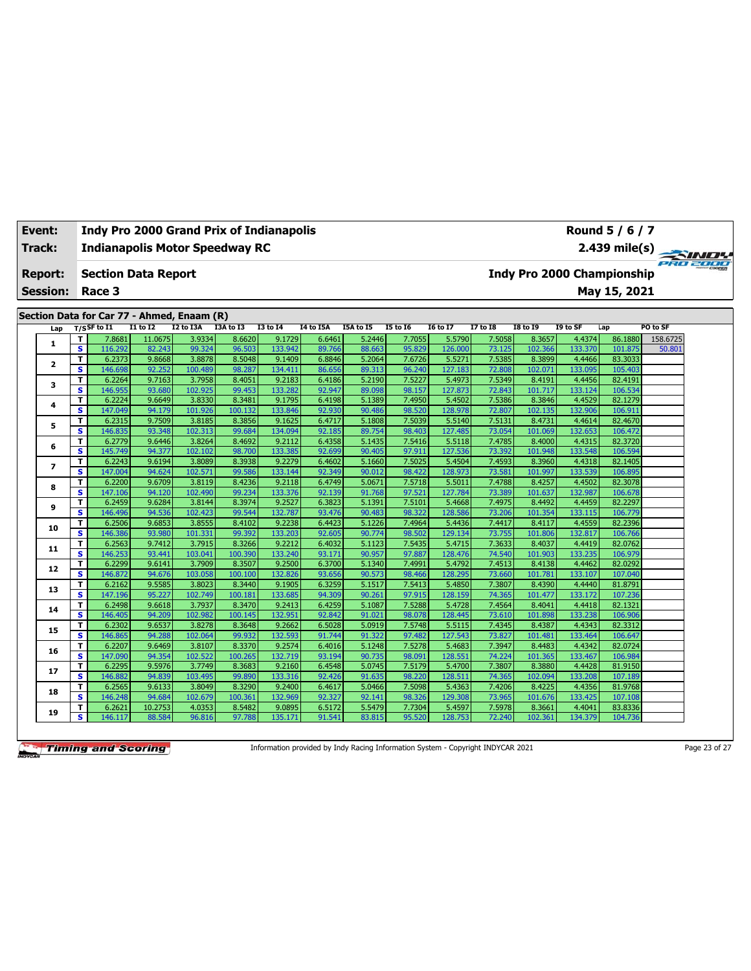| <b>Event:</b>   |                              | <b>Indy Pro 2000 Grand Prix of Indianapolis</b> |                  |                   |                   |                   |                  |                  |                  |                   |                  |                                   |                   | Round 5 / 6 / 7    |          |
|-----------------|------------------------------|-------------------------------------------------|------------------|-------------------|-------------------|-------------------|------------------|------------------|------------------|-------------------|------------------|-----------------------------------|-------------------|--------------------|----------|
| Track:          |                              | <b>Indianapolis Motor Speedway RC</b>           |                  |                   |                   |                   |                  |                  |                  |                   |                  |                                   |                   | $2.439$ mile(s)    | PRO 2000 |
| <b>Report:</b>  |                              | <b>Section Data Report</b>                      |                  |                   |                   |                   |                  |                  |                  |                   |                  | <b>Indy Pro 2000 Championship</b> |                   |                    |          |
| <b>Session:</b> |                              | Race 3                                          |                  |                   |                   |                   |                  |                  |                  |                   |                  |                                   |                   | May 15, 2021       |          |
|                 |                              |                                                 |                  |                   |                   |                   |                  |                  |                  |                   |                  |                                   |                   |                    |          |
|                 |                              | Section Data for Car 77 - Ahmed, Enaam (R)      |                  |                   |                   |                   |                  |                  |                  |                   |                  |                                   |                   |                    |          |
| Lap             |                              | $T/S$ SF to I1                                  | <b>I1 to I2</b>  | I2 to I3A         | I3A to I3         | <b>I3 to 14</b>   | I4 to I5A        | I5A to I5        | <b>15 to 16</b>  | <b>16 to 17</b>   | <b>I7 to I8</b>  | <b>I8 to 19</b>                   | I9 to SF          | Lap                | PO to SF |
| 1               | т                            | 7.8681                                          | 11.0675          | 3.9334            | 8.6620            | 9.1729            | 6.6461           | 5.2446           | 7.7055           | 5.5790            | 7.5058           | 8.3657                            | 4.4374            | 86.1880            | 158.6725 |
|                 | $\overline{\mathbf{s}}$<br>T | 116.292<br>6.2373                               | 82.243           | 99.324            | 96.503            | 133.942           | 89.766           | 88.663           | 95.829           | 126.000           | 73.125           | 102.366                           | 133.370           | 101.875<br>83.3033 | 50.801   |
| 2               | s                            | 146.698                                         | 9.8668<br>92.252 | 3.8878<br>100.489 | 8.5048<br>98.287  | 9.1409<br>134.411 | 6.8846<br>86.656 | 5.2064<br>89.313 | 7.6726<br>96.240 | 5.5271<br>127.183 | 7.5385<br>72.808 | 8.3899<br>102.071                 | 4.4466<br>133.095 | 105.403            |          |
|                 | т                            | 6.2264                                          | 9.7163           | 3.7958            | 8.4051            | 9.2183            | 6.4186           | 5.2190           | 7.5227           | 5.4973            | 7.5349           | 8.4191                            | 4.4456            | 82.4191            |          |
| з               | s                            | 146.955                                         | 93.680           | 102.925           | 99.453            | 133.282           | 92.947           | 89.098           | 98.157           | 127.873           | 72.843           | 101.717                           | 133.124           | 106.534            |          |
|                 | т                            | 6.2224                                          | 9.6649           | 3.8330            | 8.3481            | 9.1795            | 6.4198           | 5.1389           | 7.4950           | 5.4502            | 7.5386           | 8.3846                            | 4.4529            | 82.1279            |          |
| 4               | $\overline{\mathbf{s}}$      | 147.049                                         | 94.179           | 101.926           | 100.132           | 133.846           | 92.930           | 90.486           | 98.520           | 128.978           | 72.807           | 102.135                           | 132.906           | 106.911            |          |
|                 | T                            | 6.2315                                          | 9.7509           | 3.8185            | 8.3856            | 9.1625            | 6.4717           | 5.1808           | 7.5039           | 5.5140            | 7.5131           | 8.4731                            | 4.4614            | 82.4670            |          |
| 5               | s                            | 146.835                                         | 93.348           | 102.313           | 99.684            | 134.094           | 92.185           | 89.754           | 98.403           | 127.485           | 73.054           | 101.069                           | 132.653           | 106.472            |          |
|                 | т                            | 6.2779                                          | 9.6446           | 3.8264            | 8.4692            | 9.2112            | 6.4358           | 5.1435           | 7.5416           | 5.5118            | 7.4785           | 8.4000                            | 4.4315            | 82.3720            |          |
| 6               | $\overline{\mathbf{s}}$      | 145.749                                         | 94.377           | 102.102           | 98.700            | 133.385           | 92.699           | 90.405           | 97.911           | 127.536           | 73.392           | 101.948                           | 133.548           | 106.594            |          |
|                 | T                            | 6.2243                                          | 9.6194           | 3.8089            | 8.3938            | 9.2279            | 6.4602           | 5.1660           | 7.5025           | 5.4504            | 7.4593           | 8.3960                            | 4.4318            | 82.1405            |          |
| $\overline{ }$  | s                            | 147.004                                         | 94.624           | 102.571           | 99.586            | 133.144           | 92.349           | 90.012           | 98.422           | 128.973           | 73.581           | 101.997                           | 133.539           | 106.895            |          |
| 8               | T                            | 6.2200                                          | 9.6709           | 3.8119            | 8.4236            | 9.2118            | 6.4749           | 5.0671           | 7.5718           | 5.5011            | 7.4788           | 8.4257                            | 4.4502            | 82.3078            |          |
|                 | s                            | 147.106                                         | 94.120           | 102.490           | 99.234            | 133.376           | 92.139           | 91.768           | 97.521           | 127.784           | 73.389           | 101.637                           | 132.987           | 106.678            |          |
| 9               | т                            | 6.2459                                          | 9.6284           | 3.8144            | 8.3974            | 9.2527            | 6.3823           | 5.1391           | 7.5101           | 5.4668            | 7.4975           | 8.4492                            | 4.4459            | 82.2297            |          |
|                 | $\overline{\mathbf{s}}$      | 146.496                                         | 94.536           | 102.423           | 99.544            | 132.787           | 93.476           | 90.483           | 98.322           | 128.586           | 73.206           | 101.354                           | 133.115           | 106.779            |          |
| 10              | T                            | 6.2506                                          | 9.6853           | 3.8555            | 8.4102            | 9.2238            | 6.4423           | 5.1226           | 7.4964           | 5.4436            | 7.4417           | 8.4117                            | 4.4559            | 82.2396            |          |
|                 | s                            | 146.386                                         | 93.980           | 101.331           | 99.392            | 133.203           | 92.605           | 90.774           | 98.502           | 129.134           | 73.755           | 101.806                           | 132.817           | 106.766            |          |
| 11              | т                            | 6.2563                                          | 9.7412           | 3.7915            | 8.3266            | 9.2212            | 6.4032           | 5.1123           | 7.5435           | 5.4715            | 7.3633           | 8.4037                            | 4.4419            | 82.0762            |          |
|                 | s                            | 146.253                                         | 93.441           | 103.041           | 100.390           | 133.240           | 93.171           | 90.957           | 97.887           | 128.476           | 74.540           | 101.903                           | 133.235           | 106.979            |          |
| 12              | т                            | 6.2299                                          | 9.6141           | 3.7909            | 8.3507            | 9.2500            | 6.3700           | 5.1340           | 7.4991           | 5.4792            | 7.4513           | 8.4138                            | 4.4462            | 82.0292            |          |
|                 | s                            | 146.872                                         | 94.676           | 103.058           | 100.100           | 132.826           | 93.656           | 90.573           | 98.466           | 128.295           | 73.660           | 101.781                           | 133.107           | 107.040            |          |
| 13              | т                            | 6.2162                                          | 9.5585           | 3.8023            | 8.3440            | 9.1905            | 6.3259           | 5.1517           | 7.5413           | 5.4850            | 7.3807           | 8.4390                            | 4.4440            | 81.8791            |          |
|                 | s                            | 147.196                                         | 95.227           | 102.749           | 100.181           | 133.685           | 94.309           | 90.261           | 97.915           | 128.159           | 74.365           | 101.477                           | 133.172           | 107.236            |          |
| 14              | т<br>$\overline{\mathbf{s}}$ | 6.2498<br>146.405                               | 9.6618<br>94.209 | 3.7937<br>102.982 | 8.3470<br>100.145 | 9.2413<br>132.951 | 6.4259<br>92.842 | 5.1087<br>91.021 | 7.5288<br>98.078 | 5.4728<br>128.445 | 7.4564<br>73.610 | 8.4041<br>101.898                 | 4.4418<br>133.238 | 82.1321<br>106.906 |          |
|                 | T                            | 6.2302                                          | 9.6537           | 3.8278            | 8.3648            | 9.2662            | 6.5028           | 5.0919           | 7.5748           | 5.5115            | 7.4345           | 8.4387                            | 4.4343            | 82.3312            |          |
| 15              | s                            | 146.865                                         | 94.288           | 102.064           | 99.932            | 132.593           | 91.744           | 91.322           | 97.482           | 127.543           | 73.827           | 101.481                           | 133.464           | 106.647            |          |
|                 | т                            | 6.2207                                          | 9.6469           | 3.8107            | 8.3370            | 9.2574            | 6.4016           | 5.1248           | 7.5278           | 5.4683            | 7.3947           | 8.4483                            | 4.4342            | 82.0724            |          |
| 16              | $\overline{\mathbf{s}}$      | 147.090                                         | 94.354           | 102.522           | 100.265           | 132.719           | 93.194           | 90.735           | 98.091           | 128.551           | 74.224           | 101.365                           | 133.467           | 106.984            |          |
|                 | T                            | 6.2295                                          | 9.5976           | 3.7749            | 8.3683            | 9.2160            | 6.4548           | 5.0745           | 7.5179           | 5.4700            | 7.3807           | 8.3880                            | 4.4428            | 81.9150            |          |
| 17              | $\overline{\mathbf{s}}$      | 146.882                                         | 94.839           | 103.495           | 99.890            | 133.316           | 92.426           | 91.635           | 98.220           | 128.51:           | 74.365           | 102.094                           | 133.208           | 107.189            |          |
|                 | T                            | 6.2565                                          | 9.6133           | 3.8049            | 8.3290            | 9.2400            | 6.4617           | 5.0466           | 7.5098           | 5.4363            | 7.4206           | 8.4225                            | 4.4356            | 81.9768            |          |
| 18              | s                            | 146.248                                         | 94.684           | 102.679           | 100.361           | 132.969           | 92.327           | 92.141           | 98.326           | 129.308           | 73.965           | 101.676                           | 133.425           | 107.108            |          |
|                 | т                            | 6.2621                                          | 10.2753          | 4.0353            | 8.5482            | 9.0895            | 6.5172           | 5.5479           | 7.7304           | 5.4597            | 7.5978           | 8.3661                            | 4.4041            | 83.8336            |          |
| 19              | s                            | 146.117                                         | 88.584           | 96.816            | 97.788            | 135.171           | 91.541           | 83.815           | 95.520           | 128.753           | 72.240           | 102.361                           | 134.379           | 104.736            |          |
|                 |                              |                                                 |                  |                   |                   |                   |                  |                  |                  |                   |                  |                                   |                   |                    |          |

Information provided by Indy Racing Information System - Copyright INDYCAR 2021 Page 23 of 27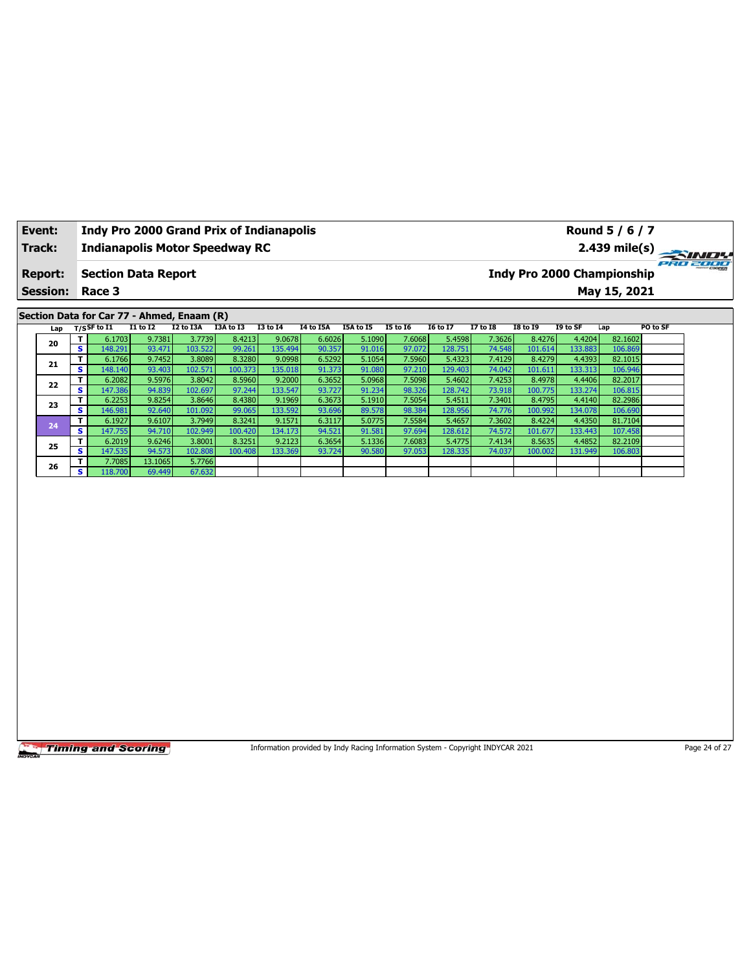| Event:                                     |     |         | Indy Pro 2000 Grand Prix of Indianapolis |                   |                   |                   |                   | Round 5 / 6 / 7                                                                 |                  |                  |                   |                  |                   |                                   |                    |               |  |  |  |  |
|--------------------------------------------|-----|---------|------------------------------------------|-------------------|-------------------|-------------------|-------------------|---------------------------------------------------------------------------------|------------------|------------------|-------------------|------------------|-------------------|-----------------------------------|--------------------|---------------|--|--|--|--|
| <b>Track:</b>                              |     |         | <b>Indianapolis Motor Speedway RC</b>    |                   |                   |                   |                   |                                                                                 | 2.439 mile(s)    |                  |                   |                  |                   |                                   |                    |               |  |  |  |  |
| <b>Report:</b>                             |     |         | <b>Section Data Report</b>               |                   |                   |                   |                   |                                                                                 |                  |                  |                   |                  |                   | <b>Indy Pro 2000 Championship</b> |                    |               |  |  |  |  |
| <b>Session:</b>                            |     |         | Race 3                                   |                   |                   |                   |                   |                                                                                 |                  |                  |                   |                  | May 15, 2021      |                                   |                    |               |  |  |  |  |
| Section Data for Car 77 - Ahmed, Enaam (R) |     |         |                                          |                   |                   |                   |                   |                                                                                 |                  |                  |                   |                  |                   |                                   |                    |               |  |  |  |  |
|                                            | Lap |         | $T/S$ SF to I1                           | $I1$ to $I2$      | I2 to I3A         | I3A to I3         | <b>I3 to 14</b>   | <b>I4 to I5A</b>                                                                | I5A to I5        | <b>I5 to 16</b>  | <b>I6 to I7</b>   | <b>I7 to I8</b>  | <b>I8 to 19</b>   | I9 to SF                          | Lap                | PO to SF      |  |  |  |  |
|                                            | 20  | т       | 6.1703                                   | 9.7381            | 3.7739            | 8.4213            | 9.0678            | 6.6026                                                                          | 5.1090           | 7.6068           | 5.4598            | 7.3626           | 8.4276            | 4.4204                            | 82.1602            |               |  |  |  |  |
|                                            |     | s<br>T  | 148.291                                  | 93.471            | 103.522           | 99.261            | 135.494           | 90.357                                                                          | 91.016           | 97.072           | 128.751           | 74.548           | 101.614           | 133.883                           | 106.869            |               |  |  |  |  |
|                                            | 21  | S       | 6.1766<br>148.140                        | 9.7452<br>93.403  | 3.8089<br>102.571 | 8.3280<br>100.373 | 9.0998<br>135.018 | 6.5292<br>91.373                                                                | 5.1054<br>91.080 | 7.5960<br>97.210 | 5.4323<br>129.403 | 7.4129<br>74.042 | 8.4279<br>101.611 | 4.4393<br>133.313                 | 82.1015<br>106.946 |               |  |  |  |  |
|                                            |     | T       | 6.2082                                   | 9.5976            | 3.8042            | 8.5960            | 9.2000            | 6.3652                                                                          | 5.0968           | 7.5098           | 5.4602            | 7.4253           | 8.4978            | 4.4406                            | 82.2017            |               |  |  |  |  |
|                                            | 22  | s       | 147.386                                  | 94.839            | 102.697           | 97.244            | 133.547           | 93.727                                                                          | 91.234           | 98.326           | 128.742           | 73.918           | 100.775           | 133.274                           | 106.815            |               |  |  |  |  |
|                                            |     | T       | 6.2253                                   | 9.8254            | 3.8646            | 8.4380            | 9.1969            | 6.3673                                                                          | 5.1910           | 7.5054           | 5.4511            | 7.3401           | 8.4795            | 4.4140                            | 82.2986            |               |  |  |  |  |
|                                            | 23  | S       | 146.981                                  | 92.640            | 101.092           | 99.065            | 133.592           | 93.696                                                                          | 89.578           | 98.384           | 128.956           | 74.776           | 100.992           | 134.078                           | 106.690            |               |  |  |  |  |
|                                            |     | T       | 6.1927                                   | 9.6107            | 3.7949            | 8.3241            | 9.1571            | 6.3117                                                                          | 5.0775           | 7.5584           | 5.4657            | 7.3602           | 8.4224            | 4.4350                            | 81.7104            |               |  |  |  |  |
|                                            | 24  | s       | 147.755                                  | 94.710            | 102.949           | 100.420           | 134.173           | 94.521                                                                          | 91.581           | 97.694           | 128.612           | 74.572           | 101.677           | 133.443                           | 107.458            |               |  |  |  |  |
|                                            | 25  | T       | 6.2019                                   | 9.6246            | 3.8001            | 8.3251            | 9.2123            | 6.3654                                                                          | 5.1336           | 7.6083           | 5.4775            | 7.4134           | 8.5635            | 4.4852                            | 82.2109            |               |  |  |  |  |
|                                            |     | s       | 147.535                                  | 94.573            | 102.808           | 100.408           | 133.369           | 93.724                                                                          | 90.580           | 97.053           | 128.335           | 74.037           | 100.002           | 131.949                           | 106.803            |               |  |  |  |  |
|                                            | 26  | T.<br>s | 7.7085<br>118.700                        | 13.1065<br>69.449 | 5.7766<br>67.632  |                   |                   |                                                                                 |                  |                  |                   |                  |                   |                                   |                    |               |  |  |  |  |
|                                            |     |         |                                          |                   |                   |                   |                   |                                                                                 |                  |                  |                   |                  |                   |                                   |                    |               |  |  |  |  |
|                                            |     |         | <b>Timing and Scoring</b>                |                   |                   |                   |                   | Information provided by Indy Racing Information System - Copyright INDYCAR 2021 |                  |                  |                   |                  |                   |                                   |                    | Page 24 of 27 |  |  |  |  |

ヿ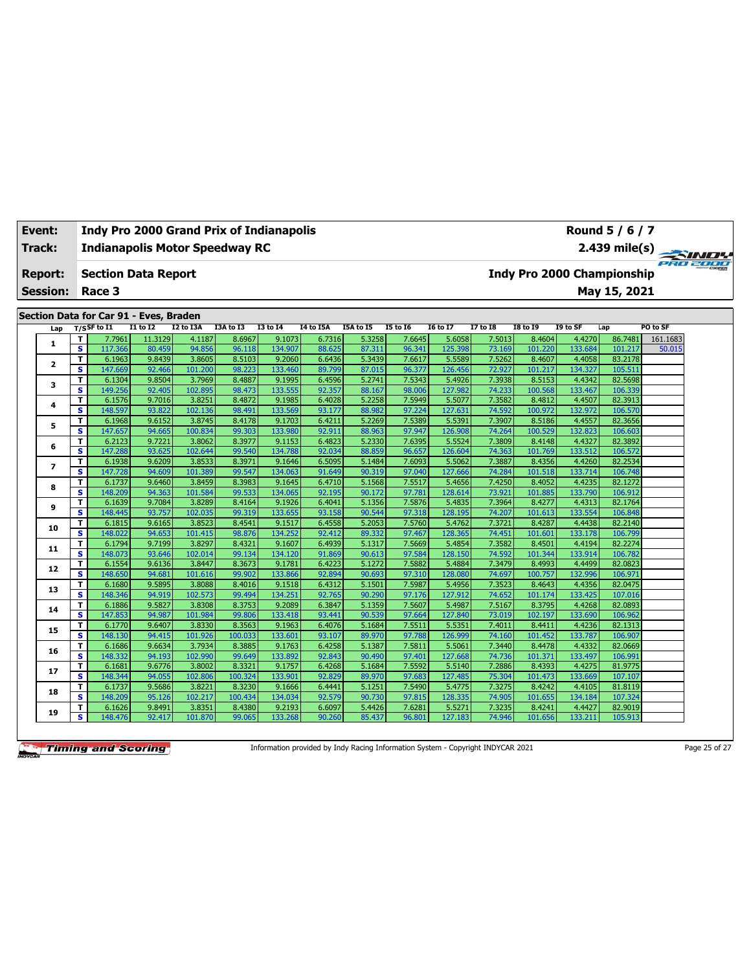| Track:<br><b>Report:</b><br><b>Session:</b> |                          |                              | <b>Indianapolis Motor Speedway RC</b>                 |                  |                   |                  |                   |                                   | 2.439 mile(s)    |                  |                   |                  |                   |                   |                    |          |  |
|---------------------------------------------|--------------------------|------------------------------|-------------------------------------------------------|------------------|-------------------|------------------|-------------------|-----------------------------------|------------------|------------------|-------------------|------------------|-------------------|-------------------|--------------------|----------|--|
|                                             |                          |                              | <b>Section Data Report</b>                            |                  |                   |                  |                   | <b>Indy Pro 2000 Championship</b> |                  |                  |                   |                  |                   |                   |                    |          |  |
|                                             |                          |                              | Race 3                                                |                  |                   |                  |                   |                                   | May 15, 2021     |                  |                   |                  |                   |                   |                    |          |  |
|                                             |                          |                              |                                                       |                  |                   |                  |                   |                                   |                  |                  |                   |                  |                   |                   |                    |          |  |
|                                             |                          |                              | Section Data for Car 91 - Eves, Braden<br>T/SSF to I1 | <b>I1 to I2</b>  | I2 to I3A         | I3A to I3        | <b>I3 to 14</b>   | I4 to I5A                         | I5A to I5        | <b>I5 to 16</b>  | <b>I6 to I7</b>   | <b>I7 to I8</b>  | <b>I8 to 19</b>   | I9 to SF          | Lap                | PO to SF |  |
|                                             | Lap                      | T                            | 7.7961                                                | 11.3129          | 4.1187            | 8.6967           | 9.1073            | 6.7316                            | 5.3258           | 7.6645           | 5.6058            | 7.5013           | 8.4604            | 4.4270            | 86.7481            | 161.1683 |  |
|                                             | 1                        | $\overline{\mathbf{s}}$      | 117.366                                               | 80.459           | 94.856            | 96.118           | 134.907           | 88.625                            | 87.311           | 96.341           | 125.398           | 73.169           | 101.220           | 133.684           | 101.217            | 50.015   |  |
|                                             |                          | T                            | 6.1963                                                | 9.8439           | 3.8605            | 8.5103           | 9.2060            | 6.6436                            | 5.3439           | 7.6617           | 5.5589            | 7.5262           | 8.4607            | 4.4058            | 83.2178            |          |  |
|                                             | $\mathbf{2}$             | s                            | 147.669                                               | 92.466           | 101.200           | 98.223           | 133.460           | 89.799                            | 87.015           | 96.377           | 126.456           | 72.927           | 101.217           | 134.327           | 105.511            |          |  |
|                                             |                          | T                            | 6.1304                                                | 9.8504           | 3.7969            | 8.4887           | 9.1995            | 6.4596                            | 5.2741           | 7.5343           | 5.4926            | 7.3938           | 8.5153            | 4.4342            | 82.5698            |          |  |
|                                             | з                        | s                            | 149.256                                               | 92.405           | 102.895           | 98.473           | 133.555           | 92.357                            | 88.167           | 98.006           | 127.982           | 74.233           | 100.568           | 133.467           | 106.339            |          |  |
|                                             | 4                        | T                            | 6.1576                                                | 9.7016           | 3.8251            | 8.4872           | 9.1985            | 6.4028                            | 5.2258           | 7.5949           | 5.5077            | 7.3582           | 8.4812            | 4.4507            | 82.3913            |          |  |
|                                             |                          | s                            | 148.597                                               | 93.822           | 102.136           | 98.491           | 133.569           | 93.177                            | 88.982           | 97.224           | 127.631           | 74.592           | 100.972           | 132.972           | 106.570            |          |  |
|                                             | 5                        | T                            | 6.1968                                                | 9.6152           | 3.8745            | 8.4178           | 9.1703            | 6.4211                            | 5.2269           | 7.5389           | 5.5391            | 7.3907           | 8.5186            | 4.4557            | 82.3656            |          |  |
|                                             |                          | s                            | 147.657                                               | 94.665           | 100.834           | 99.303           | 133.980           | 92.911                            | 88.963           | 97.947           | 126.908           | 74.264           | 100.529           | 132.823           | 106.603            |          |  |
|                                             | 6                        | T                            | 6.2123                                                | 9.7221           | 3.8062            | 8.3977           | 9.1153            | 6.4823                            | 5.2330           | 7.6395           | 5.5524            | 7.3809           | 8.4148            | 4.4327            | 82.3892            |          |  |
|                                             |                          | s                            | 147.288                                               | 93.625           | 102.644           | 99.540           | 134.788           | 92.034                            | 88.859           | 96.657           | 126.604           | 74.363           | 101.769           | 133.512           | 106.572            |          |  |
|                                             | $\overline{\phantom{a}}$ | T<br>$\overline{\mathbf{s}}$ | 6.1938<br>147.728                                     | 9.6209<br>94.609 | 3.8533<br>101.389 | 8.3971<br>99.547 | 9.1646<br>134.063 | 6.5095<br>91.649                  | 5.1484<br>90.319 | 7.6093<br>97.040 | 5.5062<br>127.666 | 7.3887<br>74.284 | 8.4356            | 4.4260<br>133.714 | 82.2534<br>106.748 |          |  |
|                                             |                          | T                            | 6.1737                                                | 9.6460           | 3.8459            | 8.3983           | 9.1645            | 6.4710                            | 5.1568           | 7.5517           | 5.4656            | 7.4250           | 101.518<br>8.4052 | 4.4235            | 82.1272            |          |  |
|                                             | 8                        | s                            | 148.209                                               | 94.363           | 101.584           | 99.533           | 134.065           | 92.195                            | 90.172           | 97.781           | 128.614           | 73.921           | 101.885           | 133.790           | 106.912            |          |  |
|                                             |                          | T                            | 6.1639                                                | 9.7084           | 3.8289            | 8.4164           | 9.1926            | 6.4041                            | 5.1356           | 7.5876           | 5.4835            | 7.3964           | 8.4277            | 4.4313            | 82.1764            |          |  |
|                                             | 9                        | s                            | 148.445                                               | 93.757           | 102.035           | 99.319           | 133.655           | 93.158                            | 90.544           | 97.318           | 128.195           | 74.207           | 101.613           | 133.554           | 106.848            |          |  |
|                                             |                          | T                            | 6.1815                                                | 9.6165           | 3.8523            | 8.4541           | 9.1517            | 6.4558                            | 5.2053           | 7.5760           | 5.4762            | 7.3721           | 8.4287            | 4.4438            | 82.2140            |          |  |
|                                             | 10                       | s                            | 148.022                                               | 94.653           | 101.415           | 98.876           | 134.252           | 92.412                            | 89.332           | 97.467           | 128.365           | 74.451           | 101.601           | 133.178           | 106.799            |          |  |
|                                             |                          | T                            | 6.1794                                                | 9.7199           | 3.8297            | 8.4321           | 9.1607            | 6.4939                            | 5.1317           | 7.5669           | 5.4854            | 7.3582           | 8.4501            | 4.4194            | 82.2274            |          |  |
|                                             | 11                       | $\overline{\mathbf{s}}$      | 148.073                                               | 93.646           | 102.014           | 99.134           | 134.120           | 91.869                            | 90.613           | 97.584           | 128.150           | 74.592           | 101.344           | 133.914           | 106.782            |          |  |
|                                             |                          | T.                           | 6.1554                                                | 9.6136           | 3.8447            | 8.3673           | 9.1781            | 6.4223                            | 5.1272           | 7.5882           | 5.4884            | 7.3479           | 8.4993            | 4.4499            | 82.0823            |          |  |
|                                             | 12                       | s                            | 148.650                                               | 94.681           | 101.616           | 99.902           | 133.866           | 92.894                            | 90.693           | 97.310           | 128.080           | 74.697           | 100.757           | 132.996           | 106.971            |          |  |
|                                             | 13                       | T                            | 6.1680                                                | 9.5895           | 3.8088            | 8.4016           | 9.1518            | 6.4312                            | 5.1501           | 7.5987           | 5.4956            | 7.3523           | 8.4643            | 4.4356            | 82.0475            |          |  |
|                                             |                          | s.                           | 148.346                                               | 94.919           | 102.573           | 99.494           | 134.251           | 92.765                            | 90.290           | 97.176           | 127.912           | 74.652           | 101.174           | 133.425           | 107.016            |          |  |
|                                             | 14                       | T.                           | 6.1886                                                | 9.5827           | 3.8308            | 8.3753           | 9.2089            | 6.3847                            | 5.1359           | 7.5607           | 5.4987            | 7.5167           | 8.3795            | 4.4268            | 82.0893            |          |  |
|                                             |                          | s                            | 147.853                                               | 94.987           | 101.984           | 99.806           | 133.418           | 93.441                            | 90.539           | 97.664           | 127.840           | 73.019           | 102.197           | 133.690           | 106.962            |          |  |
|                                             | 15                       | T                            | 6.1770                                                | 9.6407           | 3.8330            | 8.3563           | 9.1963            | 6.4076                            | 5.1684           | 7.5511           | 5.5351            | 7.4011           | 8.4411            | 4.4236            | 82.1313            |          |  |
|                                             |                          | s                            | 148.130                                               | 94.415           | 101.926           | 100.033          | 133.601           | 93.107                            | 89.970           | 97.788           | 126.999           | 74.160           | 101.452           | 133.787           | 106.907            |          |  |
|                                             | 16                       | T<br>s                       | 6.1686<br>148.332                                     | 9.6634           | 3.7934<br>102.990 | 8.3885           | 9.1763<br>133.892 | 6.4258                            | 5.1387           | 7.5811<br>97.401 | 5.5061<br>127.668 | 7.3440<br>74.736 | 8.4478            | 4.4332<br>133.497 | 82.0669<br>106.991 |          |  |
|                                             |                          |                              |                                                       | 94.193           | 3.8002            | 99.649<br>8.3321 |                   | 92.843                            | 90.490           | 7.5592           | 5.5140            | 7.2886           | 101.371           | 4.4275            | 81.9775            |          |  |
|                                             | 17                       | T<br>s                       | 6.1681<br>148.344                                     | 9.6776<br>94.055 | 102.806           | 100.324          | 9.1757<br>133.901 | 6.4268<br>92.829                  | 5.1684<br>89.970 | 97.683           | 127.485           | 75.304           | 8.4393<br>101.473 | 133.669           | 107.107            |          |  |
|                                             |                          | T                            | 6.1737                                                | 9.5686           | 3.8221            | 8.3230           | 9.1666            | 6.4441                            | 5.1251           | 7.5490           | 5.4775            | 7.3275           | 8.4242            | 4.4105            | 81.8119            |          |  |
|                                             | 18                       | s                            | 148.209                                               | 95.126           | 102.217           | 100.434          | 134.034           | 92.579                            | 90.730           | 97.815           | 128.335           | 74.905           | 101.655           | 134.184           | 107.324            |          |  |
|                                             |                          | T                            | 6.1626                                                | 9.8491           | 3.8351            | 8.4380           | 9.2193            | 6.6097                            | 5.4426           | 7.6281           | 5.5271            | 7.3235           | 8.4241            | 4.4427            | 82.9019            |          |  |
|                                             | 19                       | s                            | 148.476                                               | 92.417           | 101.870           | 99.065           | 133.268           | 90.260                            | 85.437           | 96.801           | 127.183           | 74.946           | 101.656           | 133.211           | 105.913            |          |  |

**Event: Indy Pro 2000 Grand Prix of Indianapolis**

Information provided by Indy Racing Information System - Copyright INDYCAR 2021 Page 25 of 27

**Round 5 / 6 / 7**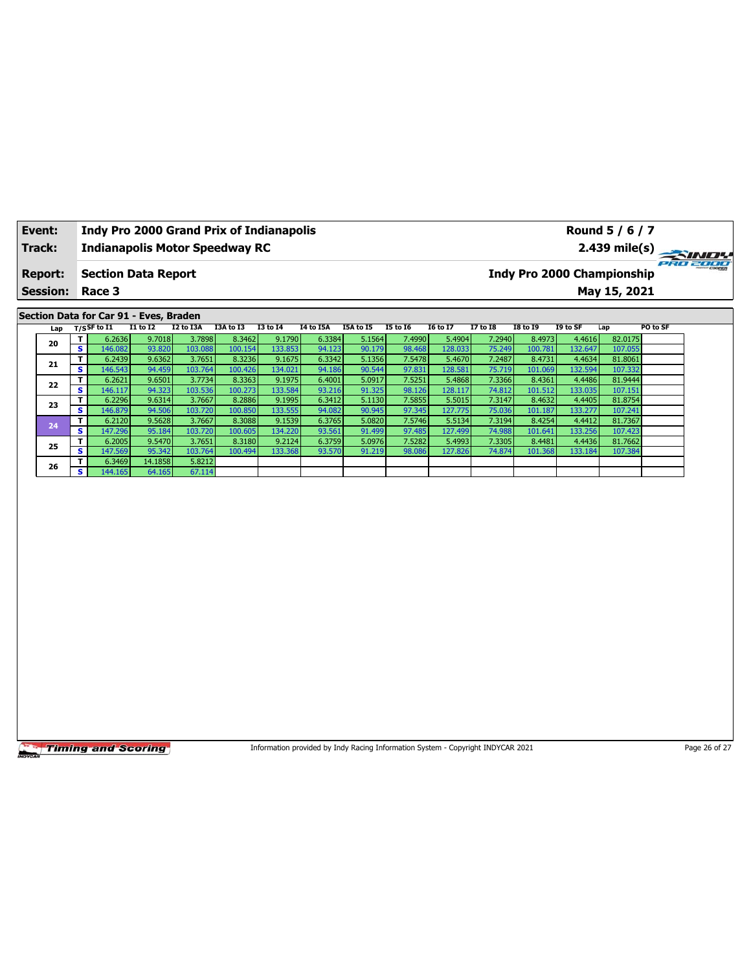| Event:                                 |                 |                               | Indy Pro 2000 Grand Prix of Indianapolis |                  |                   |                   |                                                  |                  | Round 5 / 6 / 7  |                  |                   |                  |                   |                                               |                    |          |  |  |  |  |  |
|----------------------------------------|-----------------|-------------------------------|------------------------------------------|------------------|-------------------|-------------------|--------------------------------------------------|------------------|------------------|------------------|-------------------|------------------|-------------------|-----------------------------------------------|--------------------|----------|--|--|--|--|--|
| Track:                                 |                 |                               | <b>Indianapolis Motor Speedway RC</b>    |                  |                   |                   |                                                  |                  |                  |                  |                   |                  |                   | $2.439$ mile(s)                               |                    |          |  |  |  |  |  |
| <b>Report:</b>                         |                 |                               | <b>Section Data Report</b>               |                  |                   |                   |                                                  |                  |                  |                  |                   |                  |                   | PRO 2000<br><b>Indy Pro 2000 Championship</b> |                    |          |  |  |  |  |  |
|                                        | <b>Session:</b> |                               | Race 3                                   |                  |                   |                   |                                                  |                  |                  |                  |                   |                  |                   | May 15, 2021                                  |                    |          |  |  |  |  |  |
| Section Data for Car 91 - Eves, Braden |                 |                               |                                          |                  |                   |                   |                                                  |                  |                  |                  |                   |                  |                   |                                               |                    |          |  |  |  |  |  |
| Lap                                    |                 |                               | $T/S$ SF to I1                           | I1 to I2         | I2 to I3A         | I3A to I3         | <b>I3 to 14</b><br><b>I4 to I5A</b><br>I5A to I5 |                  |                  | <b>I5 to 16</b>  | <b>I6 to I7</b>   | <b>I7 to 18</b>  | <b>I8 to 19</b>   | I9 to SF                                      | Lap                | PO to SF |  |  |  |  |  |
|                                        | 20              | T.                            | 6.2636                                   | 9.7018           | 3.7898            | 8.3462            | 9.1790                                           | 6.3384           | 5.1564           | 7.4990           | 5.4904            | 7.2940           | 8.4973            | 4.4616                                        | 82.0175            |          |  |  |  |  |  |
|                                        |                 | S.<br>T                       | 146.082<br>6.2439                        | 93.820<br>9.6362 | 103.088<br>3.7651 | 100.154<br>8.3236 | 133.853<br>9.1675                                | 94.123<br>6.3342 | 90.179<br>5.1356 | 98.468<br>7.5478 | 128.033<br>5.4670 | 75.249<br>7.2487 | 100.781<br>8.4731 | 132.647<br>4.4634                             | 107.055<br>81.8061 |          |  |  |  |  |  |
|                                        | 21              | S                             | 146.543                                  | 94.459           | 103.764           | 100.426           | 134.021                                          | 94.186           | 90.544           | 97.831           | 128.581           | 75.719           | 101.069           | 132.594                                       | 107.332            |          |  |  |  |  |  |
|                                        | 22              | T                             | 6.2621                                   | 9.6501           | 3.7734            | 8.3363            | 9.1975                                           | 6.4001           | 5.0917           | 7.5251           | 5.4868            | 7.3366           | 8.4361            | 4.4486                                        | 81.9444            |          |  |  |  |  |  |
|                                        |                 | $\overline{\mathbf{s}}$       | 146.117                                  | 94.323           | 103.536           | 100.273           | 133.584                                          | 93.216           | 91.325           | 98.126           | 128.117           | 74.812           | 101.512           | 133.035                                       | 107.151            |          |  |  |  |  |  |
|                                        | 23              | T<br>$\overline{\mathbf{s}}$  | 6.2296<br>146.879                        | 9.6314<br>94.506 | 3.7667<br>103.720 | 8.2886<br>100.850 | 9.1995<br>133.555                                | 6.3412<br>94.082 | 5.1130<br>90.945 | 7.5855<br>97.345 | 5.5015<br>127.775 | 7.3147<br>75.036 | 8.4632<br>101.187 | 4.4405<br>133.277                             | 81.8754<br>107.241 |          |  |  |  |  |  |
|                                        |                 | T                             | 6.2120                                   | 9.5628           | 3.7667            | 8.3088            | 9.1539                                           | 6.3765           | 5.0820           | 7.5746           | 5.5134            | 7.3194           | 8.4254            | 4.4412                                        | 81.7367            |          |  |  |  |  |  |
|                                        | 24              | $\overline{\mathbf{s}}$       | 147.296                                  | 95.184           | 103.720           | 100.605           | 134.220                                          | 93.561           | 91.499           | 97.485           | 127.499           | 74.988           | 101.641           | 133.256                                       | 107.423            |          |  |  |  |  |  |
|                                        | 25              | T.                            | 6.2005                                   | 9.5470           | 3.7651            | 8.3180            | 9.2124                                           | 6.3759           | 5.0976           | 7.5282           | 5.4993            | 7.3305           | 8.4481            | 4.4436                                        | 81.7662            |          |  |  |  |  |  |
|                                        |                 | s                             | 147.569                                  | 95.342           | 103.764           | 100.494           | 133.368                                          | 93.570           | 91.219           | 98.086           | 127.826           | 74.874           | 101.368           | 133.184                                       | 107.384            |          |  |  |  |  |  |
|                                        | 26              | T.<br>$\overline{\mathbf{s}}$ | 6.3469                                   | 14.1858          | 5.8212            |                   |                                                  |                  |                  |                  |                   |                  |                   |                                               |                    |          |  |  |  |  |  |
|                                        |                 |                               | 144.165                                  | 64.165           | 67.114            |                   |                                                  |                  |                  |                  |                   |                  |                   |                                               |                    |          |  |  |  |  |  |
|                                        |                 |                               |                                          |                  |                   |                   |                                                  |                  |                  |                  |                   |                  |                   |                                               |                    |          |  |  |  |  |  |
|                                        |                 |                               |                                          |                  |                   |                   |                                                  |                  |                  |                  |                   |                  |                   |                                               |                    |          |  |  |  |  |  |
|                                        |                 |                               |                                          |                  |                   |                   |                                                  |                  |                  |                  |                   |                  |                   |                                               |                    |          |  |  |  |  |  |
|                                        |                 |                               |                                          |                  |                   |                   |                                                  |                  |                  |                  |                   |                  |                   |                                               |                    |          |  |  |  |  |  |
|                                        |                 |                               |                                          |                  |                   |                   |                                                  |                  |                  |                  |                   |                  |                   |                                               |                    |          |  |  |  |  |  |
|                                        |                 |                               |                                          |                  |                   |                   |                                                  |                  |                  |                  |                   |                  |                   |                                               |                    |          |  |  |  |  |  |
|                                        |                 |                               |                                          |                  |                   |                   |                                                  |                  |                  |                  |                   |                  |                   |                                               |                    |          |  |  |  |  |  |
|                                        |                 |                               |                                          |                  |                   |                   |                                                  |                  |                  |                  |                   |                  |                   |                                               |                    |          |  |  |  |  |  |
|                                        |                 |                               |                                          |                  |                   |                   |                                                  |                  |                  |                  |                   |                  |                   |                                               |                    |          |  |  |  |  |  |
|                                        |                 |                               |                                          |                  |                   |                   |                                                  |                  |                  |                  |                   |                  |                   |                                               |                    |          |  |  |  |  |  |
|                                        |                 |                               |                                          |                  |                   |                   |                                                  |                  |                  |                  |                   |                  |                   |                                               |                    |          |  |  |  |  |  |
|                                        |                 |                               |                                          |                  |                   |                   |                                                  |                  |                  |                  |                   |                  |                   |                                               |                    |          |  |  |  |  |  |
|                                        |                 |                               |                                          |                  |                   |                   |                                                  |                  |                  |                  |                   |                  |                   |                                               |                    |          |  |  |  |  |  |
|                                        |                 |                               |                                          |                  |                   |                   |                                                  |                  |                  |                  |                   |                  |                   |                                               |                    |          |  |  |  |  |  |
|                                        |                 |                               |                                          |                  |                   |                   |                                                  |                  |                  |                  |                   |                  |                   |                                               |                    |          |  |  |  |  |  |
|                                        |                 |                               |                                          |                  |                   |                   |                                                  |                  |                  |                  |                   |                  |                   |                                               |                    |          |  |  |  |  |  |
|                                        |                 |                               |                                          |                  |                   |                   |                                                  |                  |                  |                  |                   |                  |                   |                                               |                    |          |  |  |  |  |  |
|                                        |                 |                               |                                          |                  |                   |                   |                                                  |                  |                  |                  |                   |                  |                   |                                               |                    |          |  |  |  |  |  |
|                                        |                 |                               |                                          |                  |                   |                   |                                                  |                  |                  |                  |                   |                  |                   |                                               |                    |          |  |  |  |  |  |
|                                        |                 |                               |                                          |                  |                   |                   |                                                  |                  |                  |                  |                   |                  |                   |                                               |                    |          |  |  |  |  |  |

Information provided by Indy Racing Information System - Copyright INDYCAR 2021 Page 26 of 27